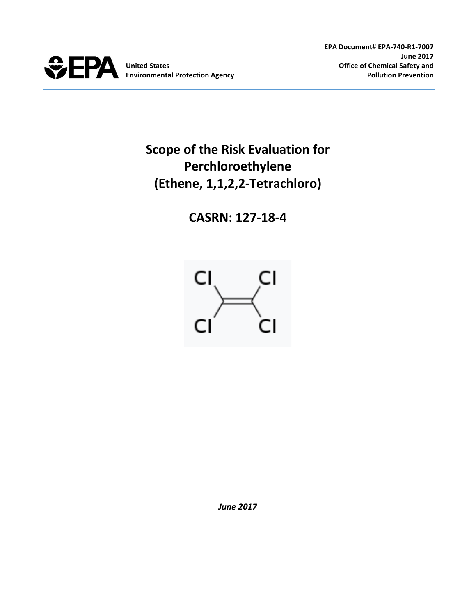

# **Scope of the Risk Evaluation for Perchloroethylene (Ethene, 1,1,2,2-Tetrachloro)**

**CASRN: 127-18-4**



*June 2017*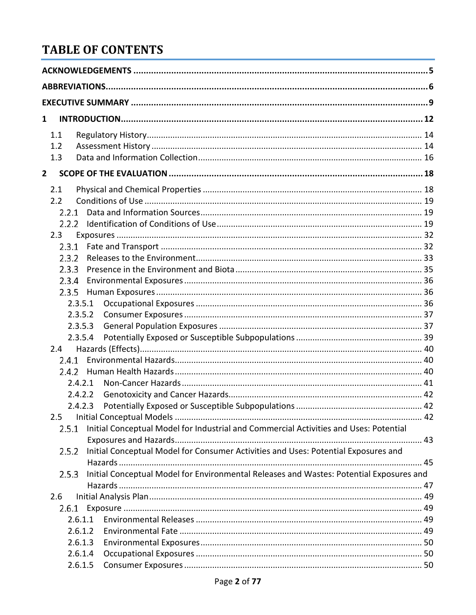# **TABLE OF CONTENTS**

| $\mathbf{1}$   |                                                                                                  |  |
|----------------|--------------------------------------------------------------------------------------------------|--|
|                | 1.1                                                                                              |  |
|                | 1.2                                                                                              |  |
|                | 1.3                                                                                              |  |
| $\overline{2}$ |                                                                                                  |  |
|                | 2.1                                                                                              |  |
|                | 2.2                                                                                              |  |
|                | 2.2.1                                                                                            |  |
|                | 2.2.2                                                                                            |  |
|                | 2.3                                                                                              |  |
|                | 2.3.1                                                                                            |  |
|                | 2.3.2                                                                                            |  |
|                | 2.3.3                                                                                            |  |
|                | 2.3.4                                                                                            |  |
|                | 2.3.5                                                                                            |  |
|                | 2.3.5.1                                                                                          |  |
|                | 2.3.5.2                                                                                          |  |
|                | 2.3.5.3                                                                                          |  |
|                | 2.3.5.4                                                                                          |  |
|                | 2.4                                                                                              |  |
|                | 2.4.1                                                                                            |  |
|                | 2.4.2                                                                                            |  |
|                | 2.4.2.1                                                                                          |  |
|                | 2.4.2.2                                                                                          |  |
|                | 2.4.2.3                                                                                          |  |
|                | 2.5                                                                                              |  |
|                | Initial Conceptual Model for Industrial and Commercial Activities and Uses: Potential<br>2.5.1   |  |
|                |                                                                                                  |  |
|                | Initial Conceptual Model for Consumer Activities and Uses: Potential Exposures and<br>2.5.2      |  |
|                | Initial Conceptual Model for Environmental Releases and Wastes: Potential Exposures and<br>2.5.3 |  |
|                |                                                                                                  |  |
|                | 2.6                                                                                              |  |
|                | 2.6.1                                                                                            |  |
|                | 2.6.1.1                                                                                          |  |
|                | 2.6.1.2                                                                                          |  |
|                | 2.6.1.3                                                                                          |  |
|                | 2.6.1.4                                                                                          |  |
|                | 2.6.1.5                                                                                          |  |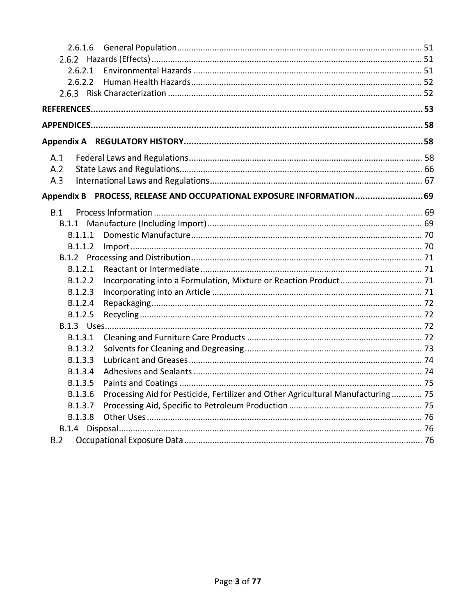| 2.6.1.6                                                                                     |  |
|---------------------------------------------------------------------------------------------|--|
|                                                                                             |  |
| 2.6.2.1                                                                                     |  |
| 2.6.2.2                                                                                     |  |
|                                                                                             |  |
|                                                                                             |  |
|                                                                                             |  |
|                                                                                             |  |
| A.1                                                                                         |  |
| A.2                                                                                         |  |
| A.3                                                                                         |  |
| Appendix B PROCESS, RELEASE AND OCCUPATIONAL EXPOSURE INFORMATION 69                        |  |
| B.1                                                                                         |  |
| B.1.1                                                                                       |  |
| B.1.1.1                                                                                     |  |
| B.1.1.2                                                                                     |  |
|                                                                                             |  |
| B.1.2.1                                                                                     |  |
| B.1.2.2                                                                                     |  |
| B.1.2.3                                                                                     |  |
| B.1.2.4                                                                                     |  |
| B.1.2.5                                                                                     |  |
|                                                                                             |  |
| B.1.3.1                                                                                     |  |
| B.1.3.2                                                                                     |  |
| B.1.3.3                                                                                     |  |
| B.1.3.4                                                                                     |  |
| B.1.3.5                                                                                     |  |
| Processing Aid for Pesticide, Fertilizer and Other Agricultural Manufacturing 75<br>B.1.3.6 |  |
| B.1.3.7                                                                                     |  |
| B.1.3.8                                                                                     |  |
|                                                                                             |  |
| B.2                                                                                         |  |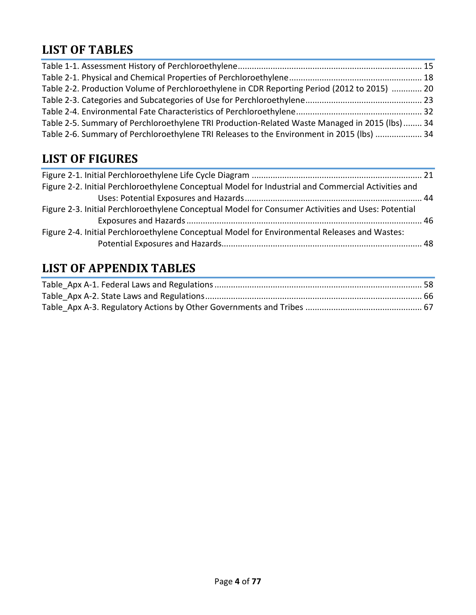# **LIST OF TABLES**

| Table 2-2. Production Volume of Perchloroethylene in CDR Reporting Period (2012 to 2015)  20  |  |
|-----------------------------------------------------------------------------------------------|--|
|                                                                                               |  |
|                                                                                               |  |
| Table 2-5. Summary of Perchloroethylene TRI Production-Related Waste Managed in 2015 (lbs) 34 |  |
| Table 2-6. Summary of Perchloroethylene TRI Releases to the Environment in 2015 (lbs)  34     |  |

# **LIST OF FIGURES**

# **LIST OF APPENDIX TABLES**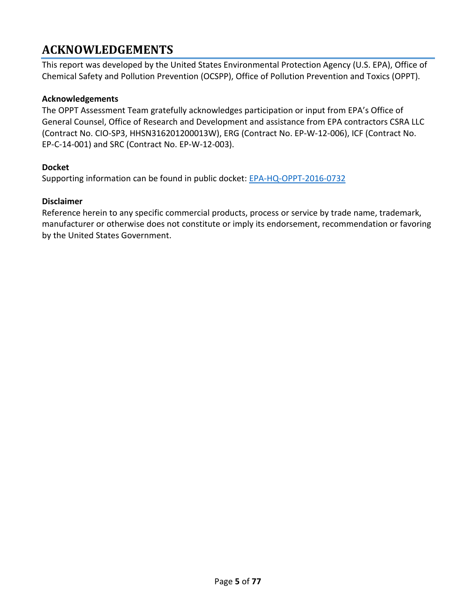## <span id="page-4-0"></span>**ACKNOWLEDGEMENTS**

This report was developed by the United States Environmental Protection Agency (U.S. EPA), Office of Chemical Safety and Pollution Prevention (OCSPP), Office of Pollution Prevention and Toxics (OPPT).

#### **Acknowledgements**

The OPPT Assessment Team gratefully acknowledges participation or input from EPA's Office of General Counsel, Office of Research and Development and assistance from EPA contractors CSRA LLC (Contract No. CIO-SP3, HHSN316201200013W), ERG (Contract No. EP-W-12-006), ICF (Contract No. EP-C-14-001) and SRC (Contract No. EP-W-12-003).

#### **Docket**

Supporting information can be found in public docket: [EPA-HQ-OPPT-2016-0732](https://www.regulations.gov/docket?D=EPA-HQ-OPPT-2016-0732)

#### **Disclaimer**

Reference herein to any specific commercial products, process or service by trade name, trademark, manufacturer or otherwise does not constitute or imply its endorsement, recommendation or favoring by the United States Government.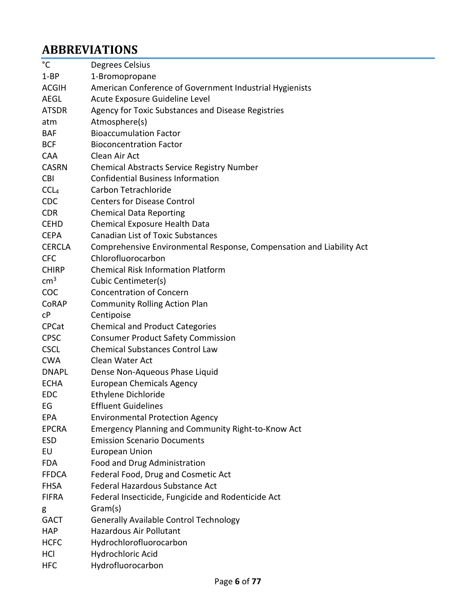# <span id="page-5-0"></span>**ABBREVIATIONS**

| °C               | Degrees Celsius                                                      |
|------------------|----------------------------------------------------------------------|
| $1 - BP$         | 1-Bromopropane                                                       |
| <b>ACGIH</b>     | American Conference of Government Industrial Hygienists              |
| <b>AEGL</b>      | Acute Exposure Guideline Level                                       |
| <b>ATSDR</b>     | Agency for Toxic Substances and Disease Registries                   |
| atm              | Atmosphere(s)                                                        |
| <b>BAF</b>       | <b>Bioaccumulation Factor</b>                                        |
| <b>BCF</b>       | <b>Bioconcentration Factor</b>                                       |
| <b>CAA</b>       | Clean Air Act                                                        |
| <b>CASRN</b>     | <b>Chemical Abstracts Service Registry Number</b>                    |
| <b>CBI</b>       | <b>Confidential Business Information</b>                             |
| CCL <sub>4</sub> | Carbon Tetrachloride                                                 |
| <b>CDC</b>       | <b>Centers for Disease Control</b>                                   |
| <b>CDR</b>       | <b>Chemical Data Reporting</b>                                       |
| <b>CEHD</b>      | Chemical Exposure Health Data                                        |
| <b>CEPA</b>      | <b>Canadian List of Toxic Substances</b>                             |
| <b>CERCLA</b>    | Comprehensive Environmental Response, Compensation and Liability Act |
| <b>CFC</b>       | Chlorofluorocarbon                                                   |
| <b>CHIRP</b>     | <b>Chemical Risk Information Platform</b>                            |
| $\text{cm}^3$    | Cubic Centimeter(s)                                                  |
| <b>COC</b>       | <b>Concentration of Concern</b>                                      |
| CoRAP            | <b>Community Rolling Action Plan</b>                                 |
| cP               | Centipoise                                                           |
| <b>CPCat</b>     | <b>Chemical and Product Categories</b>                               |
| <b>CPSC</b>      | <b>Consumer Product Safety Commission</b>                            |
| <b>CSCL</b>      | <b>Chemical Substances Control Law</b>                               |
| <b>CWA</b>       | Clean Water Act                                                      |
| <b>DNAPL</b>     | Dense Non-Aqueous Phase Liquid                                       |
| <b>ECHA</b>      | <b>European Chemicals Agency</b>                                     |
| <b>EDC</b>       | Ethylene Dichloride                                                  |
| EG               | <b>Effluent Guidelines</b>                                           |
| <b>EPA</b>       | <b>Environmental Protection Agency</b>                               |
| <b>EPCRA</b>     | Emergency Planning and Community Right-to-Know Act                   |
| <b>ESD</b>       | <b>Emission Scenario Documents</b>                                   |
| EU               | <b>European Union</b>                                                |
| <b>FDA</b>       | Food and Drug Administration                                         |
| <b>FFDCA</b>     | Federal Food, Drug and Cosmetic Act                                  |
| <b>FHSA</b>      | Federal Hazardous Substance Act                                      |
| <b>FIFRA</b>     | Federal Insecticide, Fungicide and Rodenticide Act                   |
| g                | Gram(s)                                                              |
| <b>GACT</b>      | <b>Generally Available Control Technology</b>                        |
| <b>HAP</b>       | <b>Hazardous Air Pollutant</b>                                       |
| <b>HCFC</b>      | Hydrochlorofluorocarbon                                              |
| HCI              | Hydrochloric Acid                                                    |
| <b>HFC</b>       | Hydrofluorocarbon                                                    |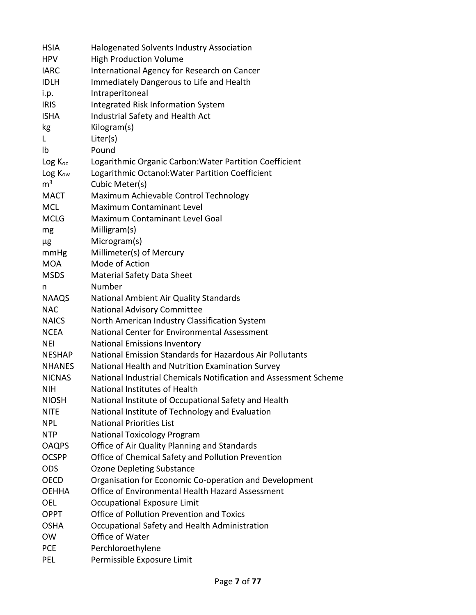| <b>HSIA</b>         | Halogenated Solvents Industry Association                        |
|---------------------|------------------------------------------------------------------|
| <b>HPV</b>          | <b>High Production Volume</b>                                    |
| <b>IARC</b>         | International Agency for Research on Cancer                      |
| <b>IDLH</b>         | Immediately Dangerous to Life and Health                         |
| i.p.                | Intraperitoneal                                                  |
| <b>IRIS</b>         | Integrated Risk Information System                               |
| <b>ISHA</b>         | Industrial Safety and Health Act                                 |
| kg                  | Kilogram(s)                                                      |
| L.                  | Liter(s)                                                         |
| Ib                  | Pound                                                            |
| $Log K_{oc}$        | Logarithmic Organic Carbon: Water Partition Coefficient          |
| Log K <sub>ow</sub> | Logarithmic Octanol: Water Partition Coefficient                 |
| m <sup>3</sup>      | Cubic Meter(s)                                                   |
| MACT                | Maximum Achievable Control Technology                            |
| <b>MCL</b>          | <b>Maximum Contaminant Level</b>                                 |
| <b>MCLG</b>         | Maximum Contaminant Level Goal                                   |
| mg                  | Milligram(s)                                                     |
| μg                  | Microgram(s)                                                     |
| mmHg                | Millimeter(s) of Mercury                                         |
| <b>MOA</b>          | Mode of Action                                                   |
| <b>MSDS</b>         | <b>Material Safety Data Sheet</b>                                |
| n                   | Number                                                           |
| <b>NAAQS</b>        | National Ambient Air Quality Standards                           |
| <b>NAC</b>          | National Advisory Committee                                      |
| <b>NAICS</b>        | North American Industry Classification System                    |
| <b>NCEA</b>         | National Center for Environmental Assessment                     |
| <b>NEI</b>          | <b>National Emissions Inventory</b>                              |
| <b>NESHAP</b>       | National Emission Standards for Hazardous Air Pollutants         |
| <b>NHANES</b>       | National Health and Nutrition Examination Survey                 |
| <b>NICNAS</b>       | National Industrial Chemicals Notification and Assessment Scheme |
| <b>NIH</b>          | National Institutes of Health                                    |
| <b>NIOSH</b>        | National Institute of Occupational Safety and Health             |
| <b>NITE</b>         | National Institute of Technology and Evaluation                  |
| <b>NPL</b>          | <b>National Priorities List</b>                                  |
| <b>NTP</b>          | <b>National Toxicology Program</b>                               |
| <b>OAQPS</b>        | Office of Air Quality Planning and Standards                     |
| <b>OCSPP</b>        | Office of Chemical Safety and Pollution Prevention               |
| <b>ODS</b>          | Ozone Depleting Substance                                        |
| <b>OECD</b>         | Organisation for Economic Co-operation and Development           |
| OEHHA               | Office of Environmental Health Hazard Assessment                 |
| OEL                 | Occupational Exposure Limit                                      |
| <b>OPPT</b>         | Office of Pollution Prevention and Toxics                        |
| <b>OSHA</b>         | Occupational Safety and Health Administration                    |
| <b>OW</b>           | Office of Water                                                  |
| <b>PCE</b>          | Perchloroethylene                                                |
| <b>PEL</b>          | Permissible Exposure Limit                                       |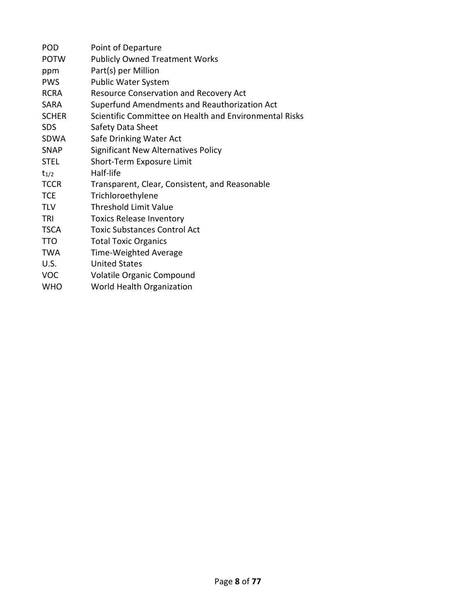| POD          | Point of Departure                                     |
|--------------|--------------------------------------------------------|
| <b>POTW</b>  | <b>Publicly Owned Treatment Works</b>                  |
| ppm          | Part(s) per Million                                    |
| <b>PWS</b>   | <b>Public Water System</b>                             |
| <b>RCRA</b>  | Resource Conservation and Recovery Act                 |
| <b>SARA</b>  | Superfund Amendments and Reauthorization Act           |
| <b>SCHER</b> | Scientific Committee on Health and Environmental Risks |
| <b>SDS</b>   | Safety Data Sheet                                      |
| SDWA         | Safe Drinking Water Act                                |
| <b>SNAP</b>  | Significant New Alternatives Policy                    |
| <b>STEL</b>  | Short-Term Exposure Limit                              |
| $t_{1/2}$    | Half-life                                              |
| <b>TCCR</b>  | Transparent, Clear, Consistent, and Reasonable         |
| <b>TCE</b>   | Trichloroethylene                                      |
| <b>TLV</b>   | <b>Threshold Limit Value</b>                           |
| TRI          | <b>Toxics Release Inventory</b>                        |
| <b>TSCA</b>  | <b>Toxic Substances Control Act</b>                    |
| <b>TTO</b>   | <b>Total Toxic Organics</b>                            |
| <b>TWA</b>   | Time-Weighted Average                                  |
| U.S.         | <b>United States</b>                                   |
| <b>VOC</b>   | Volatile Organic Compound                              |
| <b>WHO</b>   | World Health Organization                              |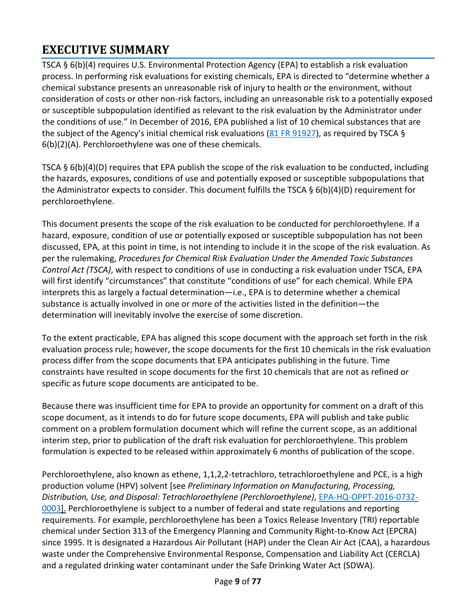# <span id="page-8-0"></span>**EXECUTIVE SUMMARY**

TSCA § 6(b)(4) requires U.S. Environmental Protection Agency (EPA) to establish a risk evaluation process. In performing risk evaluations for existing chemicals, EPA is directed to "determine whether a chemical substance presents an unreasonable risk of injury to health or the environment, without consideration of costs or other non-risk factors, including an unreasonable risk to a potentially exposed or susceptible subpopulation identified as relevant to the risk evaluation by the Administrator under the conditions of use." In December of 2016, EPA published a list of 10 chemical substances that are the subject of the Agency's initial chemical risk evaluations (81 [FR 91927\)](https://www.federalregister.gov/documents/2016/12/19/2016-30468/designation-of-ten-chemical-substances-for-initial-risk-evaluations-under-the-toxic-substances), as required by TSCA § 6(b)(2)(A). Perchloroethylene was one of these chemicals.

TSCA § 6(b)(4)(D) requires that EPA publish the scope of the risk evaluation to be conducted, including the hazards, exposures, conditions of use and potentially exposed or susceptible subpopulations that the Administrator expects to consider. This document fulfills the TSCA  $\S 6(b)(4)(D)$  requirement for perchloroethylene.

This document presents the scope of the risk evaluation to be conducted for perchloroethylene. If a hazard, exposure, condition of use or potentially exposed or susceptible subpopulation has not been discussed, EPA, at this point in time, is not intending to include it in the scope of the risk evaluation. As per the rulemaking, *Procedures for Chemical Risk Evaluation Under the Amended Toxic Substances Control Act (TSCA)*, with respect to conditions of use in conducting a risk evaluation under TSCA, EPA will first identify "circumstances" that constitute "conditions of use" for each chemical. While EPA interprets this as largely a factual determination—i.e., EPA is to determine whether a chemical substance is actually involved in one or more of the activities listed in the definition—the determination will inevitably involve the exercise of some discretion.

To the extent practicable, EPA has aligned this scope document with the approach set forth in the risk evaluation process rule; however, the scope documents for the first 10 chemicals in the risk evaluation process differ from the scope documents that EPA anticipates publishing in the future. Time constraints have resulted in scope documents for the first 10 chemicals that are not as refined or specific as future scope documents are anticipated to be.

Because there was insufficient time for EPA to provide an opportunity for comment on a draft of this scope document, as it intends to do for future scope documents, EPA will publish and take public comment on a problem formulation document which will refine the current scope, as an additional interim step, prior to publication of the draft risk evaluation for perchloroethylene. This problem formulation is expected to be released within approximately 6 months of publication of the scope.

Perchloroethylene, also known as ethene, 1,1,2,2-tetrachloro, tetrachloroethylene and PCE, is a high production volume (HPV) solvent [see *Preliminary Information on Manufacturing, Processing, Distribution, Use, and Disposal: Tetrachloroethylene (Perchloroethylene)*, [EPA-HQ-OPPT-2016-0732-](https://www.regulations.gov/document?D=EPA-HQ-OPPT-2016-0732-0003) [0003\]](https://www.regulations.gov/document?D=EPA-HQ-OPPT-2016-0732-0003). Perchloroethylene is subject to a number of federal and state regulations and reporting requirements. For example, perchloroethylene has been a Toxics Release Inventory (TRI) reportable chemical under Section 313 of the Emergency Planning and Community Right-to-Know Act (EPCRA) since 1995. It is designated a Hazardous Air Pollutant (HAP) under the Clean Air Act (CAA), a hazardous waste under the Comprehensive Environmental Response, Compensation and Liability Act (CERCLA) and a regulated drinking water contaminant under the Safe Drinking Water Act (SDWA).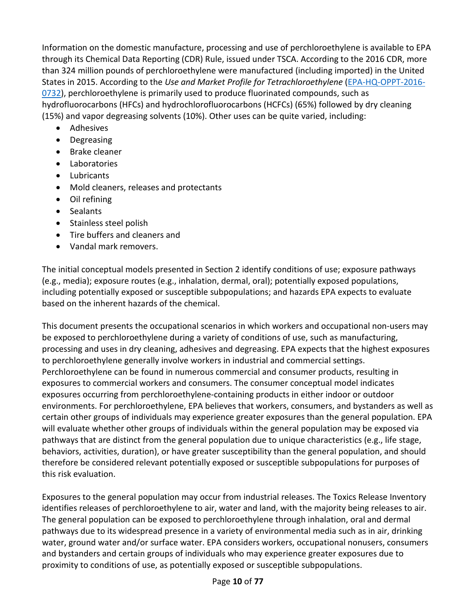Information on the domestic manufacture, processing and use of perchloroethylene is available to EPA through its Chemical Data Reporting (CDR) Rule, issued under TSCA. According to the 2016 CDR, more than 324 million pounds of perchloroethylene were manufactured (including imported) in the United States in 2015. According to the *Use and Market Profile for Tetrachloroethylene* [\(EPA-HQ-OPPT-2016-](https://www.regulations.gov/docket?D=EPA-HQ-OPPT-2016-0732) [0732\)](https://www.regulations.gov/docket?D=EPA-HQ-OPPT-2016-0732), perchloroethylene is primarily used to produce fluorinated compounds, such as hydrofluorocarbons (HFCs) and hydrochlorofluorocarbons (HCFCs) (65%) followed by dry cleaning (15%) and vapor degreasing solvents (10%). Other uses can be quite varied, including:

- Adhesives
- Degreasing
- Brake cleaner
- Laboratories
- Lubricants
- Mold cleaners, releases and protectants
- Oil refining
- Sealants
- Stainless steel polish
- Tire buffers and cleaners and
- Vandal mark removers.

The initial conceptual models presented in Section 2 identify conditions of use; exposure pathways (e.g., media); exposure routes (e.g., inhalation, dermal, oral); potentially exposed populations, including potentially exposed or susceptible subpopulations; and hazards EPA expects to evaluate based on the inherent hazards of the chemical.

This document presents the occupational scenarios in which workers and occupational non-users may be exposed to perchloroethylene during a variety of conditions of use, such as manufacturing, processing and uses in dry cleaning, adhesives and degreasing. EPA expects that the highest exposures to perchloroethylene generally involve workers in industrial and commercial settings. Perchloroethylene can be found in numerous commercial and consumer products, resulting in exposures to commercial workers and consumers. The consumer conceptual model indicates exposures occurring from perchloroethylene-containing products in either indoor or outdoor environments. For perchloroethylene, EPA believes that workers, consumers, and bystanders as well as certain other groups of individuals may experience greater exposures than the general population. EPA will evaluate whether other groups of individuals within the general population may be exposed via pathways that are distinct from the general population due to unique characteristics (e.g., life stage, behaviors, activities, duration), or have greater susceptibility than the general population, and should therefore be considered relevant potentially exposed or susceptible subpopulations for purposes of this risk evaluation.

Exposures to the general population may occur from industrial releases. The Toxics Release Inventory identifies releases of perchloroethylene to air, water and land, with the majority being releases to air. The general population can be exposed to perchloroethylene through inhalation, oral and dermal pathways due to its widespread presence in a variety of environmental media such as in air, drinking water, ground water and/or surface water. EPA considers workers, occupational nonusers, consumers and bystanders and certain groups of individuals who may experience greater exposures due to proximity to conditions of use, as potentially exposed or susceptible subpopulations.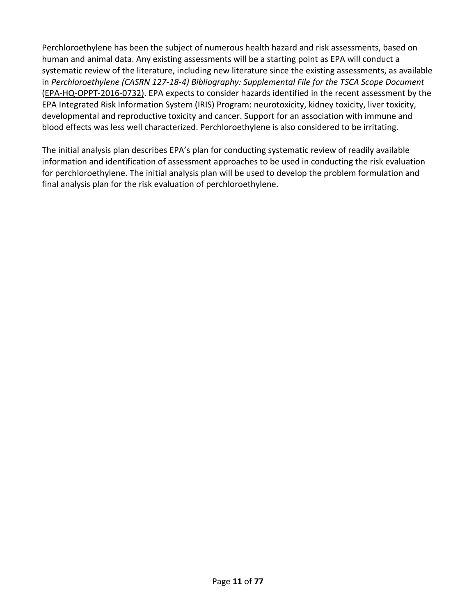Perchloroethylene has been the subject of numerous health hazard and risk assessments, based on human and animal data. Any existing assessments will be a starting point as EPA will conduct a systematic review of the literature, including new literature since the existing assessments, as available in *Perchloroethylene (CASRN 127-18-4) Bibliography: Supplemental File for the TSCA Scope Document*  [\(EPA-HQ-OPPT-2016-0732\)](https://www.regulations.gov/docket?D=EPA-HQ-OPPT-2016-0732). EPA expects to consider hazards identified in the recent assessment by the EPA Integrated Risk Information System (IRIS) Program: neurotoxicity, kidney toxicity, liver toxicity, developmental and reproductive toxicity and cancer. Support for an association with immune and blood effects was less well characterized. Perchloroethylene is also considered to be irritating.

The initial analysis plan describes EPA's plan for conducting systematic review of readily available information and identification of assessment approaches to be used in conducting the risk evaluation for perchloroethylene. The initial analysis plan will be used to develop the problem formulation and final analysis plan for the risk evaluation of perchloroethylene.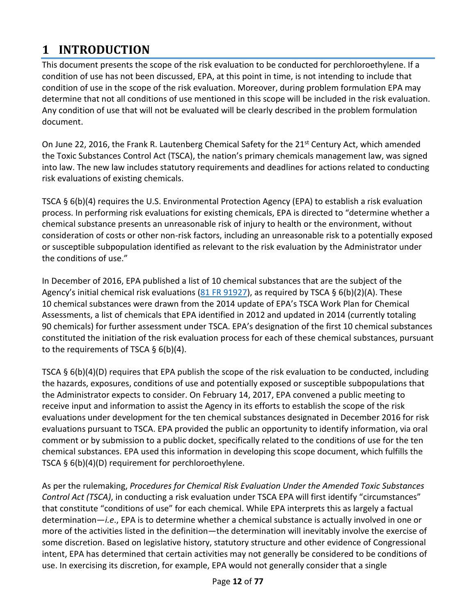# <span id="page-11-0"></span>**1 INTRODUCTION**

This document presents the scope of the risk evaluation to be conducted for perchloroethylene. If a condition of use has not been discussed, EPA, at this point in time, is not intending to include that condition of use in the scope of the risk evaluation. Moreover, during problem formulation EPA may determine that not all conditions of use mentioned in this scope will be included in the risk evaluation. Any condition of use that will not be evaluated will be clearly described in the problem formulation document.

On June 22, 2016, the Frank R. Lautenberg Chemical Safety for the 21<sup>st</sup> Century Act, which amended the Toxic Substances Control Act (TSCA), the nation's primary chemicals management law, was signed into law. The new law includes statutory requirements and deadlines for actions related to conducting risk evaluations of existing chemicals.

TSCA § 6(b)(4) requires the U.S. Environmental Protection Agency (EPA) to establish a risk evaluation process. In performing risk evaluations for existing chemicals, EPA is directed to "determine whether a chemical substance presents an unreasonable risk of injury to health or the environment, without consideration of costs or other non-risk factors, including an unreasonable risk to a potentially exposed or susceptible subpopulation identified as relevant to the risk evaluation by the Administrator under the conditions of use."

In December of 2016, EPA published a list of 10 chemical substances that are the subject of the Agency's initial chemical risk evaluations (81 [FR 91927\)](https://www.federalregister.gov/documents/2016/12/19/2016-30468/designation-of-ten-chemical-substances-for-initial-risk-evaluations-under-the-toxic-substances), as required by TSCA § 6(b)(2)(A). These 10 chemical substances were drawn from the 2014 update of EPA's TSCA Work Plan for Chemical Assessments, a list of chemicals that EPA identified in 2012 and updated in 2014 (currently totaling 90 chemicals) for further assessment under TSCA. EPA's designation of the first 10 chemical substances constituted the initiation of the risk evaluation process for each of these chemical substances, pursuant to the requirements of TSCA  $\S$  6(b)(4).

TSCA § 6(b)(4)(D) requires that EPA publish the scope of the risk evaluation to be conducted, including the hazards, exposures, conditions of use and potentially exposed or susceptible subpopulations that the Administrator expects to consider. On February 14, 2017, EPA convened a public meeting to receive input and information to assist the Agency in its efforts to establish the scope of the risk evaluations under development for the ten chemical substances designated in December 2016 for risk evaluations pursuant to TSCA. EPA provided the public an opportunity to identify information, via oral comment or by submission to a public docket, specifically related to the conditions of use for the ten chemical substances. EPA used this information in developing this scope document, which fulfills the TSCA § 6(b)(4)(D) requirement for perchloroethylene.

As per the rulemaking, *Procedures for Chemical Risk Evaluation Under the Amended Toxic Substances Control Act (TSCA)*, in conducting a risk evaluation under TSCA EPA will first identify "circumstances" that constitute "conditions of use" for each chemical. While EPA interprets this as largely a factual determination—*i.e*., EPA is to determine whether a chemical substance is actually involved in one or more of the activities listed in the definition—the determination will inevitably involve the exercise of some discretion. Based on legislative history, statutory structure and other evidence of Congressional intent, EPA has determined that certain activities may not generally be considered to be conditions of use. In exercising its discretion, for example, EPA would not generally consider that a single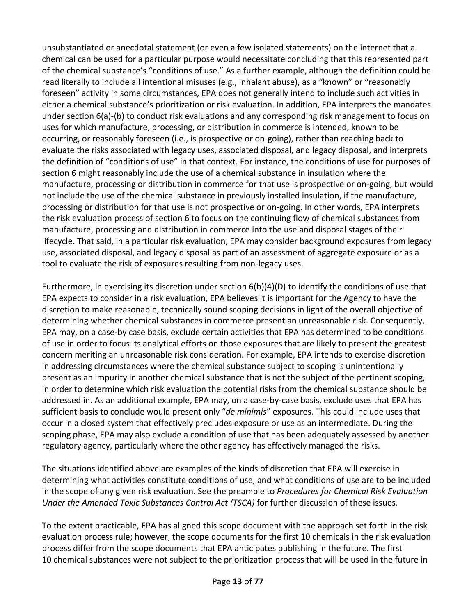unsubstantiated or anecdotal statement (or even a few isolated statements) on the internet that a chemical can be used for a particular purpose would necessitate concluding that this represented part of the chemical substance's "conditions of use." As a further example, although the definition could be read literally to include all intentional misuses (e.g., inhalant abuse), as a "known" or "reasonably foreseen" activity in some circumstances, EPA does not generally intend to include such activities in either a chemical substance's prioritization or risk evaluation. In addition, EPA interprets the mandates under section 6(a)-(b) to conduct risk evaluations and any corresponding risk management to focus on uses for which manufacture, processing, or distribution in commerce is intended, known to be occurring, or reasonably foreseen (i.e., is prospective or on-going), rather than reaching back to evaluate the risks associated with legacy uses, associated disposal, and legacy disposal, and interprets the definition of "conditions of use" in that context. For instance, the conditions of use for purposes of section 6 might reasonably include the use of a chemical substance in insulation where the manufacture, processing or distribution in commerce for that use is prospective or on-going, but would not include the use of the chemical substance in previously installed insulation, if the manufacture, processing or distribution for that use is not prospective or on-going. In other words, EPA interprets the risk evaluation process of section 6 to focus on the continuing flow of chemical substances from manufacture, processing and distribution in commerce into the use and disposal stages of their lifecycle. That said, in a particular risk evaluation, EPA may consider background exposures from legacy use, associated disposal, and legacy disposal as part of an assessment of aggregate exposure or as a tool to evaluate the risk of exposures resulting from non-legacy uses.

Furthermore, in exercising its discretion under section 6(b)(4)(D) to identify the conditions of use that EPA expects to consider in a risk evaluation, EPA believes it is important for the Agency to have the discretion to make reasonable, technically sound scoping decisions in light of the overall objective of determining whether chemical substances in commerce present an unreasonable risk. Consequently, EPA may, on a case-by case basis, exclude certain activities that EPA has determined to be conditions of use in order to focus its analytical efforts on those exposures that are likely to present the greatest concern meriting an unreasonable risk consideration. For example, EPA intends to exercise discretion in addressing circumstances where the chemical substance subject to scoping is unintentionally present as an impurity in another chemical substance that is not the subject of the pertinent scoping, in order to determine which risk evaluation the potential risks from the chemical substance should be addressed in. As an additional example, EPA may, on a case-by-case basis, exclude uses that EPA has sufficient basis to conclude would present only "*de minimis*" exposures. This could include uses that occur in a closed system that effectively precludes exposure or use as an intermediate. During the scoping phase, EPA may also exclude a condition of use that has been adequately assessed by another regulatory agency, particularly where the other agency has effectively managed the risks.

The situations identified above are examples of the kinds of discretion that EPA will exercise in determining what activities constitute conditions of use, and what conditions of use are to be included in the scope of any given risk evaluation. See the preamble to *Procedures for Chemical Risk Evaluation Under the Amended Toxic Substances Control Act (TSCA)* for further discussion of these issues.

To the extent practicable, EPA has aligned this scope document with the approach set forth in the risk evaluation process rule; however, the scope documents for the first 10 chemicals in the risk evaluation process differ from the scope documents that EPA anticipates publishing in the future. The first 10 chemical substances were not subject to the prioritization process that will be used in the future in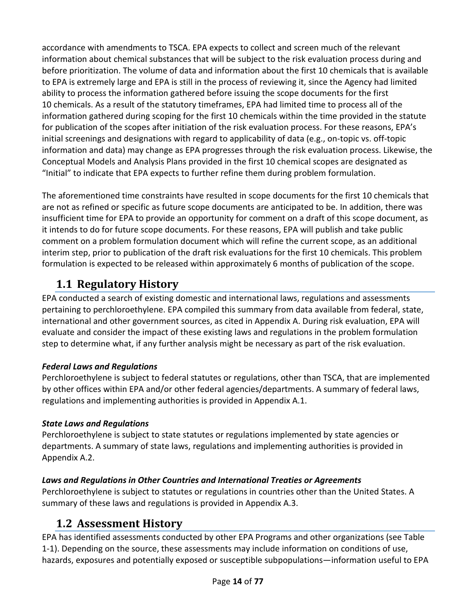accordance with amendments to TSCA. EPA expects to collect and screen much of the relevant information about chemical substances that will be subject to the risk evaluation process during and before prioritization. The volume of data and information about the first 10 chemicals that is available to EPA is extremely large and EPA is still in the process of reviewing it, since the Agency had limited ability to process the information gathered before issuing the scope documents for the first 10 chemicals. As a result of the statutory timeframes, EPA had limited time to process all of the information gathered during scoping for the first 10 chemicals within the time provided in the statute for publication of the scopes after initiation of the risk evaluation process. For these reasons, EPA's initial screenings and designations with regard to applicability of data (e.g., on-topic vs. off-topic information and data) may change as EPA progresses through the risk evaluation process. Likewise, the Conceptual Models and Analysis Plans provided in the first 10 chemical scopes are designated as "Initial" to indicate that EPA expects to further refine them during problem formulation.

The aforementioned time constraints have resulted in scope documents for the first 10 chemicals that are not as refined or specific as future scope documents are anticipated to be. In addition, there was insufficient time for EPA to provide an opportunity for comment on a draft of this scope document, as it intends to do for future scope documents. For these reasons, EPA will publish and take public comment on a problem formulation document which will refine the current scope, as an additional interim step, prior to publication of the draft risk evaluations for the first 10 chemicals. This problem formulation is expected to be released within approximately 6 months of publication of the scope.

## <span id="page-13-0"></span>**1.1 Regulatory History**

EPA conducted a search of existing domestic and international laws, regulations and assessments pertaining to perchloroethylene. EPA compiled this summary from data available from federal, state, international and other government sources, as cited in Appendix A. During risk evaluation, EPA will evaluate and consider the impact of these existing laws and regulations in the problem formulation step to determine what, if any further analysis might be necessary as part of the risk evaluation.

#### *Federal Laws and Regulations*

Perchloroethylene is subject to federal statutes or regulations, other than TSCA, that are implemented by other offices within EPA and/or other federal agencies/departments. A summary of federal laws, regulations and implementing authorities is provided in Appendix [A.1.](#page-57-3)

#### *State Laws and Regulations*

Perchloroethylene is subject to state statutes or regulations implemented by state agencies or departments. A summary of state laws, regulations and implementing authorities is provided in Appendix [A.2.](#page-65-1)

### *Laws and Regulations in Other Countries and International Treaties or Agreements*

Perchloroethylene is subject to statutes or regulations in countries other than the United States. A summary of these laws and regulations is provided in Appendix [A.3.](#page-66-1)

### <span id="page-13-1"></span>**1.2 Assessment History**

EPA has identified assessments conducted by other EPA Programs and other organizations (se[e Table](#page-14-0)  [1-1\)](#page-14-0). Depending on the source, these assessments may include information on conditions of use, hazards, exposures and potentially exposed or susceptible subpopulations—information useful to EPA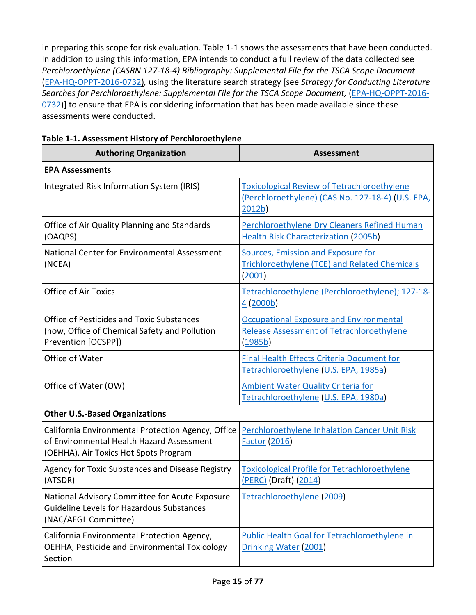in preparing this scope for risk evaluation. [Table 1-1](#page-14-0) shows the assessments that have been conducted. In addition to using this information, EPA intends to conduct a full review of the data collected see *Perchloroethylene (CASRN 127-18-4) Bibliography: Supplemental File for the TSCA Scope Document* [\(EPA-HQ-OPPT-2016-0732\)](https://www.regulations.gov/docket?D=EPA-HQ-OPPT-2016-0732)*,* using the literature search strategy [see *Strategy for Conducting Literature*  Searches for Perchloroethylene: Supplemental File for the TSCA Scope Document, [\(EPA-HQ-OPPT-2016-](https://www.regulations.gov/docket?D=EPA-HQ-OPPT-2016-0732) [0732\)](https://www.regulations.gov/docket?D=EPA-HQ-OPPT-2016-0732)] to ensure that EPA is considering information that has been made available since these assessments were conducted.

| <b>Authoring Organization</b>                                                                                                            | <b>Assessment</b>                                                                                                            |  |  |
|------------------------------------------------------------------------------------------------------------------------------------------|------------------------------------------------------------------------------------------------------------------------------|--|--|
| <b>EPA Assessments</b>                                                                                                                   |                                                                                                                              |  |  |
| Integrated Risk Information System (IRIS)                                                                                                | <b>Toxicological Review of Tetrachloroethylene</b><br>(Perchloroethylene) (CAS No. 127-18-4) (U.S. EPA,<br>2012 <sub>b</sub> |  |  |
| Office of Air Quality Planning and Standards<br>(OAQPS)                                                                                  | Perchloroethylene Dry Cleaners Refined Human<br><b>Health Risk Characterization (2005b)</b>                                  |  |  |
| National Center for Environmental Assessment<br>(NCEA)                                                                                   | <b>Sources, Emission and Exposure for</b><br>Trichloroethylene (TCE) and Related Chemicals<br>(2001)                         |  |  |
| <b>Office of Air Toxics</b>                                                                                                              | Tetrachloroethylene (Perchloroethylene); 127-18-<br>4(2000b)                                                                 |  |  |
| <b>Office of Pesticides and Toxic Substances</b><br>(now, Office of Chemical Safety and Pollution<br>Prevention [OCSPP])                 | <b>Occupational Exposure and Environmental</b><br><b>Release Assessment of Tetrachloroethylene</b><br>(1985b)                |  |  |
| Office of Water                                                                                                                          | <b>Final Health Effects Criteria Document for</b><br>Tetrachloroethylene (U.S. EPA, 1985a)                                   |  |  |
| Office of Water (OW)                                                                                                                     | <b>Ambient Water Quality Criteria for</b><br>Tetrachloroethylene (U.S. EPA, 1980a)                                           |  |  |
| <b>Other U.S.-Based Organizations</b>                                                                                                    |                                                                                                                              |  |  |
| California Environmental Protection Agency, Office<br>of Environmental Health Hazard Assessment<br>(OEHHA), Air Toxics Hot Spots Program | Perchloroethylene Inhalation Cancer Unit Risk<br><b>Factor (2016)</b>                                                        |  |  |
| Agency for Toxic Substances and Disease Registry<br>(ATSDR)                                                                              | <b>Toxicological Profile for Tetrachloroethylene</b><br>(PERC) (Draft) (2014)                                                |  |  |
| National Advisory Committee for Acute Exposure<br><b>Guideline Levels for Hazardous Substances</b><br>(NAC/AEGL Committee)               | Tetrachloroethylene (2009)                                                                                                   |  |  |
| California Environmental Protection Agency,<br>OEHHA, Pesticide and Environmental Toxicology<br>Section                                  | Public Health Goal for Tetrachloroethylene in<br>Drinking Water (2001)                                                       |  |  |

<span id="page-14-0"></span>

| Table 1-1. Assessment History of Perchloroethylene |  |  |
|----------------------------------------------------|--|--|
|----------------------------------------------------|--|--|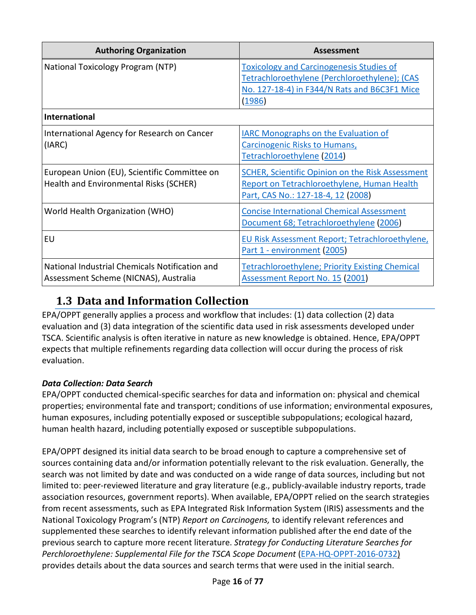| <b>Authoring Organization</b>                                                           | <b>Assessment</b>                                                                                                                                          |
|-----------------------------------------------------------------------------------------|------------------------------------------------------------------------------------------------------------------------------------------------------------|
| National Toxicology Program (NTP)                                                       | <b>Toxicology and Carcinogenesis Studies of</b><br>Tetrachloroethylene (Perchloroethylene); (CAS<br>No. 127-18-4) in F344/N Rats and B6C3F1 Mice<br>(1986) |
| <b>International</b>                                                                    |                                                                                                                                                            |
| International Agency for Research on Cancer<br>(IARC)                                   | <b>IARC Monographs on the Evaluation of</b><br><b>Carcinogenic Risks to Humans,</b><br>Tetrachloroethylene (2014)                                          |
| European Union (EU), Scientific Committee on<br>Health and Environmental Risks (SCHER)  | <b>SCHER, Scientific Opinion on the Risk Assessment</b><br>Report on Tetrachloroethylene, Human Health<br>Part, CAS No.: 127-18-4, 12 (2008)               |
| World Health Organization (WHO)                                                         | <b>Concise International Chemical Assessment</b><br>Document 68; Tetrachloroethylene (2006)                                                                |
| EU                                                                                      | <b>EU Risk Assessment Report; Tetrachloroethylene,</b><br>Part 1 - environment (2005)                                                                      |
| National Industrial Chemicals Notification and<br>Assessment Scheme (NICNAS), Australia | <b>Tetrachloroethylene; Priority Existing Chemical</b><br>Assessment Report No. 15 (2001)                                                                  |

## <span id="page-15-0"></span>**1.3 Data and Information Collection**

EPA/OPPT generally applies a process and workflow that includes: (1) data collection (2) data evaluation and (3) data integration of the scientific data used in risk assessments developed under TSCA. Scientific analysis is often iterative in nature as new knowledge is obtained. Hence, EPA/OPPT expects that multiple refinements regarding data collection will occur during the process of risk evaluation.

### *Data Collection: Data Search*

EPA/OPPT conducted chemical-specific searches for data and information on: physical and chemical properties; environmental fate and transport; conditions of use information; environmental exposures, human exposures, including potentially exposed or susceptible subpopulations; ecological hazard, human health hazard, including potentially exposed or susceptible subpopulations.

EPA/OPPT designed its initial data search to be broad enough to capture a comprehensive set of sources containing data and/or information potentially relevant to the risk evaluation. Generally, the search was not limited by date and was conducted on a wide range of data sources, including but not limited to: peer-reviewed literature and gray literature (e.g., publicly-available industry reports, trade association resources, government reports). When available, EPA/OPPT relied on the search strategies from recent assessments, such as EPA Integrated Risk Information System (IRIS) assessments and the National Toxicology Program's (NTP) *Report on Carcinogens,* to identify relevant references and supplemented these searches to identify relevant information published after the end date of the previous search to capture more recent literature. *Strategy for Conducting Literature Searches for Perchloroethylene: Supplemental File for the TSCA Scope Document* [\(EPA-HQ-OPPT-2016-0732\)](https://www.regulations.gov/docket?D=EPA-HQ-OPPT-2016-0732) provides details about the data sources and search terms that were used in the initial search.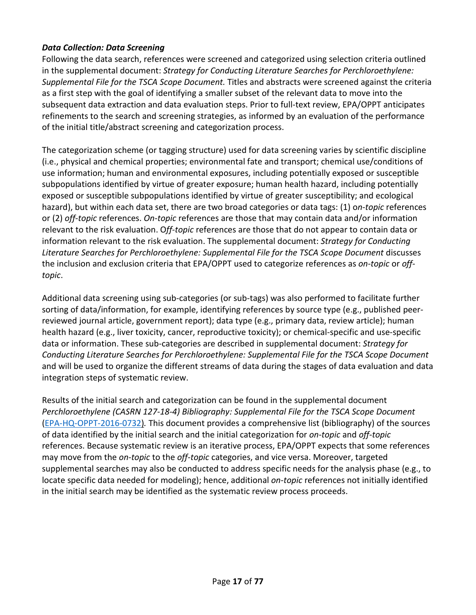#### *Data Collection: Data Screening*

Following the data search, references were screened and categorized using selection criteria outlined in the supplemental document: *Strategy for Conducting Literature Searches for Perchloroethylene: Supplemental File for the TSCA Scope Document.* Titles and abstracts were screened against the criteria as a first step with the goal of identifying a smaller subset of the relevant data to move into the subsequent data extraction and data evaluation steps. Prior to full-text review, EPA/OPPT anticipates refinements to the search and screening strategies, as informed by an evaluation of the performance of the initial title/abstract screening and categorization process.

The categorization scheme (or tagging structure) used for data screening varies by scientific discipline (i.e., physical and chemical properties; environmental fate and transport; chemical use/conditions of use information; human and environmental exposures, including potentially exposed or susceptible subpopulations identified by virtue of greater exposure; human health hazard, including potentially exposed or susceptible subpopulations identified by virtue of greater susceptibility; and ecological hazard), but within each data set, there are two broad categories or data tags: (1) o*n-topic* references or (2) *off-topic* references. *On-topic* references are those that may contain data and/or information relevant to the risk evaluation. O*ff-topic* references are those that do not appear to contain data or information relevant to the risk evaluation. The supplemental document: *Strategy for Conducting Literature Searches for Perchloroethylene: Supplemental File for the TSCA Scope Document* discusses the inclusion and exclusion criteria that EPA/OPPT used to categorize references as *on-topic* or *offtopic*.

Additional data screening using sub-categories (or sub-tags) was also performed to facilitate further sorting of data/information, for example, identifying references by source type (e.g., published peerreviewed journal article, government report); data type (e.g., primary data, review article); human health hazard (e.g., liver toxicity, cancer, reproductive toxicity); or chemical-specific and use-specific data or information. These sub-categories are described in supplemental document: *Strategy for Conducting Literature Searches for Perchloroethylene: Supplemental File for the TSCA Scope Document*  and will be used to organize the different streams of data during the stages of data evaluation and data integration steps of systematic review.

Results of the initial search and categorization can be found in the supplemental document *Perchloroethylene (CASRN 127-18-4) Bibliography: Supplemental File for the TSCA Scope Document* [\(EPA-HQ-OPPT-2016-0732\)](https://www.regulations.gov/docket?D=EPA-HQ-OPPT-2016-0732)*.* This document provides a comprehensive list (bibliography) of the sources of data identified by the initial search and the initial categorization for *on-topic* and *off-topic*  references. Because systematic review is an iterative process, EPA/OPPT expects that some references may move from the *on-topic* to the *off-topic* categories, and vice versa. Moreover, targeted supplemental searches may also be conducted to address specific needs for the analysis phase (e.g., to locate specific data needed for modeling); hence, additional *on-topic* references not initially identified in the initial search may be identified as the systematic review process proceeds.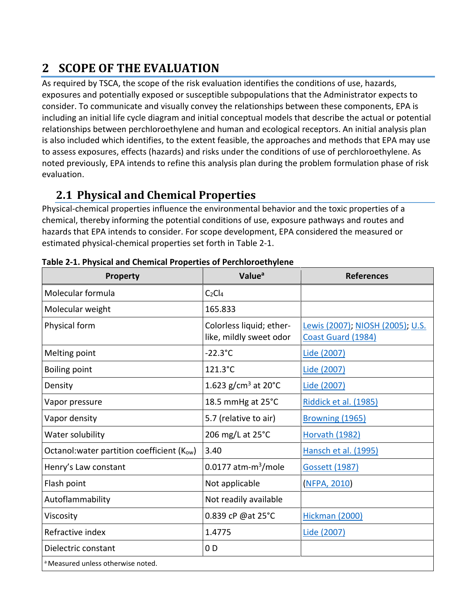# <span id="page-17-0"></span>**2 SCOPE OF THE EVALUATION**

As required by TSCA, the scope of the risk evaluation identifies the conditions of use, hazards, exposures and potentially exposed or susceptible subpopulations that the Administrator expects to consider. To communicate and visually convey the relationships between these components, EPA is including an initial life cycle diagram and initial conceptual models that describe the actual or potential relationships between perchloroethylene and human and ecological receptors. An initial analysis plan is also included which identifies, to the extent feasible, the approaches and methods that EPA may use to assess exposures, effects (hazards) and risks under the conditions of use of perchloroethylene. As noted previously, EPA intends to refine this analysis plan during the problem formulation phase of risk evaluation.

## <span id="page-17-1"></span>**2.1 Physical and Chemical Properties**

Physical-chemical properties influence the environmental behavior and the toxic properties of a chemical, thereby informing the potential conditions of use, exposure pathways and routes and hazards that EPA intends to consider. For scope development, EPA considered the measured or estimated physical-chemical properties set forth in [Table 2-1.](#page-17-2)

| Property                                      | Value <sup>a</sup>                                  | <b>References</b>                                      |  |
|-----------------------------------------------|-----------------------------------------------------|--------------------------------------------------------|--|
| Molecular formula                             | $C_2Cl_4$                                           |                                                        |  |
| Molecular weight                              | 165.833                                             |                                                        |  |
| Physical form                                 | Colorless liquid; ether-<br>like, mildly sweet odor | Lewis (2007); NIOSH (2005); U.S.<br>Coast Guard (1984) |  |
| Melting point                                 | $-22.3$ °C                                          | Lide (2007)                                            |  |
| <b>Boiling point</b>                          | 121.3°C                                             | Lide (2007)                                            |  |
| Density                                       | 1.623 g/cm <sup>3</sup> at 20 $^{\circ}$ C          | Lide (2007)                                            |  |
| Vapor pressure                                | 18.5 mmHg at 25°C                                   | Riddick et al. (1985)                                  |  |
| Vapor density                                 | 5.7 (relative to air)                               | Browning (1965)                                        |  |
| Water solubility                              | 206 mg/L at 25°C                                    | <b>Horvath (1982)</b>                                  |  |
| Octanol: water partition coefficient (Kow)    | 3.40                                                | Hansch et al. (1995)                                   |  |
| Henry's Law constant                          | $0.0177$ atm-m <sup>3</sup> /mole                   | Gossett (1987)                                         |  |
| Flash point                                   | Not applicable                                      | <b>NFPA, 2010</b>                                      |  |
| Autoflammability                              | Not readily available                               |                                                        |  |
| Viscosity                                     | 0.839 cP @at 25°C                                   | <b>Hickman (2000)</b>                                  |  |
| Refractive index                              | 1.4775                                              | Lide (2007)                                            |  |
| Dielectric constant                           | 0 <sub>D</sub>                                      |                                                        |  |
| <sup>a</sup> Measured unless otherwise noted. |                                                     |                                                        |  |

<span id="page-17-2"></span>**Table 2-1. Physical and Chemical Properties of Perchloroethylene**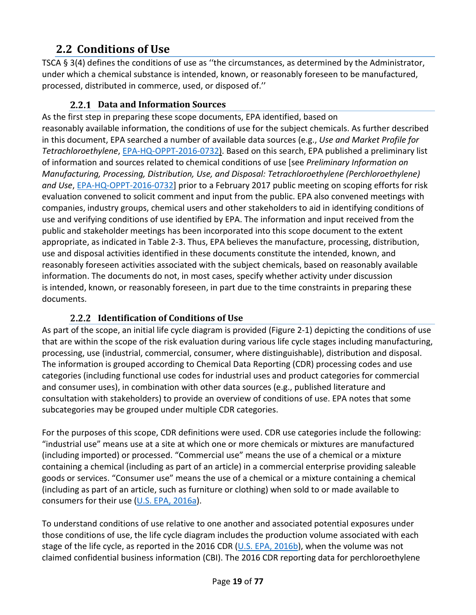## <span id="page-18-0"></span>**2.2 Conditions of Use**

TSCA § 3(4) defines the conditions of use as ''the circumstances, as determined by the Administrator, under which a chemical substance is intended, known, or reasonably foreseen to be manufactured, processed, distributed in commerce, used, or disposed of.''

### **Data and Information Sources**

<span id="page-18-1"></span>As the first step in preparing these scope documents, EPA identified, based on reasonably available information, the conditions of use for the subject chemicals. As further described in this document, EPA searched a number of available data sources (e.g., *Use and Market Profile for Tetrachloroethylene*, [EPA-HQ-OPPT-2016-0732\)](https://www.regulations.gov/docket?D=EPA-HQ-OPPT-2016-0732). Based on this search, EPA published a preliminary list of information and sources related to chemical conditions of use [see *Preliminary Information on Manufacturing, Processing, Distribution, Use, and Disposal: Tetrachloroethylene (Perchloroethylene) and Use*, [EPA-HQ-OPPT-2016-0732\]](https://www.regulations.gov/docket?D=EPA-HQ-OPPT-2016-0732) prior to a February 2017 public meeting on scoping efforts for risk evaluation convened to solicit comment and input from the public. EPA also convened meetings with companies, industry groups, chemical users and other stakeholders to aid in identifying conditions of use and verifying conditions of use identified by EPA. The information and input received from the public and stakeholder meetings has been incorporated into this scope document to the extent appropriate, as indicated in [Table 2-3.](#page-22-0) Thus, EPA believes the manufacture, processing, distribution, use and disposal activities identified in these documents constitute the intended, known, and reasonably foreseen activities associated with the subject chemicals, based on reasonably available information. The documents do not, in most cases, specify whether activity under discussion is intended, known, or reasonably foreseen, in part due to the time constraints in preparing these documents.

### **2.2.2 Identification of Conditions of Use**

<span id="page-18-2"></span>As part of the scope, an initial life cycle diagram is provided [\(Figure 2-1\)](#page-20-0) depicting the conditions of use that are within the scope of the risk evaluation during various life cycle stages including manufacturing, processing, use (industrial, commercial, consumer, where distinguishable), distribution and disposal. The information is grouped according to Chemical Data Reporting (CDR) processing codes and use categories (including functional use codes for industrial uses and product categories for commercial and consumer uses), in combination with other data sources (e.g., published literature and consultation with stakeholders) to provide an overview of conditions of use. EPA notes that some subcategories may be grouped under multiple CDR categories.

For the purposes of this scope, CDR definitions were used. CDR use categories include the following: "industrial use" means use at a site at which one or more chemicals or mixtures are manufactured (including imported) or processed. "Commercial use" means the use of a chemical or a mixture containing a chemical (including as part of an article) in a commercial enterprise providing saleable goods or services. "Consumer use" means the use of a chemical or a mixture containing a chemical (including as part of an article, such as furniture or clothing) when sold to or made available to consumers for their use [\(U.S. EPA, 2016a\)](http://hero.epa.gov/index.cfm?action=search.view&reference_id=3839188).

To understand conditions of use relative to one another and associated potential exposures under those conditions of use, the life cycle diagram includes the production volume associated with each stage of the life cycle, as reported in the 2016 CDR [\(U.S. EPA, 2016b\)](http://hero.epa.gov/index.cfm?action=search.view&reference_id=3827204), when the volume was not claimed confidential business information (CBI). The 2016 CDR reporting data for perchloroethylene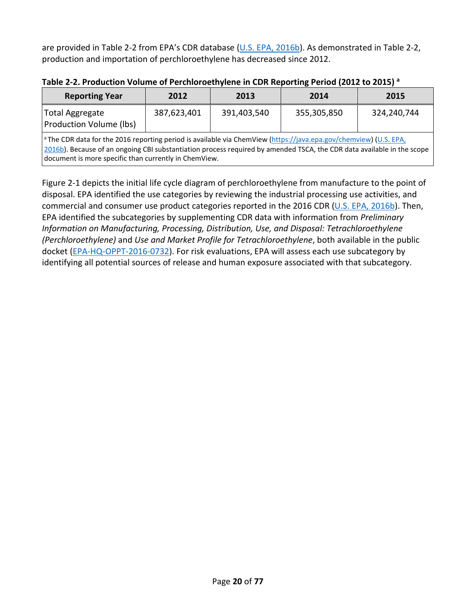are provided in [Table 2-2](#page-19-0) from EPA's CDR database [\(U.S. EPA, 2016b\)](http://hero.epa.gov/index.cfm?action=search.view&reference_id=3827204). As demonstrated in [Table 2-2,](#page-19-0) production and importation of perchloroethylene has decreased since 2012.

| <b>Reporting Year</b>                                                                                                                                                                                                                                                                                           | 2012 | 2013        | 2014        | 2015        |  |
|-----------------------------------------------------------------------------------------------------------------------------------------------------------------------------------------------------------------------------------------------------------------------------------------------------------------|------|-------------|-------------|-------------|--|
| 387,623,401<br><b>Total Aggregate</b><br>Production Volume (lbs)                                                                                                                                                                                                                                                |      | 391,403,540 | 355,305,850 | 324,240,744 |  |
| <sup>a</sup> The CDR data for the 2016 reporting period is available via ChemView (https://java.epa.gov/chemview) (U.S. EPA,<br>2016b). Because of an ongoing CBI substantiation process required by amended TSCA, the CDR data available in the scope<br>document is more specific than currently in ChemView. |      |             |             |             |  |

<span id="page-19-0"></span>**Table 2-2. Production Volume of Perchloroethylene in CDR Reporting Period (2012 to 2015) a**

[Figure 2-1](#page-20-0) depicts the initial life cycle diagram of perchloroethylene from manufacture to the point of disposal. EPA identified the use categories by reviewing the industrial processing use activities, and commercial and consumer use product categories reported in the 2016 CDR [\(U.S. EPA, 2016b\)](http://hero.epa.gov/index.cfm?action=search.view&reference_id=3827204). Then, EPA identified the subcategories by supplementing CDR data with information from *Preliminary Information on Manufacturing, Processing, Distribution, Use, and Disposal: Tetrachloroethylene (Perchloroethylene)* and *Use and Market Profile for Tetrachloroethylene*, both available in the public docket [\(EPA-HQ-OPPT-2016-0732\)](https://www.regulations.gov/docket?D=EPA-HQ-OPPT-2016-0732). For risk evaluations, EPA will assess each use subcategory by identifying all potential sources of release and human exposure associated with that subcategory.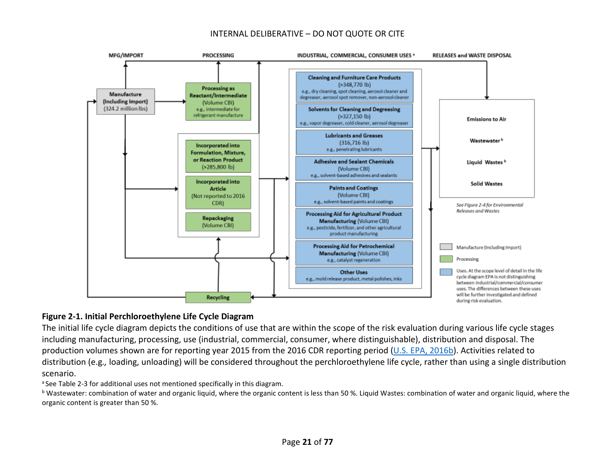#### INTERNAL DELIBERATIVE – DO NOT QUOTE OR CITE



#### **Figure 2-1. Initial Perchloroethylene Life Cycle Diagram**

The initial life cycle diagram depicts the conditions of use that are within the scope of the risk evaluation during various life cycle stages including manufacturing, processing, use (industrial, commercial, consumer, where distinguishable), distribution and disposal. The production volumes shown are for reporting year 2015 from the 2016 CDR reporting period [\(U.S. EPA, 2016b\)](http://hero.epa.gov/index.cfm?action=search.view&reference_id=3827204). Activities related to distribution (e.g*.,* loading, unloading) will be considered throughout the perchloroethylene life cycle, rather than using a single distribution scenario.

<sup>a</sup> Se[e Table 2-3](#page-22-1) for additional uses not mentioned specifically in this diagram.

<span id="page-20-0"></span><sup>b</sup> Wastewater: combination of water and organic liquid, where the organic content is less than 50 %. Liquid Wastes: combination of water and organic liquid, where the organic content is greater than 50 %.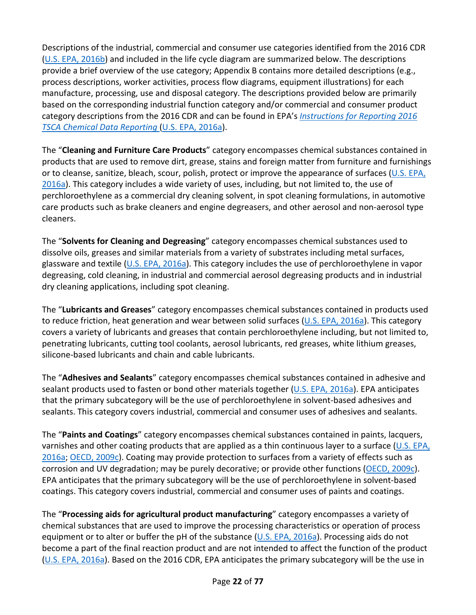Descriptions of the industrial, commercial and consumer use categories identified from the 2016 CDR [\(U.S. EPA, 2016b\)](http://hero.epa.gov/index.cfm?action=search.view&reference_id=3827204) and included in the life cycle diagram are summarized below. The descriptions provide a brief overview of the use category; [Appendix B](#page-68-0) contains more detailed descriptions (e.g., process descriptions, worker activities, process flow diagrams, equipment illustrations) for each manufacture, processing, use and disposal category. The descriptions provided below are primarily based on the corresponding industrial function category and/or commercial and consumer product category descriptions from the 2016 CDR and can be found in EPA's *[Instructions for Reporting 2016](https://www.epa.gov/chemical-data-reporting/instructions-reporting-2016-tsca-chemical-data-reporting)  TSCA [Chemical Data Reporting](https://www.epa.gov/chemical-data-reporting/instructions-reporting-2016-tsca-chemical-data-reporting)* [\(U.S. EPA, 2016a\)](http://hero.epa.gov/index.cfm?action=search.view&reference_id=3839188).

The "**Cleaning and Furniture Care Products**" category encompasses chemical substances contained in products that are used to remove dirt, grease, stains and foreign matter from furniture and furnishings or to cleanse, sanitize, bleach, scour, polish, protect or improve the appearance of surfaces ( $U.S. EPA$ , [2016a\)](http://hero.epa.gov/index.cfm?action=search.view&reference_id=3839188). This category includes a wide variety of uses, including, but not limited to, the use of perchloroethylene as a commercial dry cleaning solvent, in spot cleaning formulations, in automotive care products such as brake cleaners and engine degreasers, and other aerosol and non-aerosol type cleaners.

The "**Solvents for Cleaning and Degreasing**" category encompasses chemical substances used to dissolve oils, greases and similar materials from a variety of substrates including metal surfaces, glassware and textile [\(U.S. EPA, 2016a\)](http://hero.epa.gov/index.cfm?action=search.view&reference_id=3839188). This category includes the use of perchloroethylene in vapor degreasing, cold cleaning, in industrial and commercial aerosol degreasing products and in industrial dry cleaning applications, including spot cleaning.

The "**Lubricants and Greases**" category encompasses chemical substances contained in products used to reduce friction, heat generation and wear between solid surfaces [\(U.S. EPA, 2016a\)](http://hero.epa.gov/index.cfm?action=search.view&reference_id=3839188). This category covers a variety of lubricants and greases that contain perchloroethylene including, but not limited to, penetrating lubricants, cutting tool coolants, aerosol lubricants, red greases, white lithium greases, silicone-based lubricants and chain and cable lubricants.

The "**Adhesives and Sealants**" category encompasses chemical substances contained in adhesive and sealant products used to fasten or bond other materials together [\(U.S. EPA, 2016a\)](http://hero.epa.gov/index.cfm?action=search.view&reference_id=3839188). EPA anticipates that the primary subcategory will be the use of perchloroethylene in solvent-based adhesives and sealants. This category covers industrial, commercial and consumer uses of adhesives and sealants.

The "**Paints and Coatings**" category encompasses chemical substances contained in paints, lacquers, varnishes and other coating products that are applied as a thin continuous layer to a surface [\(U.S. EPA,](http://hero.epa.gov/index.cfm?action=search.view&reference_id=3839188)  [2016a;](http://hero.epa.gov/index.cfm?action=search.view&reference_id=3839188) [OECD, 2009c\)](http://hero.epa.gov/index.cfm?action=search.view&reference_id=3827298). Coating may provide protection to surfaces from a variety of effects such as corrosion and UV degradation; may be purely decorative; or provide other functions [\(OECD, 2009c\)](http://hero.epa.gov/index.cfm?action=search.view&reference_id=3827298). EPA anticipates that the primary subcategory will be the use of perchloroethylene in solvent-based coatings. This category covers industrial, commercial and consumer uses of paints and coatings.

The "**Processing aids for agricultural product manufacturing**" category encompasses a variety of chemical substances that are used to improve the processing characteristics or operation of process equipment or to alter or buffer the pH of the substance [\(U.S. EPA, 2016a\)](http://hero.epa.gov/index.cfm?action=search.view&reference_id=3839188). Processing aids do not become a part of the final reaction product and are not intended to affect the function of the product [\(U.S. EPA, 2016a\)](http://hero.epa.gov/index.cfm?action=search.view&reference_id=3839188). Based on the 2016 CDR, EPA anticipates the primary subcategory will be the use in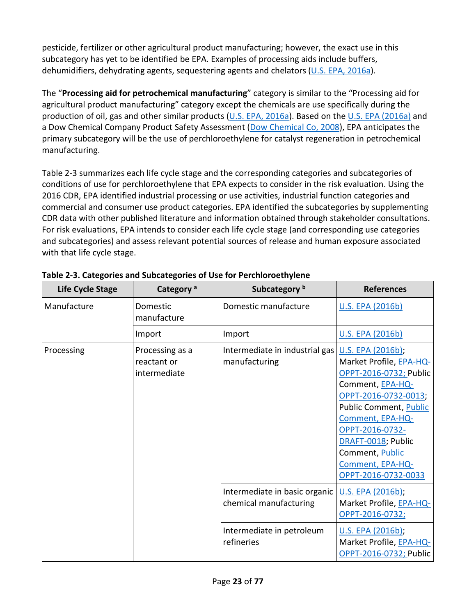pesticide, fertilizer or other agricultural product manufacturing; however, the exact use in this subcategory has yet to be identified be EPA. Examples of processing aids include buffers, dehumidifiers, dehydrating agents, sequestering agents and chelators [\(U.S. EPA, 2016a\)](http://hero.epa.gov/index.cfm?action=search.view&reference_id=3839188).

The "**Processing aid for petrochemical manufacturing**" category is similar to the "Processing aid for agricultural product manufacturing" category except the chemicals are use specifically during the production of oil, gas and other similar products [\(U.S. EPA, 2016a\)](http://hero.epa.gov/index.cfm?action=search.view&reference_id=3839188). Based on the [U.S. EPA \(2016a\)](http://hero.epa.gov/index.cfm?action=search.view&reference_id=3839188) and a Dow Chemical Company Product Safety Assessment [\(Dow Chemical Co, 2008\)](http://hero.epa.gov/index.cfm?action=search.view&reference_id=3797950), EPA anticipates the primary subcategory will be the use of perchloroethylene for catalyst regeneration in petrochemical manufacturing.

<span id="page-22-1"></span>[Table 2-3](#page-22-0) summarizes each life cycle stage and the corresponding categories and subcategories of conditions of use for perchloroethylene that EPA expects to consider in the risk evaluation. Using the 2016 CDR, EPA identified industrial processing or use activities, industrial function categories and commercial and consumer use product categories. EPA identified the subcategories by supplementing CDR data with other published literature and information obtained through stakeholder consultations. For risk evaluations, EPA intends to consider each life cycle stage (and corresponding use categories and subcategories) and assess relevant potential sources of release and human exposure associated with that life cycle stage.

| Life Cycle Stage | Category <sup>a</sup>                          | Subcategory <sup>b</sup>                                | <b>References</b>                                                                                                                                                                                                                                                       |
|------------------|------------------------------------------------|---------------------------------------------------------|-------------------------------------------------------------------------------------------------------------------------------------------------------------------------------------------------------------------------------------------------------------------------|
| Manufacture      | Domestic<br>manufacture                        | Domestic manufacture                                    | <b>U.S. EPA (2016b)</b>                                                                                                                                                                                                                                                 |
|                  | Import                                         | Import                                                  | <b>U.S. EPA (2016b)</b>                                                                                                                                                                                                                                                 |
| Processing       | Processing as a<br>reactant or<br>intermediate | Intermediate in industrial gas<br>manufacturing         | U.S. EPA (2016b);<br>Market Profile, EPA-HQ-<br>OPPT-2016-0732; Public<br>Comment, EPA-HQ-<br>OPPT-2016-0732-0013;<br>Public Comment, Public<br>Comment, EPA-HQ-<br>OPPT-2016-0732-<br>DRAFT-0018; Public<br>Comment, Public<br>Comment, EPA-HQ-<br>OPPT-2016-0732-0033 |
|                  |                                                | Intermediate in basic organic<br>chemical manufacturing | U.S. EPA (2016b);<br>Market Profile, EPA-HQ-<br>OPPT-2016-0732;                                                                                                                                                                                                         |
|                  |                                                | Intermediate in petroleum<br>refineries                 | U.S. EPA (2016b);<br>Market Profile, EPA-HQ-<br>OPPT-2016-0732; Public                                                                                                                                                                                                  |

<span id="page-22-0"></span>**Table 2-3. Categories and Subcategories of Use for Perchloroethylene**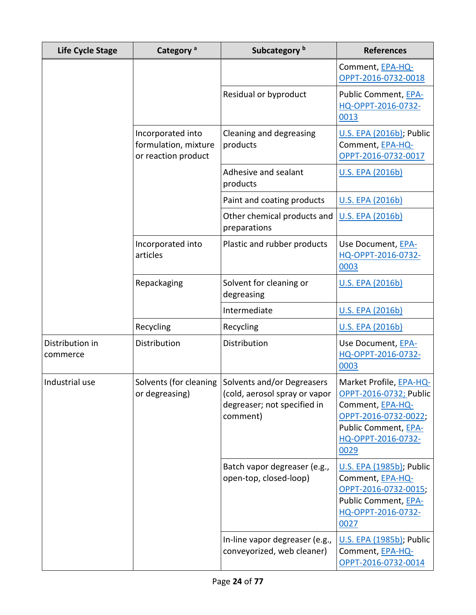| Life Cycle Stage            | Category <sup>a</sup>                                            | Subcategory <sup>b</sup>                                                                                                      | <b>References</b>                                                                                                                                   |
|-----------------------------|------------------------------------------------------------------|-------------------------------------------------------------------------------------------------------------------------------|-----------------------------------------------------------------------------------------------------------------------------------------------------|
|                             |                                                                  |                                                                                                                               | Comment, EPA-HQ-<br>OPPT-2016-0732-0018                                                                                                             |
|                             |                                                                  | Residual or byproduct                                                                                                         | Public Comment, EPA-<br>HQ-OPPT-2016-0732-<br>0013                                                                                                  |
|                             | Incorporated into<br>formulation, mixture<br>or reaction product | Cleaning and degreasing<br>products                                                                                           | U.S. EPA (2016b); Public<br>Comment, EPA-HQ-<br>OPPT-2016-0732-0017                                                                                 |
|                             |                                                                  | Adhesive and sealant<br>products                                                                                              | U.S. EPA (2016b)                                                                                                                                    |
|                             |                                                                  | Paint and coating products                                                                                                    | U.S. EPA (2016b)                                                                                                                                    |
|                             |                                                                  | Other chemical products and<br>preparations                                                                                   | U.S. EPA (2016b)                                                                                                                                    |
|                             | Incorporated into<br>articles                                    | Plastic and rubber products                                                                                                   | Use Document, EPA-<br>HQ-OPPT-2016-0732-<br>0003                                                                                                    |
|                             | Repackaging                                                      | Solvent for cleaning or<br>degreasing                                                                                         | <b>U.S. EPA (2016b)</b>                                                                                                                             |
|                             |                                                                  | Intermediate                                                                                                                  | <b>U.S. EPA (2016b)</b>                                                                                                                             |
|                             | Recycling                                                        | Recycling                                                                                                                     | <b>U.S. EPA (2016b)</b>                                                                                                                             |
| Distribution in<br>commerce | Distribution                                                     | Distribution                                                                                                                  | Use Document, EPA-<br>HQ-OPPT-2016-0732-<br>0003                                                                                                    |
| Industrial use              | or degreasing)                                                   | Solvents (for cleaning Solvents and/or Degreasers<br>(cold, aerosol spray or vapor<br>degreaser; not specified in<br>comment) | Market Profile, EPA-HQ-<br>OPPT-2016-0732; Public<br>Comment, EPA-HQ-<br>OPPT-2016-0732-0022;<br>Public Comment, EPA-<br>HQ-OPPT-2016-0732-<br>0029 |
|                             |                                                                  | Batch vapor degreaser (e.g.,<br>open-top, closed-loop)                                                                        | U.S. EPA (1985b); Public<br>Comment, EPA-HQ-<br>OPPT-2016-0732-0015;<br>Public Comment, EPA-<br>HQ-OPPT-2016-0732-<br>0027                          |
|                             |                                                                  | In-line vapor degreaser (e.g.,<br>conveyorized, web cleaner)                                                                  | U.S. EPA (1985b); Public<br>Comment, EPA-HQ-<br>OPPT-2016-0732-0014                                                                                 |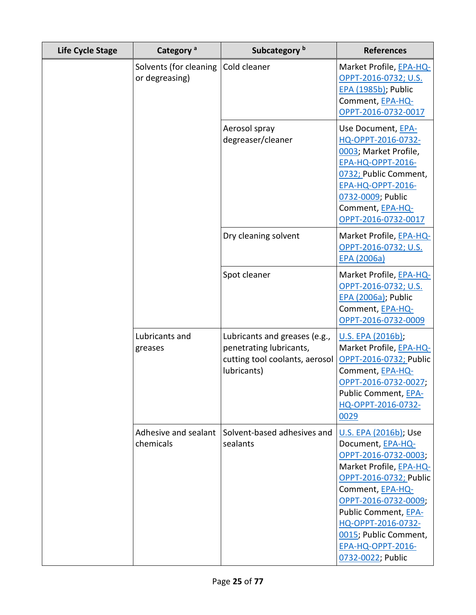| <b>Life Cycle Stage</b> | Category <sup>a</sup>                    | Subcategory <sup>b</sup>                                                                                  | <b>References</b>                                                                                                                                                                                                                                                                                   |
|-------------------------|------------------------------------------|-----------------------------------------------------------------------------------------------------------|-----------------------------------------------------------------------------------------------------------------------------------------------------------------------------------------------------------------------------------------------------------------------------------------------------|
|                         | Solvents (for cleaning<br>or degreasing) | Cold cleaner                                                                                              | Market Profile, EPA-HQ-<br>OPPT-2016-0732; U.S.<br>EPA (1985b); Public<br>Comment, EPA-HQ-<br>OPPT-2016-0732-0017                                                                                                                                                                                   |
|                         |                                          | Aerosol spray<br>degreaser/cleaner                                                                        | Use Document, EPA-<br>HQ-OPPT-2016-0732-<br>0003; Market Profile,<br><b>EPA-HQ-OPPT-2016-</b><br>0732; Public Comment,<br><b>EPA-HQ-OPPT-2016-</b><br>0732-0009; Public<br>Comment, EPA-HQ-<br>OPPT-2016-0732-0017                                                                                  |
|                         |                                          | Dry cleaning solvent                                                                                      | Market Profile, EPA-HQ-<br>OPPT-2016-0732; U.S.<br><b>EPA (2006a)</b>                                                                                                                                                                                                                               |
|                         |                                          | Spot cleaner                                                                                              | Market Profile, EPA-HQ-<br>OPPT-2016-0732; U.S.<br><b>EPA (2006a)</b> ; Public<br>Comment, EPA-HQ-<br>OPPT-2016-0732-0009                                                                                                                                                                           |
|                         | Lubricants and<br>greases                | Lubricants and greases (e.g.,<br>penetrating lubricants,<br>cutting tool coolants, aerosol<br>lubricants) | U.S. EPA (2016b);<br>Market Profile, EPA-HQ-<br>OPPT-2016-0732; Public<br>Comment, EPA-HQ-<br>OPPT-2016-0732-0027;<br>Public Comment, EPA-<br>HQ-OPPT-2016-0732-<br>0029                                                                                                                            |
|                         | Adhesive and sealant<br>chemicals        | Solvent-based adhesives and<br>sealants                                                                   | <u>U.S. EPA (2016b)</u> ; Use<br>Document, EPA-HQ-<br>OPPT-2016-0732-0003;<br>Market Profile, EPA-HQ-<br>OPPT-2016-0732; Public<br>Comment, EPA-HQ-<br>OPPT-2016-0732-0009;<br>Public Comment, EPA-<br>HQ-OPPT-2016-0732-<br>0015; Public Comment,<br><b>EPA-HQ-OPPT-2016-</b><br>0732-0022; Public |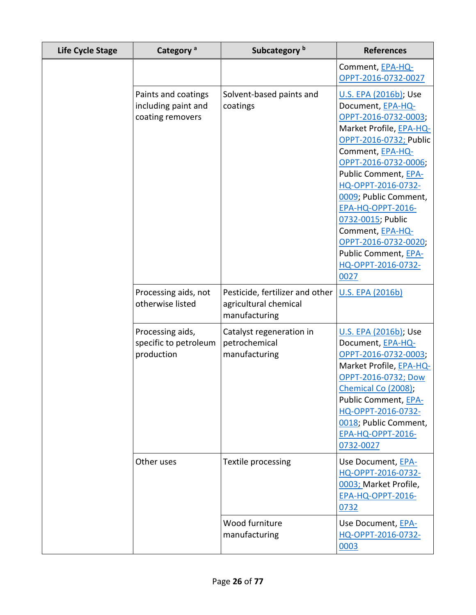| <b>Life Cycle Stage</b> | Category <sup>a</sup>                                          |                                                                           | <b>References</b>                                                                                                                                                                                                                                                                                                                                                                                     |  |
|-------------------------|----------------------------------------------------------------|---------------------------------------------------------------------------|-------------------------------------------------------------------------------------------------------------------------------------------------------------------------------------------------------------------------------------------------------------------------------------------------------------------------------------------------------------------------------------------------------|--|
|                         |                                                                |                                                                           | Comment, EPA-HQ-<br>OPPT-2016-0732-0027                                                                                                                                                                                                                                                                                                                                                               |  |
|                         | Paints and coatings<br>including paint and<br>coating removers | Solvent-based paints and<br>coatings                                      | <u>U.S. EPA (2016b)</u> ; Use<br>Document, EPA-HQ-<br>OPPT-2016-0732-0003;<br>Market Profile, EPA-HQ-<br>OPPT-2016-0732; Public<br>Comment, EPA-HQ-<br>OPPT-2016-0732-0006;<br>Public Comment, EPA-<br>HQ-OPPT-2016-0732-<br>0009; Public Comment,<br><b>EPA-HQ-OPPT-2016-</b><br>0732-0015; Public<br>Comment, EPA-HQ-<br>OPPT-2016-0732-0020;<br>Public Comment, EPA-<br>HQ-OPPT-2016-0732-<br>0027 |  |
|                         | Processing aids, not<br>otherwise listed                       | Pesticide, fertilizer and other<br>agricultural chemical<br>manufacturing | <b>U.S. EPA (2016b)</b>                                                                                                                                                                                                                                                                                                                                                                               |  |
|                         | Processing aids,<br>specific to petroleum<br>production        | Catalyst regeneration in<br>petrochemical<br>manufacturing                | <u>U.S. EPA (2016b)</u> ; Use<br>Document, EPA-HQ-<br>OPPT-2016-0732-0003;<br>Market Profile, EPA-HQ-<br>OPPT-2016-0732; Dow<br>Chemical Co (2008);<br>Public Comment, EPA-<br>HQ-OPPT-2016-0732-<br>0018; Public Comment,<br><b>EPA-HQ-OPPT-2016-</b><br>0732-0027                                                                                                                                   |  |
|                         | Other uses                                                     | Textile processing                                                        | Use Document, EPA-<br>HQ-OPPT-2016-0732-<br>0003; Market Profile,<br><b>EPA-HQ-OPPT-2016-</b><br>0732                                                                                                                                                                                                                                                                                                 |  |
|                         |                                                                | Wood furniture<br>manufacturing                                           | Use Document, EPA-<br>HQ-OPPT-2016-0732-<br>0003                                                                                                                                                                                                                                                                                                                                                      |  |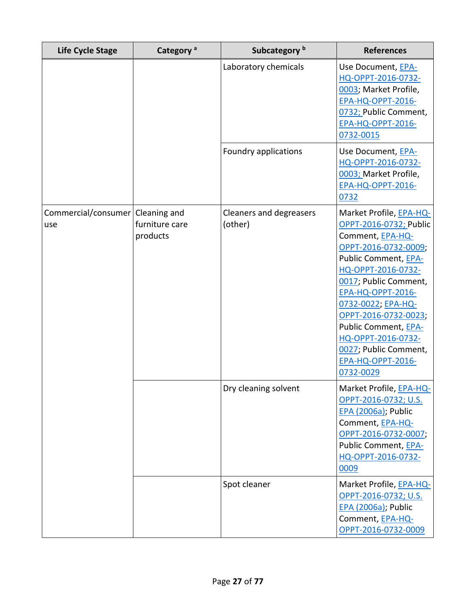| Life Cycle Stage                          | Category <sup>a</sup>      | Subcategory <sup>b</sup>           | <b>References</b>                                                                                                                                                                                                                                                                                                                                              |
|-------------------------------------------|----------------------------|------------------------------------|----------------------------------------------------------------------------------------------------------------------------------------------------------------------------------------------------------------------------------------------------------------------------------------------------------------------------------------------------------------|
|                                           |                            | Laboratory chemicals               | Use Document, EPA-<br>HQ-OPPT-2016-0732-<br>0003; Market Profile,<br><b>EPA-HQ-OPPT-2016-</b><br>0732; Public Comment,<br><b>EPA-HQ-OPPT-2016-</b><br>0732-0015                                                                                                                                                                                                |
|                                           |                            | Foundry applications               | Use Document, EPA-<br>HQ-OPPT-2016-0732-<br>0003; Market Profile,<br><b>EPA-HQ-OPPT-2016-</b><br>0732                                                                                                                                                                                                                                                          |
| Commercial/consumer   Cleaning and<br>use | furniture care<br>products | Cleaners and degreasers<br>(other) | Market Profile, EPA-HQ-<br>OPPT-2016-0732; Public<br>Comment, EPA-HQ-<br>OPPT-2016-0732-0009;<br>Public Comment, EPA-<br>HQ-OPPT-2016-0732-<br>0017; Public Comment,<br><b>EPA-HQ-OPPT-2016-</b><br>0732-0022; EPA-HQ-<br>OPPT-2016-0732-0023;<br>Public Comment, EPA-<br>HQ-OPPT-2016-0732-<br>0027; Public Comment,<br><b>EPA-HQ-OPPT-2016-</b><br>0732-0029 |
|                                           |                            | Dry cleaning solvent               | Market Profile, EPA-HQ-<br>OPPT-2016-0732; U.S.<br>EPA (2006a); Public<br>Comment, EPA-HQ-<br>OPPT-2016-0732-0007;<br>Public Comment, EPA-<br>HQ-OPPT-2016-0732-<br>0009                                                                                                                                                                                       |
|                                           |                            | Spot cleaner                       | Market Profile, EPA-HQ-<br>OPPT-2016-0732; U.S.<br><b>EPA (2006a)</b> ; Public<br>Comment, EPA-HQ-<br>OPPT-2016-0732-0009                                                                                                                                                                                                                                      |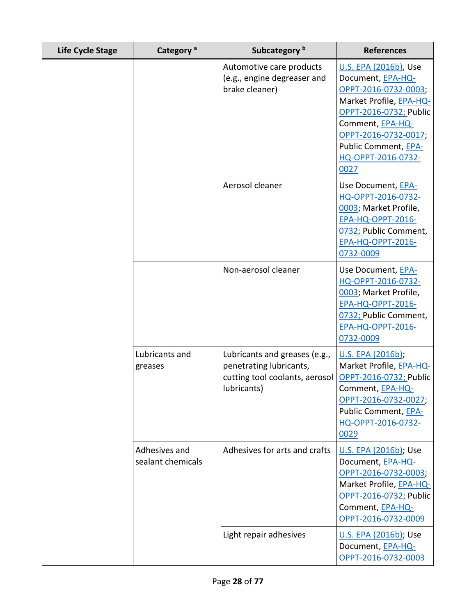| <b>Life Cycle Stage</b> | Category <sup>a</sup>              | Subcategory <sup>b</sup>                                                                                  | <b>References</b>                                                                                                                                                                                                         |
|-------------------------|------------------------------------|-----------------------------------------------------------------------------------------------------------|---------------------------------------------------------------------------------------------------------------------------------------------------------------------------------------------------------------------------|
|                         |                                    | Automotive care products<br>(e.g., engine degreaser and<br>brake cleaner)                                 | U.S. EPA (2016b), Use<br>Document, EPA-HQ-<br>OPPT-2016-0732-0003;<br>Market Profile, EPA-HQ-<br>OPPT-2016-0732; Public<br>Comment, EPA-HQ-<br>OPPT-2016-0732-0017;<br>Public Comment, EPA-<br>HQ-OPPT-2016-0732-<br>0027 |
|                         |                                    | Aerosol cleaner                                                                                           | Use Document, EPA-<br>HQ-OPPT-2016-0732-<br>0003; Market Profile,<br><b>EPA-HQ-OPPT-2016-</b><br>0732; Public Comment,<br>EPA-HQ-OPPT-2016-<br>0732-0009                                                                  |
|                         |                                    | Non-aerosol cleaner                                                                                       | Use Document, EPA-<br>HQ-OPPT-2016-0732-<br>0003; Market Profile,<br><b>EPA-HQ-OPPT-2016-</b><br>0732; Public Comment,<br><b>EPA-HQ-OPPT-2016-</b><br>0732-0009                                                           |
|                         | Lubricants and<br>greases          | Lubricants and greases (e.g.,<br>penetrating lubricants,<br>cutting tool coolants, aerosol<br>lubricants) | U.S. EPA (2016b);<br>Market Profile, EPA-HQ-<br>OPPT-2016-0732; Public<br>Comment, EPA-HQ-<br>OPPT-2016-0732-0027;<br>Public Comment, EPA-<br>HQ-OPPT-2016-0732-<br>0029                                                  |
|                         | Adhesives and<br>sealant chemicals | Adhesives for arts and crafts                                                                             | U.S. EPA (2016b); Use<br>Document, EPA-HQ-<br>OPPT-2016-0732-0003;<br>Market Profile, EPA-HQ-<br>OPPT-2016-0732; Public<br>Comment, EPA-HQ-<br>OPPT-2016-0732-0009                                                        |
|                         |                                    | Light repair adhesives                                                                                    | <u>U.S. EPA (2016b)</u> ; Use<br>Document, EPA-HQ-<br>OPPT-2016-0732-0003                                                                                                                                                 |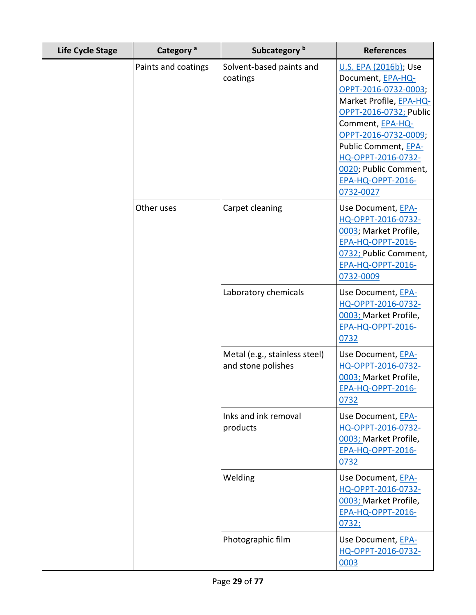| Category <sup>a</sup><br><b>Life Cycle Stage</b> |                     | Subcategory <sup>b</sup>                            | <b>References</b>                                                                                                                                                                                                                                                                   |  |
|--------------------------------------------------|---------------------|-----------------------------------------------------|-------------------------------------------------------------------------------------------------------------------------------------------------------------------------------------------------------------------------------------------------------------------------------------|--|
|                                                  | Paints and coatings | Solvent-based paints and<br>coatings                | U.S. EPA (2016b); Use<br>Document, EPA-HQ-<br>OPPT-2016-0732-0003;<br>Market Profile, EPA-HQ-<br>OPPT-2016-0732; Public<br>Comment, EPA-HQ-<br>OPPT-2016-0732-0009;<br>Public Comment, EPA-<br>HQ-OPPT-2016-0732-<br>0020; Public Comment,<br><b>EPA-HQ-OPPT-2016-</b><br>0732-0027 |  |
|                                                  | Other uses          | Carpet cleaning                                     | Use Document, EPA-<br>HQ-OPPT-2016-0732-<br>0003; Market Profile,<br><b>EPA-HQ-OPPT-2016-</b><br>0732; Public Comment,<br><b>EPA-HQ-OPPT-2016-</b><br>0732-0009                                                                                                                     |  |
|                                                  |                     | Laboratory chemicals                                | Use Document, EPA-<br>HQ-OPPT-2016-0732-<br>0003; Market Profile,<br><b>EPA-HQ-OPPT-2016-</b><br>0732                                                                                                                                                                               |  |
|                                                  |                     | Metal (e.g., stainless steel)<br>and stone polishes | Use Document, EPA-<br>HQ-OPPT-2016-0732-<br>0003; Market Profile,<br><b>EPA-HQ-OPPT-2016-</b><br>0732                                                                                                                                                                               |  |
|                                                  |                     | Inks and ink removal<br>products                    | Use Document, EPA-<br>HQ-OPPT-2016-0732-<br>0003; Market Profile,<br><b>EPA-HQ-OPPT-2016-</b><br>0732                                                                                                                                                                               |  |
|                                                  |                     | Welding                                             | Use Document, EPA-<br>HQ-OPPT-2016-0732-<br>0003; Market Profile,<br><b>EPA-HQ-OPPT-2016-</b><br>0732;                                                                                                                                                                              |  |
|                                                  |                     | Photographic film                                   | Use Document, EPA-<br>HQ-OPPT-2016-0732-<br>0003                                                                                                                                                                                                                                    |  |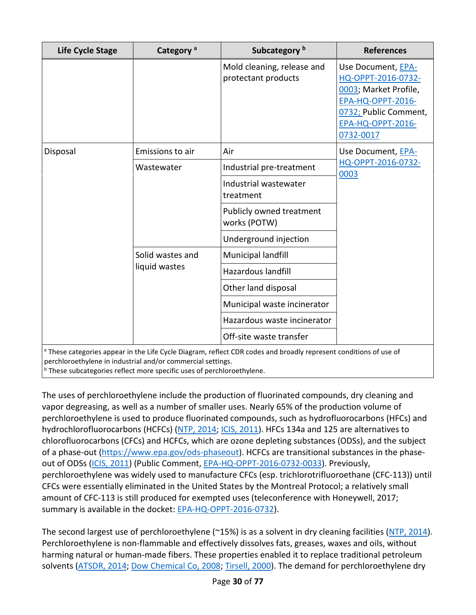| <b>Life Cycle Stage</b>                                     | Category <sup>a</sup>             | Subcategory <sup>b</sup>                                                                                                     | <b>References</b>                                                                                                                                               |
|-------------------------------------------------------------|-----------------------------------|------------------------------------------------------------------------------------------------------------------------------|-----------------------------------------------------------------------------------------------------------------------------------------------------------------|
|                                                             |                                   | Mold cleaning, release and<br>protectant products                                                                            | Use Document, EPA-<br>HQ-OPPT-2016-0732-<br>0003; Market Profile,<br><b>EPA-HQ-OPPT-2016-</b><br>0732; Public Comment,<br><b>EPA-HQ-OPPT-2016-</b><br>0732-0017 |
| Disposal                                                    | Emissions to air                  | Air                                                                                                                          | Use Document, EPA-                                                                                                                                              |
|                                                             | Wastewater                        | Industrial pre-treatment                                                                                                     | HQ-OPPT-2016-0732-<br>0003                                                                                                                                      |
|                                                             |                                   | Industrial wastewater<br>treatment                                                                                           |                                                                                                                                                                 |
|                                                             |                                   | Publicly owned treatment<br>works (POTW)                                                                                     |                                                                                                                                                                 |
|                                                             |                                   | Underground injection                                                                                                        |                                                                                                                                                                 |
|                                                             | Solid wastes and<br>liquid wastes | Municipal landfill                                                                                                           |                                                                                                                                                                 |
|                                                             |                                   | Hazardous landfill                                                                                                           |                                                                                                                                                                 |
|                                                             |                                   | Other land disposal                                                                                                          |                                                                                                                                                                 |
|                                                             |                                   | Municipal waste incinerator                                                                                                  |                                                                                                                                                                 |
|                                                             |                                   | Hazardous waste incinerator                                                                                                  |                                                                                                                                                                 |
|                                                             |                                   | Off-site waste transfer                                                                                                      |                                                                                                                                                                 |
| perchloroethylene in industrial and/or commercial settings. |                                   | <sup>a</sup> These categories appear in the Life Cycle Diagram, reflect CDR codes and broadly represent conditions of use of |                                                                                                                                                                 |

These subcategories reflect more specific uses of perchloroethylene.

The uses of perchloroethylene include the production of fluorinated compounds, dry cleaning and vapor degreasing, as well as a number of smaller uses. Nearly 65% of the production volume of perchloroethylene is used to produce fluorinated compounds, such as hydrofluorocarbons (HFCs) and hydrochlorofluorocarbons (HCFCs) [\(NTP, 2014;](http://hero.epa.gov/index.cfm?action=search.view&reference_id=2825907) [ICIS, 2011\)](http://hero.epa.gov/index.cfm?action=search.view&reference_id=3839194). HFCs 134a and 125 are alternatives to chlorofluorocarbons (CFCs) and HCFCs, which are ozone depleting substances (ODSs), and the subject of a phase-out [\(https://www.epa.gov/ods-phaseout\)](https://www.epa.gov/ods-phaseout). HCFCs are transitional substances in the phaseout of ODSs [\(ICIS, 2011\)](http://hero.epa.gov/index.cfm?action=search.view&reference_id=3839194) (Public Comment, [EPA-HQ-OPPT-2016-0732-0033\)](https://www.regulations.gov/document?D=EPA-HQ-OPPT-2016-0732-0033). Previously, perchloroethylene was widely used to manufacture CFCs (esp. trichlorotrifluoroethane (CFC-113)) until CFCs were essentially eliminated in the United States by the Montreal Protocol; a relatively small amount of CFC-113 is still produced for exempted uses (teleconference with Honeywell, 2017; summary is available in the docket: [EPA-HQ-OPPT-2016-0732\)](https://www.regulations.gov/docket?D=EPA-HQ-OPPT-2016-0732).

The second largest use of perchloroethylene (~15%) is as a solvent in dry cleaning facilities [\(NTP, 2014\)](http://hero.epa.gov/index.cfm?action=search.view&reference_id=2825907). Perchloroethylene is non-flammable and effectively dissolves fats, greases, waxes and oils, without harming natural or human-made fibers. These properties enabled it to replace traditional petroleum solvents [\(ATSDR, 2014;](http://hero.epa.gov/index.cfm?action=search.view&reference_id=2990770) [Dow Chemical Co, 2008;](http://hero.epa.gov/index.cfm?action=search.view&reference_id=3797950) [Tirsell, 2000\)](http://hero.epa.gov/index.cfm?action=search.view&reference_id=3827370). The demand for perchloroethylene dry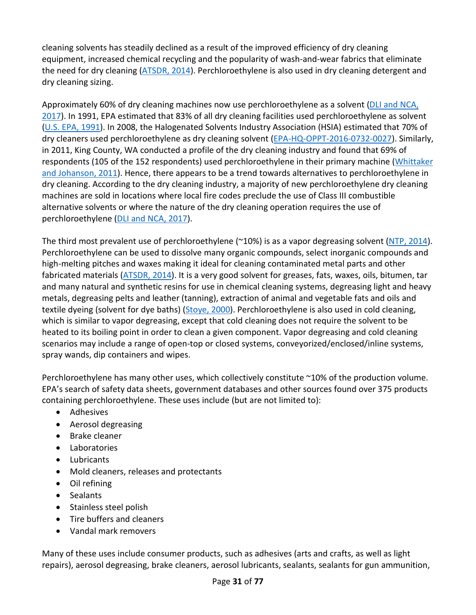cleaning solvents has steadily declined as a result of the improved efficiency of dry cleaning equipment, increased chemical recycling and the popularity of wash-and-wear fabrics that eliminate the need for dry cleaning [\(ATSDR, 2014\)](http://hero.epa.gov/index.cfm?action=search.view&reference_id=2990770). Perchloroethylene is also used in dry cleaning detergent and dry cleaning sizing.

Approximately 60% of dry cleaning machines now use perchloroethylene as a solvent [\(DLI and NCA,](http://hero.epa.gov/index.cfm?action=search.view&reference_id=3827403)  [2017\)](http://hero.epa.gov/index.cfm?action=search.view&reference_id=3827403). In 1991, EPA estimated that 83% of all dry cleaning facilities used perchloroethylene as solvent [\(U.S. EPA, 1991\)](http://hero.epa.gov/index.cfm?action=search.view&reference_id=3827363). In 2008, the Halogenated Solvents Industry Association (HSIA) estimated that 70% of dry cleaners used perchloroethylene as dry cleaning solvent [\(EPA-HQ-OPPT-2016-0732-0027\)](https://www.regulations.gov/document?D=EPA-HQ-OPPT-2016-0732-0027). Similarly, in 2011, King County, WA conducted a profile of the dry cleaning industry and found that 69% of respondents (105 of the 152 respondents) used perchloroethylene in their primary machine (Whittaker [and Johanson, 2011\)](http://hero.epa.gov/index.cfm?action=search.view&reference_id=3827371). Hence, there appears to be a trend towards alternatives to perchloroethylene in dry cleaning. According to the dry cleaning industry, a majority of new perchloroethylene dry cleaning machines are sold in locations where local fire codes preclude the use of Class III combustible alternative solvents or where the nature of the dry cleaning operation requires the use of perchloroethylene [\(DLI and NCA, 2017\)](http://hero.epa.gov/index.cfm?action=search.view&reference_id=3827403).

The third most prevalent use of perchloroethylene (~10%) is as a vapor degreasing solvent [\(NTP, 2014\)](http://hero.epa.gov/index.cfm?action=search.view&reference_id=2825907). Perchloroethylene can be used to dissolve many organic compounds, select inorganic compounds and high-melting pitches and waxes making it ideal for cleaning contaminated metal parts and other fabricated materials [\(ATSDR, 2014\)](http://hero.epa.gov/index.cfm?action=search.view&reference_id=2990770). It is a very good solvent for greases, fats, waxes, oils, bitumen, tar and many natural and synthetic resins for use in chemical cleaning systems, degreasing light and heavy metals, degreasing pelts and leather (tanning), extraction of animal and vegetable fats and oils and textile dyeing (solvent for dye baths) [\(Stoye, 2000\)](http://hero.epa.gov/index.cfm?action=search.view&reference_id=3827368). Perchloroethylene is also used in cold cleaning, which is similar to vapor degreasing, except that cold cleaning does not require the solvent to be heated to its boiling point in order to clean a given component. Vapor degreasing and cold cleaning scenarios may include a range of open-top or closed systems, conveyorized/enclosed/inline systems, spray wands, dip containers and wipes.

Perchloroethylene has many other uses, which collectively constitute ~10% of the production volume. EPA's search of safety data sheets, government databases and other sources found over 375 products containing perchloroethylene. These uses include (but are not limited to):

- Adhesives
- Aerosol degreasing
- Brake cleaner
- Laboratories
- Lubricants
- Mold cleaners, releases and protectants
- Oil refining
- Sealants
- Stainless steel polish
- Tire buffers and cleaners
- Vandal mark removers

Many of these uses include consumer products, such as adhesives (arts and crafts, as well as light repairs), aerosol degreasing, brake cleaners, aerosol lubricants, sealants, sealants for gun ammunition,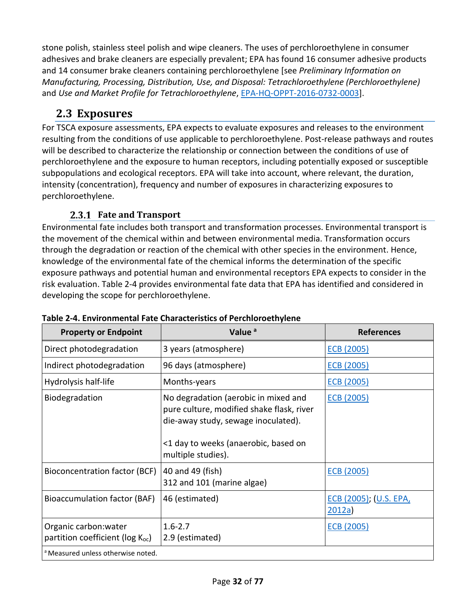stone polish, stainless steel polish and wipe cleaners. The uses of perchloroethylene in consumer adhesives and brake cleaners are especially prevalent; EPA has found 16 consumer adhesive products and 14 consumer brake cleaners containing perchloroethylene [see *Preliminary Information on Manufacturing, Processing, Distribution, Use, and Disposal: Tetrachloroethylene (Perchloroethylene)* and *Use and Market Profile for Tetrachloroethylene*, [EPA-HQ-OPPT-2016-0732-0003\]](https://www.regulations.gov/document?D=EPA-HQ-OPPT-2016-0732-0003).

## <span id="page-31-0"></span>**2.3 Exposures**

For TSCA exposure assessments, EPA expects to evaluate exposures and releases to the environment resulting from the conditions of use applicable to perchloroethylene. Post-release pathways and routes will be described to characterize the relationship or connection between the conditions of use of perchloroethylene and the exposure to human receptors, including potentially exposed or susceptible subpopulations and ecological receptors. EPA will take into account, where relevant, the duration, intensity (concentration), frequency and number of exposures in characterizing exposures to perchloroethylene.

### **Fate and Transport**

<span id="page-31-1"></span>Environmental fate includes both transport and transformation processes. Environmental transport is the movement of the chemical within and between environmental media. Transformation occurs through the degradation or reaction of the chemical with other species in the environment. Hence, knowledge of the environmental fate of the chemical informs the determination of the specific exposure pathways and potential human and environmental receptors EPA expects to consider in the risk evaluation. [Table 2-4](#page-31-2) provides environmental fate data that EPA has identified and considered in developing the scope for perchloroethylene.

| <b>Property or Endpoint</b>                                     | Value <sup>a</sup>                                                                                                                                                                     | <b>References</b>                |
|-----------------------------------------------------------------|----------------------------------------------------------------------------------------------------------------------------------------------------------------------------------------|----------------------------------|
| Direct photodegradation                                         | 3 years (atmosphere)                                                                                                                                                                   | <b>ECB (2005)</b>                |
| Indirect photodegradation                                       | 96 days (atmosphere)                                                                                                                                                                   | ECB (2005)                       |
| Hydrolysis half-life                                            | Months-years                                                                                                                                                                           | <b>ECB (2005)</b>                |
| Biodegradation                                                  | No degradation (aerobic in mixed and<br>pure culture, modified shake flask, river<br>die-away study, sewage inoculated).<br><1 day to weeks (anaerobic, based on<br>multiple studies). | <b>ECB (2005)</b>                |
| Bioconcentration factor (BCF)                                   | 40 and 49 (fish)<br>312 and 101 (marine algae)                                                                                                                                         | ECB (2005)                       |
| Bioaccumulation factor (BAF)                                    | 46 (estimated)                                                                                                                                                                         | ECB (2005); (U.S. EPA,<br>2012a) |
| Organic carbon: water<br>partition coefficient ( $log K_{oc}$ ) | $1.6 - 2.7$<br>2.9 (estimated)                                                                                                                                                         | ECB (2005)                       |
| <sup>a</sup> Measured unless otherwise noted.                   |                                                                                                                                                                                        |                                  |

### <span id="page-31-2"></span>**Table 2-4. Environmental Fate Characteristics of Perchloroethylene**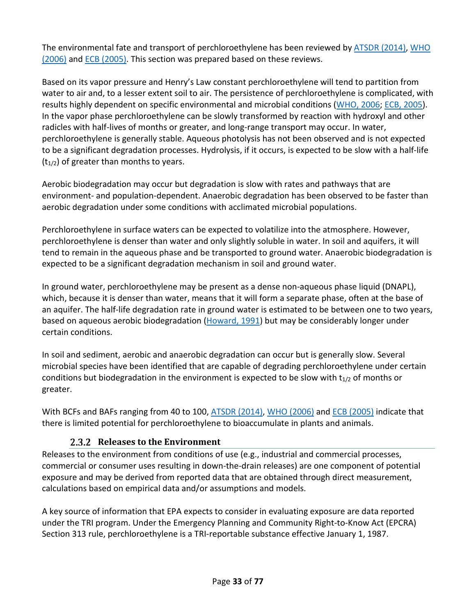The environmental fate and transport of perchloroethylene has been reviewed by [ATSDR \(2014\),](http://hero.epa.gov/index.cfm?action=search.view&reference_id=2990770) [WHO](http://hero.epa.gov/index.cfm?action=search.view&reference_id=631155)  (2006) and [ECB \(2005\).](http://hero.epa.gov/index.cfm?action=search.view&reference_id=3839195) This section was prepared based on these reviews.

Based on its vapor pressure and Henry's Law constant perchloroethylene will tend to partition from water to air and, to a lesser extent soil to air. The persistence of perchloroethylene is complicated, with results highly dependent on specific environmental and microbial conditions [\(WHO, 2006;](http://hero.epa.gov/index.cfm?action=search.view&reference_id=631155) [ECB, 2005\)](http://hero.epa.gov/index.cfm?action=search.view&reference_id=3839195). In the vapor phase perchloroethylene can be slowly transformed by reaction with hydroxyl and other radicles with half-lives of months or greater, and long-range transport may occur. In water, perchloroethylene is generally stable. Aqueous photolysis has not been observed and is not expected to be a significant degradation processes. Hydrolysis, if it occurs, is expected to be slow with a half-life  $(t_{1/2})$  of greater than months to years.

Aerobic biodegradation may occur but degradation is slow with rates and pathways that are environment- and population-dependent. Anaerobic degradation has been observed to be faster than aerobic degradation under some conditions with acclimated microbial populations.

Perchloroethylene in surface waters can be expected to volatilize into the atmosphere. However, perchloroethylene is denser than water and only slightly soluble in water. In soil and aquifers, it will tend to remain in the aqueous phase and be transported to ground water. Anaerobic biodegradation is expected to be a significant degradation mechanism in soil and ground water.

In ground water, perchloroethylene may be present as a dense non-aqueous phase liquid (DNAPL), which, because it is denser than water, means that it will form a separate phase, often at the base of an aquifer. The half-life degradation rate in ground water is estimated to be between one to two years, based on aqueous aerobic biodegradation [\(Howard, 1991\)](http://hero.epa.gov/index.cfm?action=search.view&reference_id=3828846) but may be considerably longer under certain conditions.

In soil and sediment, aerobic and anaerobic degradation can occur but is generally slow. Several microbial species have been identified that are capable of degrading perchloroethylene under certain conditions but biodegradation in the environment is expected to be slow with  $t_{1/2}$  of months or greater.

With BCFs and BAFs ranging from 40 to 100, [ATSDR \(2014\),](http://hero.epa.gov/index.cfm?action=search.view&reference_id=2990770) [WHO \(2006\)](http://hero.epa.gov/index.cfm?action=search.view&reference_id=631155) and [ECB \(2005\)](http://hero.epa.gov/index.cfm?action=search.view&reference_id=3839195) indicate that there is limited potential for perchloroethylene to bioaccumulate in plants and animals.

### **Releases to the Environment**

<span id="page-32-0"></span>Releases to the environment from conditions of use (e.g., industrial and commercial processes, commercial or consumer uses resulting in down-the-drain releases) are one component of potential exposure and may be derived from reported data that are obtained through direct measurement, calculations based on empirical data and/or assumptions and models.

A key source of information that EPA expects to consider in evaluating exposure are data reported under the TRI program. Under the Emergency Planning and Community Right-to-Know Act (EPCRA) Section 313 rule, perchloroethylene is a TRI-reportable substance effective January 1, 1987.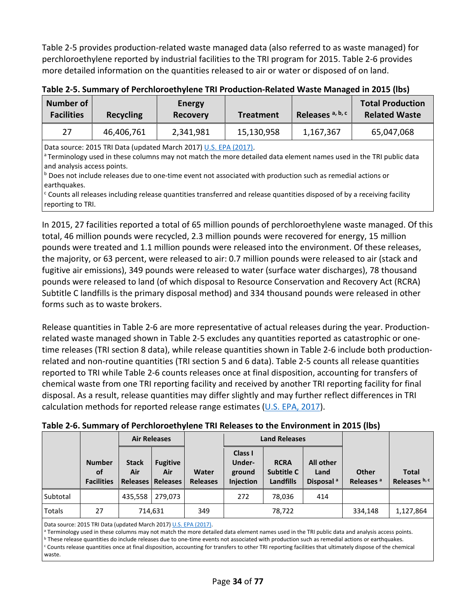[Table 2-5](#page-33-0) provides production-related waste managed data (also referred to as waste managed) for perchloroethylene reported by industrial facilities to the TRI program for 2015[. Table 2-6](#page-33-1) provides more detailed information on the quantities released to air or water or disposed of on land.

| Number of<br><b>Facilities</b> | Recycling  | <b>Energy</b><br><b>Recovery</b> | <b>Treatment</b> | Releases <sup>a, b, c</sup> | <b>Total Production</b><br><b>Related Waste</b> |
|--------------------------------|------------|----------------------------------|------------------|-----------------------------|-------------------------------------------------|
| 27                             | 46,406,761 | 2,341,981                        | 15,130,958       | 1,167,367                   | 65,047,068                                      |

<span id="page-33-0"></span>**Table 2-5. Summary of Perchloroethylene TRI Production-Related Waste Managed in 2015 (lbs)**

Data source: 2015 TRI Data (updated March 2017) [U.S. EPA \(2017\).](http://hero.epa.gov/index.cfm?action=search.view&reference_id=3834224) <sup>a</sup> Terminology used in these columns may not match the more detailed data element names used in the TRI public data and analysis access points.

 $c$  Counts all releases including release quantities transferred and release quantities disposed of by a receiving facility reporting to TRI.

In 2015, 27 facilities reported a total of 65 million pounds of perchloroethylene waste managed. Of this total, 46 million pounds were recycled, 2.3 million pounds were recovered for energy, 15 million pounds were treated and 1.1 million pounds were released into the environment. Of these releases, the majority, or 63 percent, were released to air: 0.7 million pounds were released to air (stack and fugitive air emissions), 349 pounds were released to water (surface water discharges), 78 thousand pounds were released to land (of which disposal to Resource Conservation and Recovery Act (RCRA) Subtitle C landfills is the primary disposal method) and 334 thousand pounds were released in other forms such as to waste brokers.

Release quantities i[n Table 2-6](#page-33-1) are more representative of actual releases during the year. Productionrelated waste managed shown in [Table 2-5](#page-33-0) excludes any quantities reported as catastrophic or onetime releases (TRI section 8 data), while release quantities shown i[n Table 2-6](#page-33-1) include both productionrelated and non-routine quantities (TRI section 5 and 6 data). [Table 2-5](#page-33-0) counts all release quantities reported to TRI while [Table 2-6](#page-33-1) counts releases once at final disposition, accounting for transfers of chemical waste from one TRI reporting facility and received by another TRI reporting facility for final disposal. As a result, release quantities may differ slightly and may further reflect differences in TRI calculation methods for reported release range estimates [\(U.S. EPA, 2017\)](http://hero.epa.gov/index.cfm?action=search.view&reference_id=3834224).

|          |                                          |                     | <b>Air Releases</b>                           |                          | <b>Land Releases</b>                     |                                               |                                            |                                |                               |
|----------|------------------------------------------|---------------------|-----------------------------------------------|--------------------------|------------------------------------------|-----------------------------------------------|--------------------------------------------|--------------------------------|-------------------------------|
|          | <b>Number</b><br>οf<br><b>Facilities</b> | <b>Stack</b><br>Air | <b>Fugitive</b><br>Air<br>Releases   Releases | Water<br><b>Releases</b> | Class I<br>Under-<br>ground<br>Injection | <b>RCRA</b><br><b>Subtitle C</b><br>Landfills | All other<br>Land<br>Disposal <sup>a</sup> | Other<br>Releases <sup>a</sup> | <b>Total</b><br>Releases b, c |
| Subtotal |                                          | 435,558             | 279,073                                       |                          | 272                                      | 78,036                                        | 414                                        |                                |                               |
| Totals   | 27                                       |                     | 714,631                                       | 349                      |                                          | 78,722                                        |                                            | 334,148                        | 1,127,864                     |

#### <span id="page-33-1"></span>**Table 2-6. Summary of Perchloroethylene TRI Releases to the Environment in 2015 (lbs)**

Data source: 2015 TRI Data (updated March 2017[\) U.S. EPA \(2017\).](http://hero.epa.gov/index.cfm?action=search.view&reference_id=3834224)

<sup>a</sup> Terminology used in these columns may not match the more detailed data element names used in the TRI public data and analysis access points.<br><sup>b</sup> These release quantities do include releases due to one-time events not a

<sup>c</sup> Counts release quantities once at final disposition, accounting for transfers to other TRI reporting facilities that ultimately dispose of the chemical

waste.

**b** Does not include releases due to one-time event not associated with production such as remedial actions or earthquakes.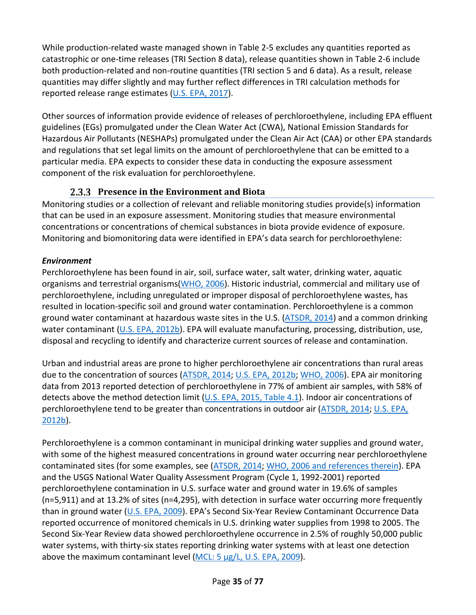While production-related waste managed shown in [Table 2-5](#page-33-0) excludes any quantities reported as catastrophic or one-time releases (TRI Section 8 data), release quantities shown in [Table 2-6](#page-33-1) include both production-related and non-routine quantities (TRI section 5 and 6 data). As a result, release quantities may differ slightly and may further reflect differences in TRI calculation methods for reported release range estimates [\(U.S. EPA, 2017\)](http://hero.epa.gov/index.cfm?action=search.view&reference_id=3834224).

Other sources of information provide evidence of releases of perchloroethylene, including EPA effluent guidelines (EGs) promulgated under the Clean Water Act (CWA), National Emission Standards for Hazardous Air Pollutants (NESHAPs) promulgated under the Clean Air Act (CAA) or other EPA standards and regulations that set legal limits on the amount of perchloroethylene that can be emitted to a particular media. EPA expects to consider these data in conducting the exposure assessment component of the risk evaluation for perchloroethylene.

### **Presence in the Environment and Biota**

<span id="page-34-0"></span>Monitoring studies or a collection of relevant and reliable monitoring studies provide(s) information that can be used in an exposure assessment. Monitoring studies that measure environmental concentrations or concentrations of chemical substances in biota provide evidence of exposure. Monitoring and biomonitoring data were identified in EPA's data search for perchloroethylene:

### *Environment*

Perchloroethylene has been found in air, soil, surface water, salt water, drinking water, aquatic organisms and terrestrial organisms[\(WHO, 2006\)](http://hero.epa.gov/index.cfm?action=search.view&reference_id=631155). Historic industrial, commercial and military use of perchloroethylene, including unregulated or improper disposal of perchloroethylene wastes, has resulted in location-specific soil and ground water contamination. Perchloroethylene is a common ground water contaminant at hazardous waste sites in the U.S. [\(ATSDR, 2014\)](http://hero.epa.gov/index.cfm?action=search.view&reference_id=2990770) and a common drinking water contaminant [\(U.S. EPA, 2012b\)](http://hero.epa.gov/index.cfm?action=search.view&reference_id=3491015). EPA will evaluate manufacturing, processing, distribution, use, disposal and recycling to identify and characterize current sources of release and contamination.

Urban and industrial areas are prone to higher perchloroethylene air concentrations than rural areas due to the concentration of sources [\(ATSDR, 2014;](http://hero.epa.gov/index.cfm?action=search.view&reference_id=2990770) [U.S. EPA, 2012b;](http://hero.epa.gov/index.cfm?action=search.view&reference_id=3491015) [WHO, 2006\)](http://hero.epa.gov/index.cfm?action=search.view&reference_id=631155). EPA air monitoring data from 2013 reported detection of perchloroethylene in 77% of ambient air samples, with 58% of detects above the method detection limit [\(U.S. EPA, 2015, Table 4.1\)](http://hero.epa.gov/index.cfm?action=search.view&reference_id=3827235). Indoor air concentrations of perchloroethylene tend to be greater than concentrations in outdoor air [\(ATSDR, 2014;](http://hero.epa.gov/index.cfm?action=search.view&reference_id=2990770) [U.S. EPA,](http://hero.epa.gov/index.cfm?action=search.view&reference_id=3491015)  [2012b\)](http://hero.epa.gov/index.cfm?action=search.view&reference_id=3491015).

Perchloroethylene is a common contaminant in municipal drinking water supplies and ground water, with some of the highest measured concentrations in ground water occurring near perchloroethylene contaminated sites (for some examples, see [\(ATSDR, 2014;](http://hero.epa.gov/index.cfm?action=search.view&reference_id=2990770) [WHO, 2006 and references therein\)](http://hero.epa.gov/index.cfm?action=search.view&reference_id=631155). EPA and the USGS National Water Quality Assessment Program (Cycle 1, 1992-2001) reported perchloroethylene contamination in U.S. surface water and ground water in 19.6% of samples (n=5,911) and at 13.2% of sites (n=4,295), with detection in surface water occurring more frequently than in ground water [\(U.S. EPA, 2009\)](http://hero.epa.gov/index.cfm?action=search.view&reference_id=3827379). EPA's Second Six-Year Review Contaminant Occurrence Data reported occurrence of monitored chemicals in U.S. drinking water supplies from 1998 to 2005. The Second Six-Year Review data showed perchloroethylene occurrence in 2.5% of roughly 50,000 public water systems, with thirty-six states reporting drinking water systems with at least one detection above the maximum contaminant level [\(MCL: 5 µg/L, U.S. EPA, 2009\)](http://hero.epa.gov/index.cfm?action=search.view&reference_id=3827379).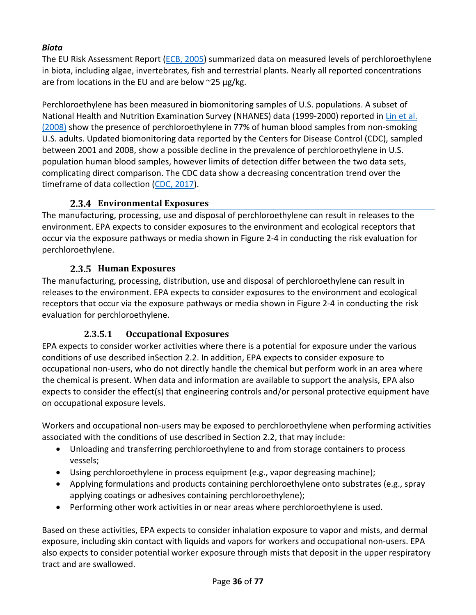### *Biota*

The EU Risk Assessment Report [\(ECB, 2005\)](http://hero.epa.gov/index.cfm?action=search.view&reference_id=3839195) summarized data on measured levels of perchloroethylene in biota, including algae, invertebrates, fish and terrestrial plants. Nearly all reported concentrations are from locations in the EU and are below  $\approx$ 25 µg/kg.

Perchloroethylene has been measured in biomonitoring samples of U.S. populations. A subset of National Health and Nutrition Examination Survey (NHANES) data (1999-2000) reported in Lin et al. (2008) show the presence of perchloroethylene in 77% of human blood samples from non-smoking U.S. adults. Updated biomonitoring data reported by the Centers for Disease Control (CDC), sampled between 2001 and 2008, show a possible decline in the prevalence of perchloroethylene in U.S. population human blood samples, however limits of detection differ between the two data sets, complicating direct comparison. The CDC data show a decreasing concentration trend over the timeframe of data collection [\(CDC, 2017\)](http://hero.epa.gov/index.cfm?action=search.view&reference_id=3827236).

### **Environmental Exposures**

<span id="page-35-0"></span>The manufacturing, processing, use and disposal of perchloroethylene can result in releases to the environment. EPA expects to consider exposures to the environment and ecological receptors that occur via the exposure pathways or media shown in [Figure 2-4](#page-47-0) in conducting the risk evaluation for perchloroethylene.

### **Human Exposures**

<span id="page-35-1"></span>The manufacturing, processing, distribution, use and disposal of perchloroethylene can result in releases to the environment. EPA expects to consider exposures to the environment and ecological receptors that occur via the exposure pathways or media shown in [Figure 2-4](#page-47-0) in conducting the risk evaluation for perchloroethylene.

### **2.3.5.1 Occupational Exposures**

<span id="page-35-2"></span>EPA expects to consider worker activities where there is a potential for exposure under the various conditions of use described inSection [2.2.](#page-18-0) In addition, EPA expects to consider exposure to occupational non-users, who do not directly handle the chemical but perform work in an area where the chemical is present. When data and information are available to support the analysis, EPA also expects to consider the effect(s) that engineering controls and/or personal protective equipment have on occupational exposure levels.

Workers and occupational non-users may be exposed to perchloroethylene when performing activities associated with the conditions of use described in Section [2.2,](#page-18-0) that may include:

- Unloading and transferring perchloroethylene to and from storage containers to process vessels;
- Using perchloroethylene in process equipment (e.g., vapor degreasing machine);
- Applying formulations and products containing perchloroethylene onto substrates (e.g., spray applying coatings or adhesives containing perchloroethylene);
- Performing other work activities in or near areas where perchloroethylene is used.

Based on these activities, EPA expects to consider inhalation exposure to vapor and mists, and dermal exposure, including skin contact with liquids and vapors for workers and occupational non-users. EPA also expects to consider potential worker exposure through mists that deposit in the upper respiratory tract and are swallowed.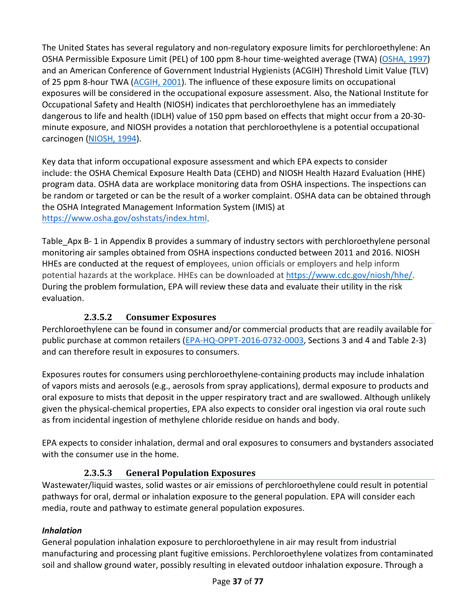The United States has several regulatory and non-regulatory exposure limits for perchloroethylene: An OSHA Permissible Exposure Limit (PEL) of 100 ppm 8-hour time-weighted average (TWA) [\(OSHA, 1997\)](http://hero.epa.gov/index.cfm?action=search.view&reference_id=3838548) and an American Conference of Government Industrial Hygienists (ACGIH) Threshold Limit Value (TLV) of 25 ppm 8-hour TWA [\(ACGIH, 2001\)](http://hero.epa.gov/index.cfm?action=search.view&reference_id=594530). The influence of these exposure limits on occupational exposures will be considered in the occupational exposure assessment. Also, the National Institute for Occupational Safety and Health (NIOSH) indicates that perchloroethylene has an immediately dangerous to life and health (IDLH) value of 150 ppm based on effects that might occur from a 20-30 minute exposure, and NIOSH provides a notation that perchloroethylene is a potential occupational carcinogen [\(NIOSH, 1994\)](http://hero.epa.gov/index.cfm?action=search.view&reference_id=3838549).

Key data that inform occupational exposure assessment and which EPA expects to consider include: the OSHA Chemical Exposure Health Data (CEHD) and NIOSH Health Hazard Evaluation (HHE) program data. OSHA data are workplace monitoring data from OSHA inspections. The inspections can be random or targeted or can be the result of a worker complaint. OSHA data can be obtained through the OSHA Integrated Management Information System (IMIS) at [https://www.osha.gov/oshstats/index.html.](https://www.osha.gov/oshstats/index.html)

Table Apx B- 1 in Appendix B provides a summary of industry sectors with perchloroethylene personal monitoring air samples obtained from OSHA inspections conducted between 2011 and 2016. NIOSH HHEs are conducted at the request of employees, union officials or employers and help inform potential hazards at the workplace. HHEs can be downloaded at [https://www.cdc.gov/niosh/hhe/.](https://www.cdc.gov/niosh/hhe/) During the problem formulation, EPA will review these data and evaluate their utility in the risk evaluation.

# **2.3.5.2 Consumer Exposures**

Perchloroethylene can be found in consumer and/or commercial products that are readily available for public purchase at common retailers [\(EPA-HQ-OPPT-2016-0732-0003,](https://www.regulations.gov/document?D=EPA-HQ-OPPT-2016-0732-0003) Sections 3 and 4 and [Table 2-3\)](#page-22-0) and can therefore result in exposures to consumers.

Exposures routes for consumers using perchloroethylene-containing products may include inhalation of vapors mists and aerosols (e.g., aerosols from spray applications), dermal exposure to products and oral exposure to mists that deposit in the upper respiratory tract and are swallowed. Although unlikely given the physical-chemical properties, EPA also expects to consider oral ingestion via oral route such as from incidental ingestion of methylene chloride residue on hands and body.

EPA expects to consider inhalation, dermal and oral exposures to consumers and bystanders associated with the consumer use in the home.

# **2.3.5.3 General Population Exposures**

Wastewater/liquid wastes, solid wastes or air emissions of perchloroethylene could result in potential pathways for oral, dermal or inhalation exposure to the general population. EPA will consider each media, route and pathway to estimate general population exposures.

# *Inhalation*

General population inhalation exposure to perchloroethylene in air may result from industrial manufacturing and processing plant fugitive emissions. Perchloroethylene volatizes from contaminated soil and shallow ground water, possibly resulting in elevated outdoor inhalation exposure. Through a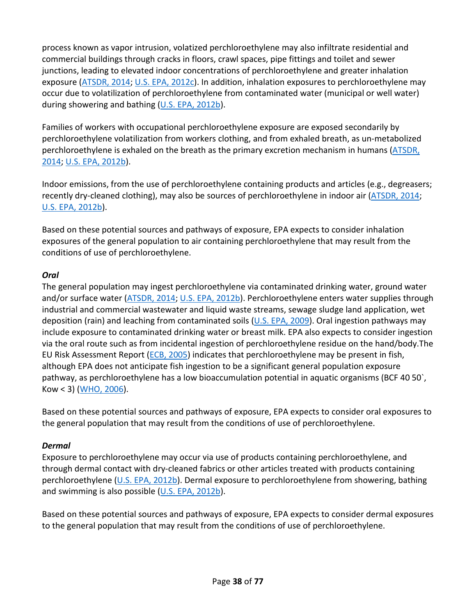process known as vapor intrusion, volatized perchloroethylene may also infiltrate residential and commercial buildings through cracks in floors, crawl spaces, pipe fittings and toilet and sewer junctions, leading to elevated indoor concentrations of perchloroethylene and greater inhalation exposure [\(ATSDR, 2014;](http://hero.epa.gov/index.cfm?action=search.view&reference_id=2990770) [U.S. EPA, 2012c\)](http://hero.epa.gov/index.cfm?action=search.view&reference_id=3827389). In addition, inhalation exposures to perchloroethylene may occur due to volatilization of perchloroethylene from contaminated water (municipal or well water) during showering and bathing [\(U.S. EPA, 2012b\)](http://hero.epa.gov/index.cfm?action=search.view&reference_id=3491015).

Families of workers with occupational perchloroethylene exposure are exposed secondarily by perchloroethylene volatilization from workers clothing, and from exhaled breath, as un-metabolized perchloroethylene is exhaled on the breath as the primary excretion mechanism in humans (ATSDR, [2014;](http://hero.epa.gov/index.cfm?action=search.view&reference_id=2990770) [U.S. EPA, 2012b\)](http://hero.epa.gov/index.cfm?action=search.view&reference_id=3491015).

Indoor emissions, from the use of perchloroethylene containing products and articles (e.g., degreasers; recently dry-cleaned clothing), may also be sources of perchloroethylene in indoor air [\(ATSDR, 2014;](http://hero.epa.gov/index.cfm?action=search.view&reference_id=2990770) [U.S. EPA, 2012b\)](http://hero.epa.gov/index.cfm?action=search.view&reference_id=3491015).

Based on these potential sources and pathways of exposure, EPA expects to consider inhalation exposures of the general population to air containing perchloroethylene that may result from the conditions of use of perchloroethylene.

#### *Oral*

The general population may ingest perchloroethylene via contaminated drinking water, ground water and/or surface water [\(ATSDR, 2014;](http://hero.epa.gov/index.cfm?action=search.view&reference_id=2990770) [U.S. EPA, 2012b\)](http://hero.epa.gov/index.cfm?action=search.view&reference_id=3491015). Perchloroethylene enters water supplies through industrial and commercial wastewater and liquid waste streams, sewage sludge land application, wet deposition (rain) and leaching from contaminated soils [\(U.S. EPA, 2009\)](http://hero.epa.gov/index.cfm?action=search.view&reference_id=3827379). Oral ingestion pathways may include exposure to contaminated drinking water or breast milk. EPA also expects to consider ingestion via the oral route such as from incidental ingestion of perchloroethylene residue on the hand/body.The EU Risk Assessment Report [\(ECB, 2005\)](http://hero.epa.gov/index.cfm?action=search.view&reference_id=3839195) indicates that perchloroethylene may be present in fish, although EPA does not anticipate fish ingestion to be a significant general population exposure pathway, as perchloroethylene has a low bioaccumulation potential in aquatic organisms (BCF 40 50), Kow < 3) [\(WHO, 2006\)](http://hero.epa.gov/index.cfm?action=search.view&reference_id=631155).

Based on these potential sources and pathways of exposure, EPA expects to consider oral exposures to the general population that may result from the conditions of use of perchloroethylene.

#### *Dermal*

Exposure to perchloroethylene may occur via use of products containing perchloroethylene, and through dermal contact with dry-cleaned fabrics or other articles treated with products containing perchloroethylene [\(U.S. EPA, 2012b\)](http://hero.epa.gov/index.cfm?action=search.view&reference_id=3491015). Dermal exposure to perchloroethylene from showering, bathing and swimming is also possible [\(U.S. EPA, 2012b\)](http://hero.epa.gov/index.cfm?action=search.view&reference_id=3491015).

Based on these potential sources and pathways of exposure, EPA expects to consider dermal exposures to the general population that may result from the conditions of use of perchloroethylene.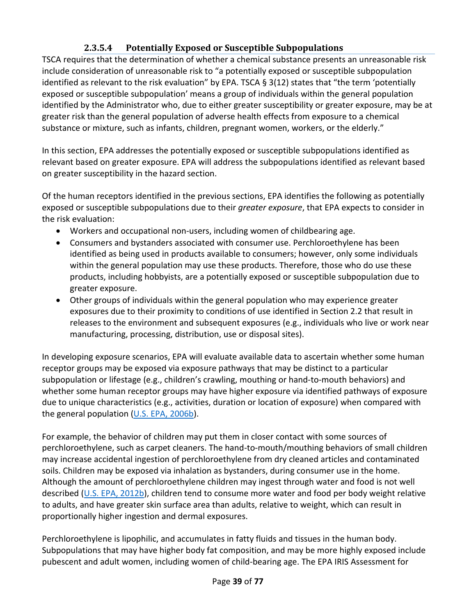# **2.3.5.4 Potentially Exposed or Susceptible Subpopulations**

TSCA requires that the determination of whether a chemical substance presents an unreasonable risk include consideration of unreasonable risk to "a potentially exposed or susceptible subpopulation identified as relevant to the risk evaluation" by EPA. TSCA  $\S 3(12)$  states that "the term 'potentially exposed or susceptible subpopulation' means a group of individuals within the general population identified by the Administrator who, due to either greater susceptibility or greater exposure, may be at greater risk than the general population of adverse health effects from exposure to a chemical substance or mixture, such as infants, children, pregnant women, workers, or the elderly."

In this section, EPA addresses the potentially exposed or susceptible subpopulations identified as relevant based on greater exposure. EPA will address the subpopulations identified as relevant based on greater susceptibility in the hazard section.

Of the human receptors identified in the previous sections, EPA identifies the following as potentially exposed or susceptible subpopulations due to their *greater exposure*, that EPA expects to consider in the risk evaluation:

- Workers and occupational non-users, including women of childbearing age.
- Consumers and bystanders associated with consumer use. Perchloroethylene has been identified as being used in products available to consumers; however, only some individuals within the general population may use these products. Therefore, those who do use these products, including hobbyists, are a potentially exposed or susceptible subpopulation due to greater exposure.
- Other groups of individuals within the general population who may experience greater exposures due to their proximity to conditions of use identified in Section [2.2](#page-18-0) that result in releases to the environment and subsequent exposures (e.g., individuals who live or work near manufacturing, processing, distribution, use or disposal sites).

In developing exposure scenarios, EPA will evaluate available data to ascertain whether some human receptor groups may be exposed via exposure pathways that may be distinct to a particular subpopulation or lifestage (e.g., children's crawling, mouthing or hand-to-mouth behaviors) and whether some human receptor groups may have higher exposure via identified pathways of exposure due to unique characteristics (e.g., activities, duration or location of exposure) when compared with the general population [\(U.S. EPA, 2006b\)](http://hero.epa.gov/index.cfm?action=search.view&reference_id=194567).

For example, the behavior of children may put them in closer contact with some sources of perchloroethylene, such as carpet cleaners. The hand-to-mouth/mouthing behaviors of small children may increase accidental ingestion of perchloroethylene from dry cleaned articles and contaminated soils. Children may be exposed via inhalation as bystanders, during consumer use in the home. Although the amount of perchloroethylene children may ingest through water and food is not well described [\(U.S. EPA, 2012b\)](http://hero.epa.gov/index.cfm?action=search.view&reference_id=3491015), children tend to consume more water and food per body weight relative to adults, and have greater skin surface area than adults, relative to weight, which can result in proportionally higher ingestion and dermal exposures.

Perchloroethylene is lipophilic, and accumulates in fatty fluids and tissues in the human body. Subpopulations that may have higher body fat composition, and may be more highly exposed include pubescent and adult women, including women of child-bearing age. The EPA IRIS Assessment for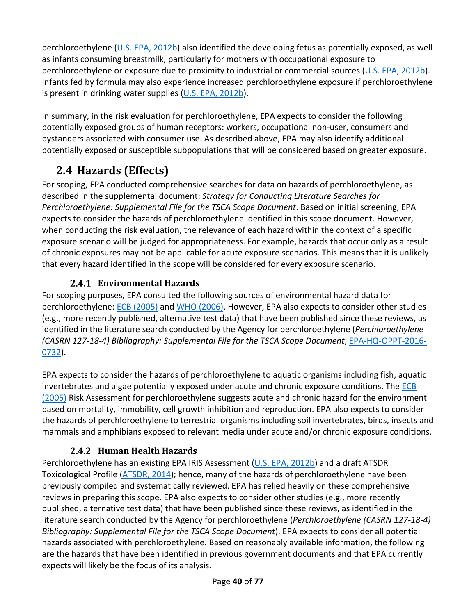perchloroethylene [\(U.S. EPA, 2012b\)](http://hero.epa.gov/index.cfm?action=search.view&reference_id=3491015) also identified the developing fetus as potentially exposed, as well as infants consuming breastmilk, particularly for mothers with occupational exposure to perchloroethylene or exposure due to proximity to industrial or commercial sources [\(U.S. EPA, 2012b\)](http://hero.epa.gov/index.cfm?action=search.view&reference_id=3491015). Infants fed by formula may also experience increased perchloroethylene exposure if perchloroethylene is present in drinking water supplies [\(U.S. EPA, 2012b\)](http://hero.epa.gov/index.cfm?action=search.view&reference_id=3491015).

In summary, in the risk evaluation for perchloroethylene, EPA expects to consider the following potentially exposed groups of human receptors: workers, occupational non-user, consumers and bystanders associated with consumer use. As described above, EPA may also identify additional potentially exposed or susceptible subpopulations that will be considered based on greater exposure.

# **2.4 Hazards (Effects)**

For scoping, EPA conducted comprehensive searches for data on hazards of perchloroethylene, as described in the supplemental document: *Strategy for Conducting Literature Searches for Perchloroethylene: Supplemental File for the TSCA Scope Document*. Based on initial screening, EPA expects to consider the hazards of perchloroethylene identified in this scope document. However, when conducting the risk evaluation, the relevance of each hazard within the context of a specific exposure scenario will be judged for appropriateness. For example, hazards that occur only as a result of chronic exposures may not be applicable for acute exposure scenarios. This means that it is unlikely that every hazard identified in the scope will be considered for every exposure scenario.

# **Environmental Hazards**

For scoping purposes, EPA consulted the following sources of environmental hazard data for perchloroethylene: [ECB \(2005\)](http://hero.epa.gov/index.cfm?action=search.view&reference_id=3839195) and [WHO \(2006\).](http://hero.epa.gov/index.cfm?action=search.view&reference_id=631155) However, EPA also expects to consider other studies (e.g., more recently published, alternative test data) that have been published since these reviews, as identified in the literature search conducted by the Agency for perchloroethylene (*Perchloroethylene (CASRN 127-18-4) Bibliography: Supplemental File for the TSCA Scope Document*, [EPA-HQ-OPPT-2016-](https://www.regulations.gov/docket?D=EPA-HQ-OPPT-2016-0732) [0732\)](https://www.regulations.gov/docket?D=EPA-HQ-OPPT-2016-0732).

EPA expects to consider the hazards of perchloroethylene to aquatic organisms including fish, aquatic invertebrates and algae potentially exposed under acute and chronic exposure conditions. The [ECB](http://hero.epa.gov/index.cfm?action=search.view&reference_id=3839195)  (2005) Risk Assessment for perchloroethylene suggests acute and chronic hazard for the environment based on mortality, immobility, cell growth inhibition and reproduction. EPA also expects to consider the hazards of perchloroethylene to terrestrial organisms including soil invertebrates, birds, insects and mammals and amphibians exposed to relevant media under acute and/or chronic exposure conditions.

# **Human Health Hazards**

Perchloroethylene has an existing EPA IRIS Assessment [\(U.S. EPA, 2012b\)](http://hero.epa.gov/index.cfm?action=search.view&reference_id=3491015) and a draft ATSDR Toxicological Profile [\(ATSDR, 2014\)](http://hero.epa.gov/index.cfm?action=search.view&reference_id=2990770); hence, many of the hazards of perchloroethylene have been previously compiled and systematically reviewed. EPA has relied heavily on these comprehensive reviews in preparing this scope. EPA also expects to consider other studies (e.g., more recently published, alternative test data) that have been published since these reviews, as identified in the literature search conducted by the Agency for perchloroethylene (*Perchloroethylene (CASRN 127-18-4) Bibliography: Supplemental File for the TSCA Scope Document*). EPA expects to consider all potential hazards associated with perchloroethylene. Based on reasonably available information, the following are the hazards that have been identified in previous government documents and that EPA currently expects will likely be the focus of its analysis.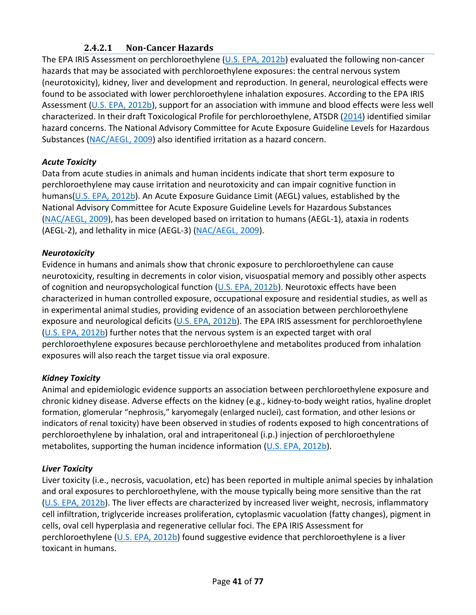# **2.4.2.1 Non-Cancer Hazards**

The EPA IRIS Assessment on perchloroethylene [\(U.S. EPA, 2012b\)](http://hero.epa.gov/index.cfm?action=search.view&reference_id=3491015) evaluated the following non-cancer hazards that may be associated with perchloroethylene exposures: the central nervous system (neurotoxicity), kidney, liver and development and reproduction. In general, neurological effects were found to be associated with lower perchloroethylene inhalation exposures. According to the EPA IRIS Assessment [\(U.S. EPA, 2012b\)](http://hero.epa.gov/index.cfm?action=search.view&reference_id=3491015), support for an association with immune and blood effects were less well characterized. In their draft Toxicological Profile for perchloroethylene, ATSDR [\(2014\)](http://hero.epa.gov/index.cfm?action=search.view&reference_id=2990770) identified similar hazard concerns. The National Advisory Committee for Acute Exposure Guideline Levels for Hazardous Substances [\(NAC/AEGL, 2009\)](http://hero.epa.gov/index.cfm?action=search.view&reference_id=3838526) also identified irritation as a hazard concern.

### *Acute Toxicity*

Data from acute studies in animals and human incidents indicate that short term exposure to perchloroethylene may cause irritation and neurotoxicity and can impair cognitive function in humans[\(U.S. EPA, 2012b\)](http://hero.epa.gov/index.cfm?action=search.view&reference_id=3491015). An Acute Exposure Guidance Limit (AEGL) values, established by the National Advisory Committee for Acute Exposure Guideline Levels for Hazardous Substances [\(NAC/AEGL, 2009\)](http://hero.epa.gov/index.cfm?action=search.view&reference_id=3838526), has been developed based on irritation to humans (AEGL-1), ataxia in rodents (AEGL-2), and lethality in mice (AEGL-3) [\(NAC/AEGL, 2009\)](http://hero.epa.gov/index.cfm?action=search.view&reference_id=3838526).

#### *Neurotoxicity*

Evidence in humans and animals show that chronic exposure to perchloroethylene can cause neurotoxicity, resulting in decrements in color vision, visuospatial memory and possibly other aspects of cognition and neuropsychological function [\(U.S. EPA, 2012b\)](http://hero.epa.gov/index.cfm?action=search.view&reference_id=3491015). Neurotoxic effects have been characterized in human controlled exposure, occupational exposure and residential studies, as well as in experimental animal studies, providing evidence of an association between perchloroethylene exposure and neurological deficits [\(U.S. EPA, 2012b\)](http://hero.epa.gov/index.cfm?action=search.view&reference_id=3491015). The EPA IRIS assessment for perchloroethylene [\(U.S. EPA, 2012b\)](http://hero.epa.gov/index.cfm?action=search.view&reference_id=3491015) further notes that the nervous system is an expected target with oral perchloroethylene exposures because perchloroethylene and metabolites produced from inhalation exposures will also reach the target tissue via oral exposure.

#### *Kidney Toxicity*

Animal and epidemiologic evidence supports an association between perchloroethylene exposure and chronic kidney disease. Adverse effects on the kidney (e.g., kidney-to-body weight ratios, hyaline droplet formation, glomerular "nephrosis," karyomegaly (enlarged nuclei), cast formation, and other lesions or indicators of renal toxicity) have been observed in studies of rodents exposed to high concentrations of perchloroethylene by inhalation, oral and intraperitoneal (i.p.) injection of perchloroethylene metabolites, supporting the human incidence information [\(U.S. EPA, 2012b\)](http://hero.epa.gov/index.cfm?action=search.view&reference_id=3491015).

#### *Liver Toxicity*

Liver toxicity (i.e., necrosis, vacuolation, etc) has been reported in multiple animal species by inhalation and oral exposures to perchloroethylene, with the mouse typically being more sensitive than the rat [\(U.S. EPA, 2012b\)](http://hero.epa.gov/index.cfm?action=search.view&reference_id=3491015). The liver effects are characterized by increased liver weight, necrosis, inflammatory cell infiltration, triglyceride increases proliferation, cytoplasmic vacuolation (fatty changes), pigment in cells, oval cell hyperplasia and regenerative cellular foci. The EPA IRIS Assessment for perchloroethylene [\(U.S. EPA, 2012b\)](http://hero.epa.gov/index.cfm?action=search.view&reference_id=3491015) found suggestive evidence that perchloroethylene is a liver toxicant in humans.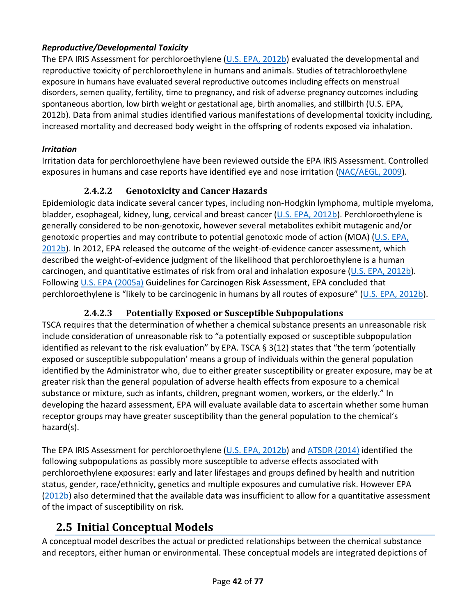# *Reproductive/Developmental Toxicity*

The EPA IRIS Assessment for perchloroethylene [\(U.S. EPA, 2012b\)](http://hero.epa.gov/index.cfm?action=search.view&reference_id=3491015) evaluated the developmental and reproductive toxicity of perchloroethylene in humans and animals. Studies of tetrachloroethylene exposure in humans have evaluated several reproductive outcomes including effects on menstrual disorders, semen quality, fertility, time to pregnancy, and risk of adverse pregnancy outcomes including spontaneous abortion, low birth weight or gestational age, birth anomalies, and stillbirth (U.S. EPA, 2012b). Data from animal studies identified various manifestations of developmental toxicity including, increased mortality and decreased body weight in the offspring of rodents exposed via inhalation.

# *Irritation*

Irritation data for perchloroethylene have been reviewed outside the EPA IRIS Assessment. Controlled exposures in humans and case reports have identified eye and nose irritation [\(NAC/AEGL, 2009\)](http://hero.epa.gov/index.cfm?action=search.view&reference_id=3838526).

# **2.4.2.2 Genotoxicity and Cancer Hazards**

Epidemiologic data indicate several cancer types, including non-Hodgkin lymphoma, multiple myeloma, bladder, esophageal, kidney, lung, cervical and breast cancer [\(U.S. EPA, 2012b\)](http://hero.epa.gov/index.cfm?action=search.view&reference_id=3491015). Perchloroethylene is generally considered to be non-genotoxic, however several metabolites exhibit mutagenic and/or genotoxic properties and may contribute to potential genotoxic mode of action (MOA) [\(U.S. EPA,](http://hero.epa.gov/index.cfm?action=search.view&reference_id=3491015)  [2012b\)](http://hero.epa.gov/index.cfm?action=search.view&reference_id=3491015). In 2012, EPA released the outcome of the weight-of-evidence cancer assessment, which described the weight-of-evidence judgment of the likelihood that perchloroethylene is a human carcinogen, and quantitative estimates of risk from oral and inhalation exposure [\(U.S. EPA, 2012b\)](http://hero.epa.gov/index.cfm?action=search.view&reference_id=3491015). Followin[g U.S. EPA \(2005a\)](http://hero.epa.gov/index.cfm?action=search.view&reference_id=86237) Guidelines for Carcinogen Risk Assessment, EPA concluded that perchloroethylene is "likely to be carcinogenic in humans by all routes of exposure" [\(U.S. EPA, 2012b\)](http://hero.epa.gov/index.cfm?action=search.view&reference_id=3491015).

# **2.4.2.3 Potentially Exposed or Susceptible Subpopulations**

TSCA requires that the determination of whether a chemical substance presents an unreasonable risk include consideration of unreasonable risk to "a potentially exposed or susceptible subpopulation identified as relevant to the risk evaluation" by EPA. TSCA § 3(12) states that "the term 'potentially exposed or susceptible subpopulation' means a group of individuals within the general population identified by the Administrator who, due to either greater susceptibility or greater exposure, may be at greater risk than the general population of adverse health effects from exposure to a chemical substance or mixture, such as infants, children, pregnant women, workers, or the elderly." In developing the hazard assessment, EPA will evaluate available data to ascertain whether some human receptor groups may have greater susceptibility than the general population to the chemical's hazard(s).

The EPA IRIS Assessment for perchloroethylene [\(U.S. EPA, 2012b\)](http://hero.epa.gov/index.cfm?action=search.view&reference_id=3491015) and [ATSDR \(2014\)](http://hero.epa.gov/index.cfm?action=search.view&reference_id=2990770) identified the following subpopulations as possibly more susceptible to adverse effects associated with perchloroethylene exposures: early and later lifestages and groups defined by health and nutrition status, gender, race/ethnicity, genetics and multiple exposures and cumulative risk. However EPA [\(2012b\)](http://hero.epa.gov/index.cfm?action=search.view&reference_id=3491015) also determined that the available data was insufficient to allow for a quantitative assessment of the impact of susceptibility on risk.

# **2.5 Initial Conceptual Models**

A conceptual model describes the actual or predicted relationships between the chemical substance and receptors, either human or environmental. These conceptual models are integrated depictions of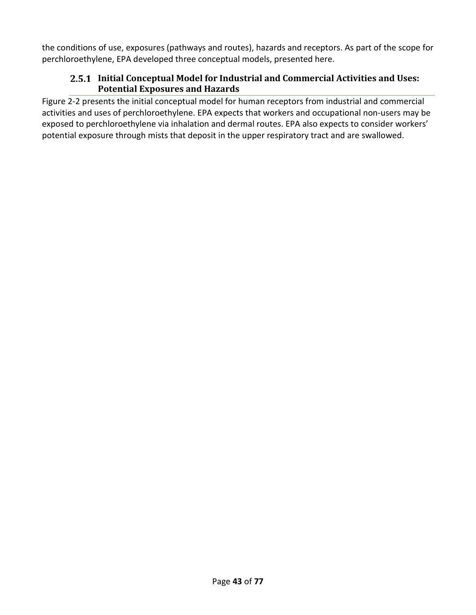the conditions of use, exposures (pathways and routes), hazards and receptors. As part of the scope for perchloroethylene, EPA developed three conceptual models, presented here.

### **Initial Conceptual Model for Industrial and Commercial Activities and Uses: Potential Exposures and Hazards**

[Figure 2-2](#page-43-0) presents the initial conceptual model for human receptors from industrial and commercial activities and uses of perchloroethylene. EPA expects that workers and occupational non-users may be exposed to perchloroethylene via inhalation and dermal routes. EPA also expects to consider workers' potential exposure through mists that deposit in the upper respiratory tract and are swallowed.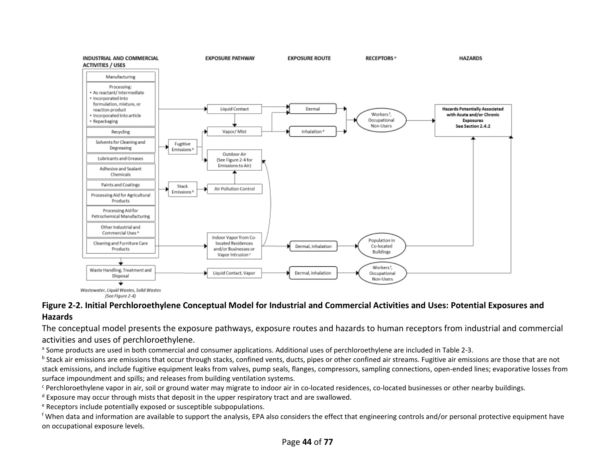

Wastewater, Liquid Wastes, Solid Wastes (See Figure 2-4)

#### **Figure 2-2. Initial Perchloroethylene Conceptual Model for Industrial and Commercial Activities and Uses: Potential Exposures and Hazards**

The conceptual model presents the exposure pathways, exposure routes and hazards to human receptors from industrial and commercial activities and uses of perchloroethylene.

<sup>a</sup> Some products are used in both commercial and consumer applications. Additional uses of perchloroethylene are included i[n Table 2-3.](#page-22-1)

<sup>b</sup> Stack air emissions are emissions that occur through stacks, confined vents, ducts, pipes or other confined air streams. Fugitive air emissions are those that are not stack emissions, and include fugitive equipment leaks from valves, pump seals, flanges, compressors, sampling connections, open-ended lines; evaporative losses from surface impoundment and spills; and releases from building ventilation systems.<br>
Ferchloroethylene vapor in air, soil or ground water may migrate to indoor air in co-located residences, co-located businesses or other nearb

 $\textdegree$  Exposure may occur through mists that deposit in the upper respiratory tract and are swallowed.  $\textdegree$  Receptors include potentially exposed or susceptible subpopulations.

<span id="page-43-0"></span><sup>f</sup> When data and information are available to support the analysis, EPA also considers the effect that engineering controls and/or personal protective equipment have on occupational exposure levels.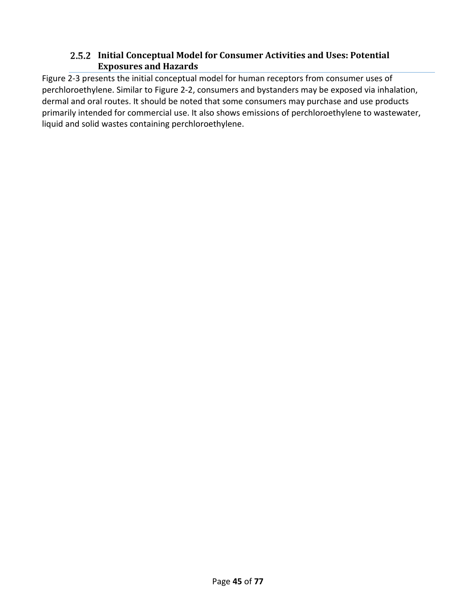#### **Initial Conceptual Model for Consumer Activities and Uses: Potential Exposures and Hazards**

[Figure 2-3](#page-45-0) presents the initial conceptual model for human receptors from consumer uses of perchloroethylene. Similar to [Figure 2-2,](#page-43-0) consumers and bystanders may be exposed via inhalation, dermal and oral routes. It should be noted that some consumers may purchase and use products primarily intended for commercial use. It also shows emissions of perchloroethylene to wastewater, liquid and solid wastes containing perchloroethylene.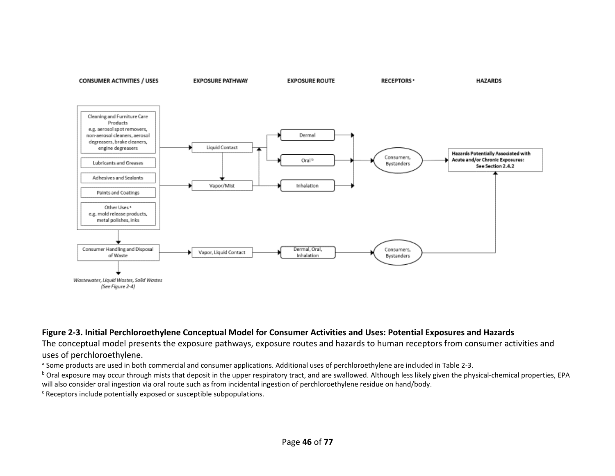

#### **Figure 2-3. Initial Perchloroethylene Conceptual Model for Consumer Activities and Uses: Potential Exposures and Hazards**

The conceptual model presents the exposure pathways, exposure routes and hazards to human receptors from consumer activities and uses of perchloroethylene.

<sup>a</sup> Some products are used in both commercial and consumer applications. Additional uses of perchloroethylene are included i[n Table 2-3.](#page-22-1)

<sup>b</sup> Oral exposure may occur through mists that deposit in the upper respiratory tract, and are swallowed. Although less likely given the physical-chemical properties, EPA will also consider oral ingestion via oral route such as from incidental ingestion of perchloroethylene residue on hand/body.<br><sup>c</sup> Receptors include potentially exposed or susceptible subpopulations.

<span id="page-45-0"></span>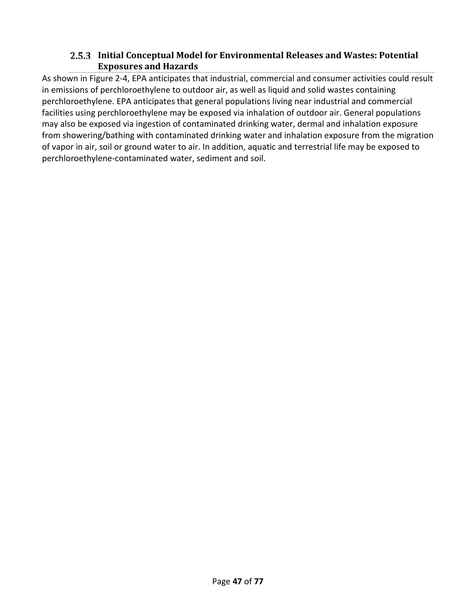## **Initial Conceptual Model for Environmental Releases and Wastes: Potential Exposures and Hazards**

As shown in [Figure 2-4,](#page-47-0) EPA anticipates that industrial, commercial and consumer activities could result in emissions of perchloroethylene to outdoor air, as well as liquid and solid wastes containing perchloroethylene. EPA anticipates that general populations living near industrial and commercial facilities using perchloroethylene may be exposed via inhalation of outdoor air. General populations may also be exposed via ingestion of contaminated drinking water, dermal and inhalation exposure from showering/bathing with contaminated drinking water and inhalation exposure from the migration of vapor in air, soil or ground water to air. In addition, aquatic and terrestrial life may be exposed to perchloroethylene-contaminated water, sediment and soil.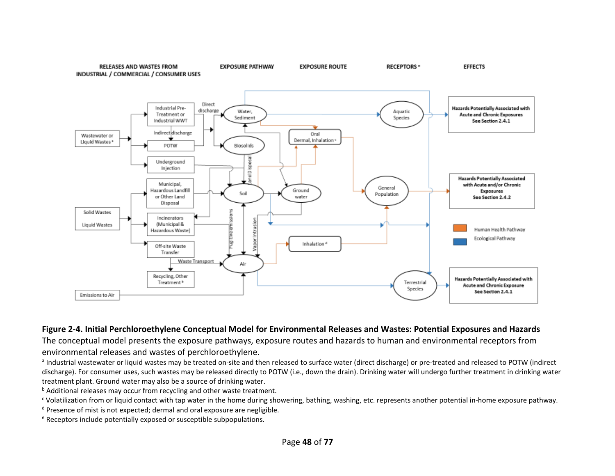**RELEASES AND WASTES FROM** INDUSTRIAL / COMMERCIAL / CONSUMER USES



**EXPOSURE ROUTE** 

**RECEPTORS**<sup>e</sup>

**EFFECTS** 

**EXPOSURE PATHWAY** 

#### **Figure 2-4. Initial Perchloroethylene Conceptual Model for Environmental Releases and Wastes: Potential Exposures and Hazards**

The conceptual model presents the exposure pathways, exposure routes and hazards to human and environmental receptors from environmental releases and wastes of perchloroethylene.

a Industrial wastewater or liquid wastes may be treated on-site and then released to surface water (direct discharge) or pre-treated and released to POTW (indirect discharge). For consumer uses, such wastes may be released directly to POTW (i.e., down the drain). Drinking water will undergo further treatment in drinking water treatment plant. Ground water may also be a source of drinking water.

**b** Additional releases may occur from recycling and other waste treatment.

<sup>c</sup> Volatilization from or liquid contact with tap water in the home during showering, bathing, washing, etc. represents another potential in-home exposure pathway.

<sup>d</sup> Presence of mist is not expected; dermal and oral exposure are negligible.

<span id="page-47-0"></span><sup>e</sup> Receptors include potentially exposed or susceptible subpopulations.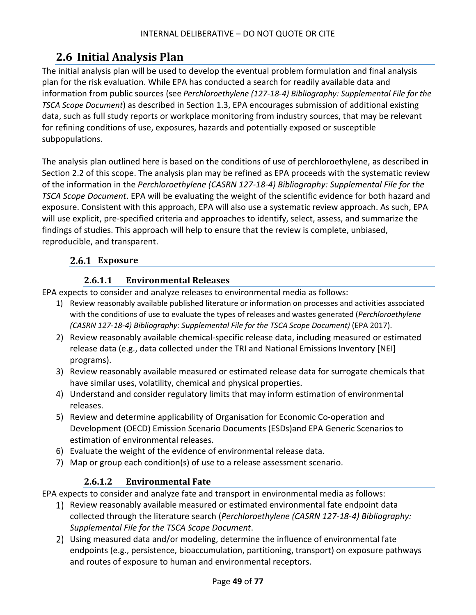# **2.6 Initial Analysis Plan**

The initial analysis plan will be used to develop the eventual problem formulation and final analysis plan for the risk evaluation. While EPA has conducted a search for readily available data and information from public sources (see *Perchloroethylene (127-18-4) Bibliography: Supplemental File for the TSCA Scope Document*) as described in Section [1.3,](#page-15-0) EPA encourages submission of additional existing data, such as full study reports or workplace monitoring from industry sources, that may be relevant for refining conditions of use, exposures, hazards and potentially exposed or susceptible subpopulations.

The analysis plan outlined here is based on the conditions of use of perchloroethylene, as described in Sectio[n 2.2](#page-18-0) of this scope. The analysis plan may be refined as EPA proceeds with the systematic review of the information in the *Perchloroethylene (CASRN 127-18-4) Bibliography: Supplemental File for the TSCA Scope Document*. EPA will be evaluating the weight of the scientific evidence for both hazard and exposure. Consistent with this approach, EPA will also use a systematic review approach. As such, EPA will use explicit, pre-specified criteria and approaches to identify, select, assess, and summarize the findings of studies. This approach will help to ensure that the review is complete, unbiased, reproducible, and transparent.

# **Exposure**

# **2.6.1.1 Environmental Releases**

EPA expects to consider and analyze releases to environmental media as follows:

- 1) Review reasonably available published literature or information on processes and activities associated with the conditions of use to evaluate the types of releases and wastes generated (*Perchloroethylene (CASRN 127-18-4) Bibliography: Supplemental File for the TSCA Scope Document)* (EPA 2017).
- 2) Review reasonably available chemical-specific release data, including measured or estimated release data (e.g., data collected under the TRI and National Emissions Inventory [NEI] programs).
- 3) Review reasonably available measured or estimated release data for surrogate chemicals that have similar uses, volatility, chemical and physical properties.
- 4) Understand and consider regulatory limits that may inform estimation of environmental releases.
- 5) Review and determine applicability of Organisation for Economic Co-operation and Development (OECD) Emission Scenario Documents (ESDs)and EPA Generic Scenarios to estimation of environmental releases.
- 6) Evaluate the weight of the evidence of environmental release data.
- 7) Map or group each condition(s) of use to a release assessment scenario.

# **2.6.1.2 Environmental Fate**

EPA expects to consider and analyze fate and transport in environmental media as follows:

- 1) Review reasonably available measured or estimated environmental fate endpoint data collected through the literature search (*Perchloroethylene (CASRN 127-18-4) Bibliography: Supplemental File for the TSCA Scope Document*.
- Using measured data and/or modeling, determine the influence of environmental fate endpoints (e.g., persistence, bioaccumulation, partitioning, transport) on exposure pathways and routes of exposure to human and environmental receptors.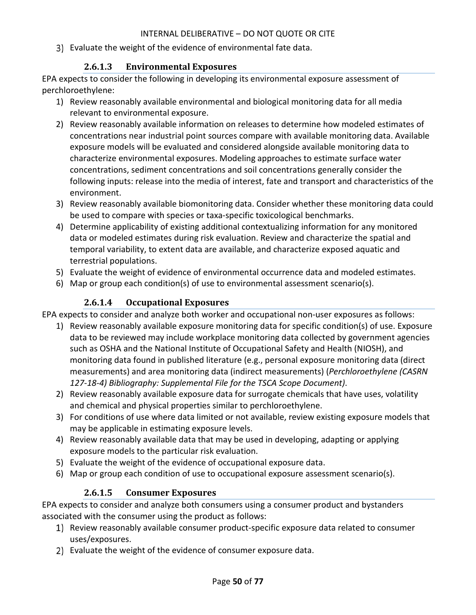Evaluate the weight of the evidence of environmental fate data.

## **2.6.1.3 Environmental Exposures**

EPA expects to consider the following in developing its environmental exposure assessment of perchloroethylene:

- 1) Review reasonably available environmental and biological monitoring data for all media relevant to environmental exposure.
- 2) Review reasonably available information on releases to determine how modeled estimates of concentrations near industrial point sources compare with available monitoring data. Available exposure models will be evaluated and considered alongside available monitoring data to characterize environmental exposures. Modeling approaches to estimate surface water concentrations, sediment concentrations and soil concentrations generally consider the following inputs: release into the media of interest, fate and transport and characteristics of the environment.
- 3) Review reasonably available biomonitoring data. Consider whether these monitoring data could be used to compare with species or taxa-specific toxicological benchmarks.
- 4) Determine applicability of existing additional contextualizing information for any monitored data or modeled estimates during risk evaluation. Review and characterize the spatial and temporal variability, to extent data are available, and characterize exposed aquatic and terrestrial populations.
- 5) Evaluate the weight of evidence of environmental occurrence data and modeled estimates.
- 6) Map or group each condition(s) of use to environmental assessment scenario(s).

# **2.6.1.4 Occupational Exposures**

EPA expects to consider and analyze both worker and occupational non-user exposures as follows:

- 1) Review reasonably available exposure monitoring data for specific condition(s) of use. Exposure data to be reviewed may include workplace monitoring data collected by government agencies such as OSHA and the National Institute of Occupational Safety and Health (NIOSH), and monitoring data found in published literature (e.g., personal exposure monitoring data (direct measurements) and area monitoring data (indirect measurements) (*Perchloroethylene (CASRN 127-18-4) Bibliography: Supplemental File for the TSCA Scope Document)*.
- 2) Review reasonably available exposure data for surrogate chemicals that have uses, volatility and chemical and physical properties similar to perchloroethylene.
- 3) For conditions of use where data limited or not available, review existing exposure models that may be applicable in estimating exposure levels.
- 4) Review reasonably available data that may be used in developing, adapting or applying exposure models to the particular risk evaluation.
- 5) Evaluate the weight of the evidence of occupational exposure data.
- 6) Map or group each condition of use to occupational exposure assessment scenario(s).

# **2.6.1.5 Consumer Exposures**

EPA expects to consider and analyze both consumers using a consumer product and bystanders associated with the consumer using the product as follows:

- 1) Review reasonably available consumer product-specific exposure data related to consumer uses/exposures.
- 2) Evaluate the weight of the evidence of consumer exposure data.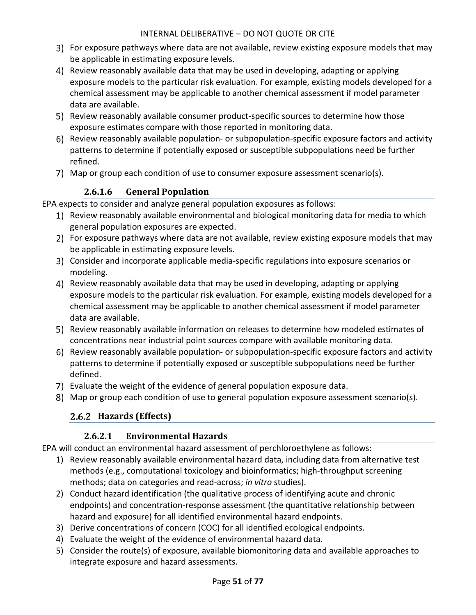- For exposure pathways where data are not available, review existing exposure models that may be applicable in estimating exposure levels.
- Review reasonably available data that may be used in developing, adapting or applying exposure models to the particular risk evaluation. For example, existing models developed for a chemical assessment may be applicable to another chemical assessment if model parameter data are available.
- 5) Review reasonably available consumer product-specific sources to determine how those exposure estimates compare with those reported in monitoring data.
- Review reasonably available population- or subpopulation-specific exposure factors and activity patterns to determine if potentially exposed or susceptible subpopulations need be further refined.
- Map or group each condition of use to consumer exposure assessment scenario(s).

# **2.6.1.6 General Population**

EPA expects to consider and analyze general population exposures as follows:

- 1) Review reasonably available environmental and biological monitoring data for media to which general population exposures are expected.
- For exposure pathways where data are not available, review existing exposure models that may be applicable in estimating exposure levels.
- Consider and incorporate applicable media-specific regulations into exposure scenarios or modeling.
- Review reasonably available data that may be used in developing, adapting or applying exposure models to the particular risk evaluation. For example, existing models developed for a chemical assessment may be applicable to another chemical assessment if model parameter data are available.
- 5) Review reasonably available information on releases to determine how modeled estimates of concentrations near industrial point sources compare with available monitoring data.
- Review reasonably available population- or subpopulation-specific exposure factors and activity patterns to determine if potentially exposed or susceptible subpopulations need be further defined.
- Evaluate the weight of the evidence of general population exposure data.
- Map or group each condition of use to general population exposure assessment scenario(s).

# **Hazards (Effects)**

# **2.6.2.1 Environmental Hazards**

EPA will conduct an environmental hazard assessment of perchloroethylene as follows:

- 1) Review reasonably available environmental hazard data, including data from alternative test methods (e.g., computational toxicology and bioinformatics; high-throughput screening methods; data on categories and read-across; *in vitro* studies).
- 2) Conduct hazard identification (the qualitative process of identifying acute and chronic endpoints) and concentration-response assessment (the quantitative relationship between hazard and exposure) for all identified environmental hazard endpoints.
- 3) Derive concentrations of concern (COC) for all identified ecological endpoints.
- 4) Evaluate the weight of the evidence of environmental hazard data.
- 5) Consider the route(s) of exposure, available biomonitoring data and available approaches to integrate exposure and hazard assessments.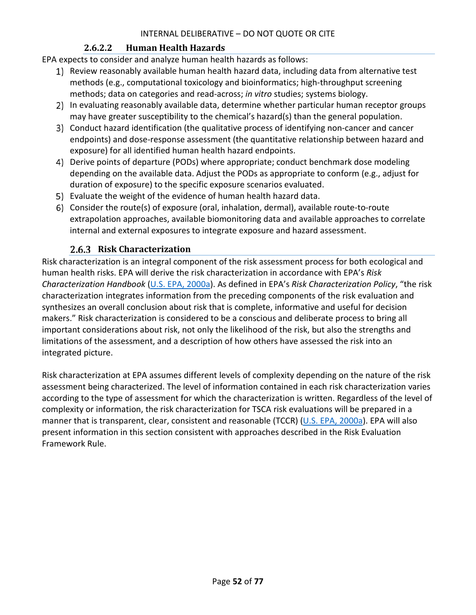## **2.6.2.2 Human Health Hazards**

EPA expects to consider and analyze human health hazards as follows:

- 1) Review reasonably available human health hazard data, including data from alternative test methods (e.g., computational toxicology and bioinformatics; high-throughput screening methods; data on categories and read-across; *in vitro* studies; systems biology.
- 2) In evaluating reasonably available data, determine whether particular human receptor groups may have greater susceptibility to the chemical's hazard(s) than the general population.
- Conduct hazard identification (the qualitative process of identifying non-cancer and cancer endpoints) and dose-response assessment (the quantitative relationship between hazard and exposure) for all identified human health hazard endpoints.
- Derive points of departure (PODs) where appropriate; conduct benchmark dose modeling depending on the available data. Adjust the PODs as appropriate to conform (e.g., adjust for duration of exposure) to the specific exposure scenarios evaluated.
- Evaluate the weight of the evidence of human health hazard data.
- Consider the route(s) of exposure (oral, inhalation, dermal), available route-to-route extrapolation approaches, available biomonitoring data and available approaches to correlate internal and external exposures to integrate exposure and hazard assessment.

### **Risk Characterization**

Risk characterization is an integral component of the risk assessment process for both ecological and human health risks. EPA will derive the risk characterization in accordance with EPA's *Risk Characterization Handbook* [\(U.S. EPA, 2000a\)](http://hero.epa.gov/index.cfm?action=search.view&reference_id=52149). As defined in EPA's *Risk Characterization Policy*, "the risk characterization integrates information from the preceding components of the risk evaluation and synthesizes an overall conclusion about risk that is complete, informative and useful for decision makers." Risk characterization is considered to be a conscious and deliberate process to bring all important considerations about risk, not only the likelihood of the risk, but also the strengths and limitations of the assessment, and a description of how others have assessed the risk into an integrated picture.

Risk characterization at EPA assumes different levels of complexity depending on the nature of the risk assessment being characterized. The level of information contained in each risk characterization varies according to the type of assessment for which the characterization is written. Regardless of the level of complexity or information, the risk characterization for TSCA risk evaluations will be prepared in a manner that is transparent, clear, consistent and reasonable (TCCR) [\(U.S. EPA, 2000a\)](http://hero.epa.gov/index.cfm?action=search.view&reference_id=52149). EPA will also present information in this section consistent with approaches described in the Risk Evaluation Framework Rule.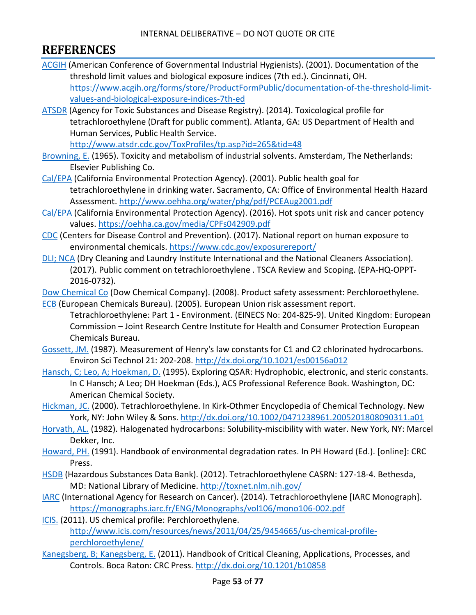# **REFERENCES**

- [ACGIH](http://hero.epa.gov/index.cfm?action=search.view&reference_id=594530) (American Conference of Governmental Industrial Hygienists). (2001). Documentation of the threshold limit values and biological exposure indices (7th ed.). Cincinnati, OH. [https://www.acgih.org/forms/store/ProductFormPublic/documentation-of-the-threshold-limit](https://www.acgih.org/forms/store/ProductFormPublic/documentation-of-the-threshold-limit-values-and-biological-exposure-indices-7th-ed)[values-and-biological-exposure-indices-7th-ed](https://www.acgih.org/forms/store/ProductFormPublic/documentation-of-the-threshold-limit-values-and-biological-exposure-indices-7th-ed)
- [ATSDR](http://hero.epa.gov/index.cfm?action=search.view&reference_id=2990770) (Agency for Toxic Substances and Disease Registry). (2014). Toxicological profile for tetrachloroethylene (Draft for public comment). Atlanta, GA: US Department of Health and Human Services, Public Health Service.

<http://www.atsdr.cdc.gov/ToxProfiles/tp.asp?id=265&tid=48>

- [Browning, E.](http://hero.epa.gov/index.cfm?action=search.view&reference_id=29334) (1965). Toxicity and metabolism of industrial solvents. Amsterdam, The Netherlands: Elsevier Publishing Co.
- [Cal/EPA](http://hero.epa.gov/index.cfm?action=search.view&reference_id=630408) (California Environmental Protection Agency). (2001). Public health goal for tetrachloroethylene in drinking water. Sacramento, CA: Office of Environmental Health Hazard Assessment.<http://www.oehha.org/water/phg/pdf/PCEAug2001.pdf>
- [Cal/EPA](http://hero.epa.gov/index.cfm?action=search.view&reference_id=3827356) (California Environmental Protection Agency). (2016). Hot spots unit risk and cancer potency values.<https://oehha.ca.gov/media/CPFs042909.pdf>
- [CDC](http://hero.epa.gov/index.cfm?action=search.view&reference_id=3827236) (Centers for Disease Control and Prevention). (2017). National report on human exposure to environmental chemicals.<https://www.cdc.gov/exposurereport/>
- [DLI; NCA](http://hero.epa.gov/index.cfm?action=search.view&reference_id=3827403) (Dry Cleaning and Laundry Institute International and the National Cleaners Association). (2017). Public comment on tetrachloroethylene . TSCA Review and Scoping. (EPA-HQ-OPPT-2016-0732).

[Dow Chemical Co](http://hero.epa.gov/index.cfm?action=search.view&reference_id=3797950) (Dow Chemical Company). (2008). Product safety assessment: Perchloroethylene.

- [ECB](http://hero.epa.gov/index.cfm?action=search.view&reference_id=3839195) (European Chemicals Bureau). (2005). European Union risk assessment report. Tetrachloroethylene: Part 1 - Environment. (EINECS No: 204-825-9). United Kingdom: European Commission – Joint Research Centre Institute for Health and Consumer Protection European Chemicals Bureau.
- [Gossett, JM.](http://hero.epa.gov/index.cfm?action=search.view&reference_id=732584) (1987). Measurement of Henry's law constants for C1 and C2 chlorinated hydrocarbons. Environ Sci Technol 21: 202-208.<http://dx.doi.org/10.1021/es00156a012>
- [Hansch, C; Leo, A; Hoekman, D.](http://hero.epa.gov/index.cfm?action=search.view&reference_id=51424) (1995). Exploring QSAR: Hydrophobic, electronic, and steric constants. In C Hansch; A Leo; DH Hoekman (Eds.), ACS Professional Reference Book. Washington, DC: American Chemical Society.
- [Hickman, JC.](http://hero.epa.gov/index.cfm?action=search.view&reference_id=3827362) (2000). Tetrachloroethylene. In Kirk-Othmer Encyclopedia of Chemical Technology. New York, NY: John Wiley & Sons.<http://dx.doi.org/10.1002/0471238961.2005201808090311.a01>
- [Horvath, AL.](http://hero.epa.gov/index.cfm?action=search.view&reference_id=194749) (1982). Halogenated hydrocarbons: Solubility-miscibility with water. New York, NY: Marcel Dekker, Inc.
- [Howard, PH.](http://hero.epa.gov/index.cfm?action=search.view&reference_id=3828846) (1991). Handbook of environmental degradation rates. In PH Howard (Ed.). [online]: CRC Press.
- [HSDB](http://hero.epa.gov/index.cfm?action=search.view&reference_id=3839190) (Hazardous Substances Data Bank). (2012). Tetrachloroethylene CASRN: 127-18-4. Bethesda, MD: National Library of Medicine.<http://toxnet.nlm.nih.gov/>
- [IARC](http://hero.epa.gov/index.cfm?action=search.view&reference_id=3827359) (International Agency for Research on Cancer). (2014). Tetrachloroethylene [IARC Monograph]. <https://monographs.iarc.fr/ENG/Monographs/vol106/mono106-002.pdf>
- [ICIS.](http://hero.epa.gov/index.cfm?action=search.view&reference_id=3839194) (2011). US chemical profile: Perchloroethylene. [http://www.icis.com/resources/news/2011/04/25/9454665/us-chemical-profile](http://www.icis.com/resources/news/2011/04/25/9454665/us-chemical-profile-perchloroethylene/)[perchloroethylene/](http://www.icis.com/resources/news/2011/04/25/9454665/us-chemical-profile-perchloroethylene/)
- [Kanegsberg, B; Kanegsberg, E.](http://hero.epa.gov/index.cfm?action=search.view&reference_id=3045069) (2011). Handbook of Critical Cleaning, Applications, Processes, and Controls. Boca Raton: CRC Press.<http://dx.doi.org/10.1201/b10858>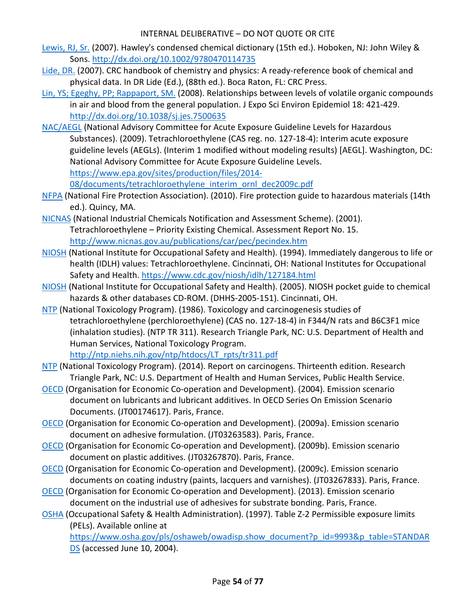- [Lewis, RJ, Sr.](http://hero.epa.gov/index.cfm?action=search.view&reference_id=3378175) (2007). Hawley's condensed chemical dictionary (15th ed.). Hoboken, NJ: John Wiley & Sons.<http://dx.doi.org/10.1002/9780470114735>
- [Lide, DR.](http://hero.epa.gov/index.cfm?action=search.view&reference_id=3827361) (2007). CRC handbook of chemistry and physics: A ready-reference book of chemical and physical data. In DR Lide (Ed.), (88th ed.). Boca Raton, FL: CRC Press.
- [Lin, YS; Egeghy, PP; Rappaport, SM.](http://hero.epa.gov/index.cfm?action=search.view&reference_id=1067556) (2008). Relationships between levels of volatile organic compounds in air and blood from the general population. J Expo Sci Environ Epidemiol 18: 421-429. <http://dx.doi.org/10.1038/sj.jes.7500635>
- [NAC/AEGL](http://hero.epa.gov/index.cfm?action=search.view&reference_id=3838526) (National Advisory Committee for Acute Exposure Guideline Levels for Hazardous Substances). (2009). Tetrachloroethylene (CAS reg. no. 127-18-4): Interim acute exposure guideline levels (AEGLs). (Interim 1 modified without modeling results) [AEGL]. Washington, DC: National Advisory Committee for Acute Exposure Guideline Levels. [https://www.epa.gov/sites/production/files/2014-](https://www.epa.gov/sites/production/files/2014-08/documents/tetrachloroethylene_interim_ornl_dec2009c.pdf)

[08/documents/tetrachloroethylene\\_interim\\_ornl\\_dec2009c.pdf](https://www.epa.gov/sites/production/files/2014-08/documents/tetrachloroethylene_interim_ornl_dec2009c.pdf)

- [NFPA](http://hero.epa.gov/index.cfm?action=search.view&reference_id=2991057) (National Fire Protection Association). (2010). Fire protection guide to hazardous materials (14th ed.). Quincy, MA.
- [NICNAS](http://hero.epa.gov/index.cfm?action=search.view&reference_id=3797979) (National Industrial Chemicals Notification and Assessment Scheme). (2001). Tetrachloroethylene – Priority Existing Chemical. Assessment Report No. 15. <http://www.nicnas.gov.au/publications/car/pec/pecindex.htm>
- [NIOSH](http://hero.epa.gov/index.cfm?action=search.view&reference_id=3838549) (National Institute for Occupational Safety and Health). (1994). Immediately dangerous to life or health (IDLH) values: Tetrachloroethylene. Cincinnati, OH: National Institutes for Occupational Safety and Health.<https://www.cdc.gov/niosh/idlh/127184.html>
- [NIOSH](http://hero.epa.gov/index.cfm?action=search.view&reference_id=3827401) (National Institute for Occupational Safety and Health). (2005). NIOSH pocket guide to chemical hazards & other databases CD-ROM. (DHHS-2005-151). Cincinnati, OH.
- [NTP](http://hero.epa.gov/index.cfm?action=search.view&reference_id=632655) (National Toxicology Program). (1986). Toxicology and carcinogenesis studies of tetrachloroethylene (perchloroethylene) (CAS no. 127-18-4) in F344/N rats and B6C3F1 mice (inhalation studies). (NTP TR 311). Research Triangle Park, NC: U.S. Department of Health and Human Services, National Toxicology Program.

[http://ntp.niehs.nih.gov/ntp/htdocs/LT\\_rpts/tr311.pdf](http://ntp.niehs.nih.gov/ntp/htdocs/LT_rpts/tr311.pdf)

- [NTP](http://hero.epa.gov/index.cfm?action=search.view&reference_id=2825907) (National Toxicology Program). (2014). Report on carcinogens. Thirteenth edition. Research Triangle Park, NC: U.S. Department of Health and Human Services, Public Health Service.
- [OECD](http://hero.epa.gov/index.cfm?action=search.view&reference_id=3827416) (Organisation for Economic Co-operation and Development). (2004). Emission scenario document on lubricants and lubricant additives. In OECD Series On Emission Scenario Documents. (JT00174617). Paris, France.
- [OECD](http://hero.epa.gov/index.cfm?action=search.view&reference_id=3827299) (Organisation for Economic Co-operation and Development). (2009a). Emission scenario document on adhesive formulation. (JT03263583). Paris, France.
- [OECD](http://hero.epa.gov/index.cfm?action=search.view&reference_id=3827413) (Organisation for Economic Co-operation and Development). (2009b). Emission scenario document on plastic additives. (JT03267870). Paris, France.
- [OECD](http://hero.epa.gov/index.cfm?action=search.view&reference_id=3827298) (Organisation for Economic Co-operation and Development). (2009c). Emission scenario documents on coating industry (paints, lacquers and varnishes). (JT03267833). Paris, France.
- [OECD](http://hero.epa.gov/index.cfm?action=search.view&reference_id=3827300) (Organisation for Economic Co-operation and Development). (2013). Emission scenario document on the industrial use of adhesives for substrate bonding. Paris, France.
- [OSHA](http://hero.epa.gov/index.cfm?action=search.view&reference_id=3838548) (Occupational Safety & Health Administration). (1997). Table Z-2 Permissible exposure limits (PELs). Available online at

[https://www.osha.gov/pls/oshaweb/owadisp.show\\_document?p\\_id=9993&p\\_table=STANDAR](https://www.osha.gov/pls/oshaweb/owadisp.show_document?p_id=9993&p_table=STANDARDS) [DS](https://www.osha.gov/pls/oshaweb/owadisp.show_document?p_id=9993&p_table=STANDARDS) (accessed June 10, 2004).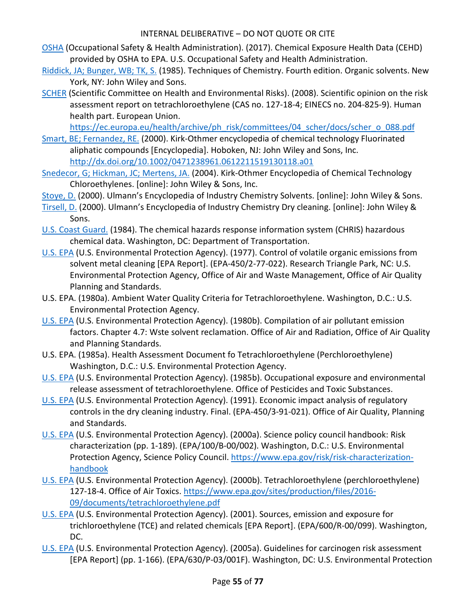- [OSHA](http://hero.epa.gov/index.cfm?action=search.view&reference_id=3827305) (Occupational Safety & Health Administration). (2017). Chemical Exposure Health Data (CEHD) provided by OSHA to EPA. U.S. Occupational Safety and Health Administration.
- [Riddick, JA; Bunger, WB; TK, S.](http://hero.epa.gov/index.cfm?action=search.view&reference_id=3827366) (1985). Techniques of Chemistry. Fourth edition. Organic solvents. New York, NY: John Wiley and Sons.
- [SCHER](http://hero.epa.gov/index.cfm?action=search.view&reference_id=3827364) (Scientific Committee on Health and Environmental Risks). (2008). Scientific opinion on the risk assessment report on tetrachloroethylene (CAS no. 127-18-4; EINECS no. 204-825-9). Human health part. European Union.

[https://ec.europa.eu/health/archive/ph\\_risk/committees/04\\_scher/docs/scher\\_o\\_088.pdf](https://ec.europa.eu/health/archive/ph_risk/committees/04_scher/docs/scher_o_088.pdf)

- [Smart, BE; Fernandez, RE.](http://hero.epa.gov/index.cfm?action=search.view&reference_id=3052028) (2000). Kirk-Othmer encyclopedia of chemical technology Fluorinated aliphatic compounds [Encyclopedia]. Hoboken, NJ: John Wiley and Sons, Inc. <http://dx.doi.org/10.1002/0471238961.0612211519130118.a01>
- [Snedecor, G; Hickman, JC; Mertens, JA.](http://hero.epa.gov/index.cfm?action=search.view&reference_id=3827414) (2004). Kirk-Othmer Encyclopedia of Chemical Technology Chloroethylenes. [online]: John Wiley & Sons, Inc.
- [Stoye, D.](http://hero.epa.gov/index.cfm?action=search.view&reference_id=3827368) (2000). Ulmann's Encyclopedia of Industry Chemistry Solvents. [online]: John Wiley & Sons.
- [Tirsell, D.](http://hero.epa.gov/index.cfm?action=search.view&reference_id=3827370) (2000). Ulmann's Encyclopedia of Industry Chemistry Dry cleaning. [online]: John Wiley & Sons.
- [U.S. Coast Guard.](http://hero.epa.gov/index.cfm?action=search.view&reference_id=3827365) (1984). The chemical hazards response information system (CHRIS) hazardous chemical data. Washington, DC: Department of Transportation.
- [U.S. EPA](http://hero.epa.gov/index.cfm?action=search.view&reference_id=3827321) (U.S. Environmental Protection Agency). (1977). Control of volatile organic emissions from solvent metal cleaning [EPA Report]. (EPA-450/2-77-022). Research Triangle Park, NC: U.S. Environmental Protection Agency, Office of Air and Waste Management, Office of Air Quality Planning and Standards.
- U.S. EPA. (1980a). Ambient Water Quality Criteria for Tetrachloroethylene. Washington, D.C.: U.S. Environmental Protection Agency.
- [U.S. EPA](http://hero.epa.gov/index.cfm?action=search.view&reference_id=3827297) (U.S. Environmental Protection Agency). (1980b). Compilation of air pollutant emission factors. Chapter 4.7: Wste solvent reclamation. Office of Air and Radiation, Office of Air Quality and Planning Standards.
- U.S. EPA. (1985a). Health Assessment Document fo Tetrachloroethylene (Perchloroethylene) Washington, D.C.: U.S. Environmental Protection Agency.
- [U.S. EPA](http://hero.epa.gov/index.cfm?action=search.view&reference_id=3827355) (U.S. Environmental Protection Agency). (1985b). Occupational exposure and environmental release assessment of tetrachloroethylene. Office of Pesticides and Toxic Substances.
- [U.S. EPA](http://hero.epa.gov/index.cfm?action=search.view&reference_id=3827363) (U.S. Environmental Protection Agency). (1991). Economic impact analysis of regulatory controls in the dry cleaning industry. Final. (EPA-450/3-91-021). Office of Air Quality, Planning and Standards.
- [U.S. EPA](http://hero.epa.gov/index.cfm?action=search.view&reference_id=52149) (U.S. Environmental Protection Agency). (2000a). Science policy council handbook: Risk characterization (pp. 1-189). (EPA/100/B-00/002). Washington, D.C.: U.S. Environmental Protection Agency, Science Policy Council. [https://www.epa.gov/risk/risk-characterization](https://www.epa.gov/risk/risk-characterization-handbook)[handbook](https://www.epa.gov/risk/risk-characterization-handbook)
- [U.S. EPA](http://hero.epa.gov/index.cfm?action=search.view&reference_id=3827354) (U.S. Environmental Protection Agency). (2000b). Tetrachloroethylene (perchloroethylene) 127-18-4. Office of Air Toxics. [https://www.epa.gov/sites/production/files/2016-](https://www.epa.gov/sites/production/files/2016-09/documents/tetrachloroethylene.pdf) [09/documents/tetrachloroethylene.pdf](https://www.epa.gov/sites/production/files/2016-09/documents/tetrachloroethylene.pdf)
- [U.S. EPA](http://hero.epa.gov/index.cfm?action=search.view&reference_id=35002) (U.S. Environmental Protection Agency). (2001). Sources, emission and exposure for trichloroethylene (TCE) and related chemicals [EPA Report]. (EPA/600/R-00/099). Washington, DC.
- [U.S. EPA](http://hero.epa.gov/index.cfm?action=search.view&reference_id=86237) (U.S. Environmental Protection Agency). (2005a). Guidelines for carcinogen risk assessment [EPA Report] (pp. 1-166). (EPA/630/P-03/001F). Washington, DC: U.S. Environmental Protection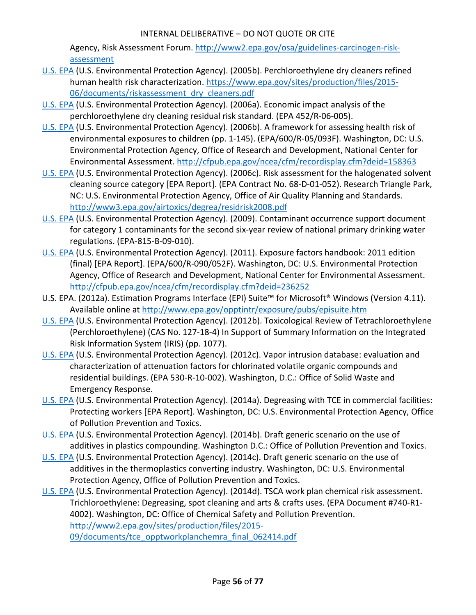Agency, Risk Assessment Forum. [http://www2.epa.gov/osa/guidelines-carcinogen-risk](http://www2.epa.gov/osa/guidelines-carcinogen-risk-assessment)[assessment](http://www2.epa.gov/osa/guidelines-carcinogen-risk-assessment)

- [U.S. EPA](http://hero.epa.gov/index.cfm?action=search.view&reference_id=3827353) (U.S. Environmental Protection Agency). (2005b). Perchloroethylene dry cleaners refined human health risk characterization. [https://www.epa.gov/sites/production/files/2015-](https://www.epa.gov/sites/production/files/2015-06/documents/riskassessment_dry_cleaners.pdf) [06/documents/riskassessment\\_dry\\_cleaners.pdf](https://www.epa.gov/sites/production/files/2015-06/documents/riskassessment_dry_cleaners.pdf)
- [U.S. EPA](http://hero.epa.gov/index.cfm?action=search.view&reference_id=3827375) (U.S. Environmental Protection Agency). (2006a). Economic impact analysis of the perchloroethylene dry cleaning residual risk standard. (EPA 452/R-06-005).
- [U.S.](http://hero.epa.gov/index.cfm?action=search.view&reference_id=194567) EPA (U.S. Environmental Protection Agency). (2006b). A framework for assessing health risk of environmental exposures to children (pp. 1-145). (EPA/600/R-05/093F). Washington, DC: U.S. Environmental Protection Agency, Office of Research and Development, National Center for Environmental Assessment[. http://cfpub.epa.gov/ncea/cfm/recordisplay.cfm?deid=158363](http://cfpub.epa.gov/ncea/cfm/recordisplay.cfm?deid=158363)
- [U.S. EPA](http://hero.epa.gov/index.cfm?action=search.view&reference_id=3044969) (U.S. Environmental Protection Agency). (2006c). Risk assessment for the halogenated solvent cleaning source category [EPA Report]. (EPA Contract No. 68-D-01-052). Research Triangle Park, NC: U.S. Environmental Protection Agency, Office of Air Quality Planning and Standards. <http://www3.epa.gov/airtoxics/degrea/residrisk2008.pdf>
- [U.S. EPA](http://hero.epa.gov/index.cfm?action=search.view&reference_id=3827379) (U.S. Environmental Protection Agency). (2009). Contaminant occurrence support document for category 1 contaminants for the second six-year review of national primary drinking water regulations. (EPA-815-B-09-010).
- [U.S. EPA](http://hero.epa.gov/index.cfm?action=search.view&reference_id=786546) (U.S. Environmental Protection Agency). (2011). Exposure factors handbook: 2011 edition (final) [EPA Report]. (EPA/600/R-090/052F). Washington, DC: U.S. Environmental Protection Agency, Office of Research and Development, National Center for Environmental Assessment. <http://cfpub.epa.gov/ncea/cfm/recordisplay.cfm?deid=236252>
- U.S. EPA. (2012a). Estimation Programs Interface (EPI) Suite™ for Microsoft® Windows (Version 4.11). Available online a[t http://www.epa.gov/opptintr/exposure/pubs/episuite.htm](http://www.epa.gov/opptintr/exposure/pubs/episuite.htm)
- [U.S. EPA](http://hero.epa.gov/index.cfm?action=search.view&reference_id=3491015) (U.S. Environmental Protection Agency). (2012b). Toxicological Review of Tetrachloroethylene (Perchloroethylene) (CAS No. 127-18-4) In Support of Summary Information on the Integrated Risk Information System (IRIS) (pp. 1077).
- [U.S. EPA](http://hero.epa.gov/index.cfm?action=search.view&reference_id=3827389) (U.S. Environmental Protection Agency). (2012c). Vapor intrusion database: evaluation and characterization of attenuation factors for chlorinated volatile organic compounds and residential buildings. (EPA 530-R-10-002). Washington, D.C.: Office of Solid Waste and Emergency Response.
- [U.S. EPA](http://hero.epa.gov/index.cfm?action=search.view&reference_id=3045553) (U.S. Environmental Protection Agency). (2014a). Degreasing with TCE in commercial facilities: Protecting workers [EPA Report]. Washington, DC: U.S. Environmental Protection Agency, Office of Pollution Prevention and Toxics.
- [U.S. EPA](http://hero.epa.gov/index.cfm?action=search.view&reference_id=3839191) (U.S. Environmental Protection Agency). (2014b). Draft generic scenario on the use of additives in plastics compounding. Washington D.C.: Office of Pollution Prevention and Toxics.
- [U.S. EPA](http://hero.epa.gov/index.cfm?action=search.view&reference_id=3839192) (U.S. Environmental Protection Agency). (2014c). Draft generic scenario on the use of additives in the thermoplastics converting industry. Washington, DC: U.S. Environmental Protection Agency, Office of Pollution Prevention and Toxics.
- [U.S. EPA](http://hero.epa.gov/index.cfm?action=search.view&reference_id=3036194) (U.S. Environmental Protection Agency). (2014d). TSCA work plan chemical risk assessment. Trichloroethylene: Degreasing, spot cleaning and arts & crafts uses. (EPA Document #740-R1- 4002). Washington, DC: Office of Chemical Safety and Pollution Prevention. [http://www2.epa.gov/sites/production/files/2015-](http://www2.epa.gov/sites/production/files/2015-09/documents/tce_opptworkplanchemra_final_062414.pdf) [09/documents/tce\\_opptworkplanchemra\\_final\\_062414.pdf](http://www2.epa.gov/sites/production/files/2015-09/documents/tce_opptworkplanchemra_final_062414.pdf)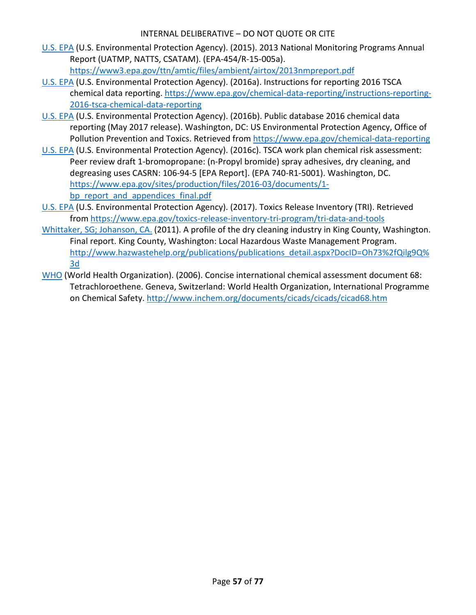- [U.S. EPA](http://hero.epa.gov/index.cfm?action=search.view&reference_id=3827235) (U.S. Environmental Protection Agency). (2015). 2013 National Monitoring Programs Annual Report (UATMP, NATTS, CSATAM). (EPA-454/R-15-005a). <https://www3.epa.gov/ttn/amtic/files/ambient/airtox/2013nmpreport.pdf>
- [U.S. EPA](http://hero.epa.gov/index.cfm?action=search.view&reference_id=3839188) (U.S. Environmental Protection Agency). (2016a). Instructions for reporting 2016 TSCA chemical data reporting. [https://www.epa.gov/chemical-data-reporting/instructions-reporting-](https://www.epa.gov/chemical-data-reporting/instructions-reporting-2016-tsca-chemical-data-reporting)[2016-tsca-chemical-data-reporting](https://www.epa.gov/chemical-data-reporting/instructions-reporting-2016-tsca-chemical-data-reporting)
- [U.S. EPA](http://hero.epa.gov/index.cfm?action=search.view&reference_id=3827204) (U.S. Environmental Protection Agency). (2016b). Public database 2016 chemical data reporting (May 2017 release). Washington, DC: US Environmental Protection Agency, Office of Pollution Prevention and Toxics. Retrieved fro[m https://www.epa.gov/chemical-data-reporting](https://www.epa.gov/chemical-data-reporting)
- [U.S. EPA](http://hero.epa.gov/index.cfm?action=search.view&reference_id=3355305) (U.S. Environmental Protection Agency). (2016c). TSCA work plan chemical risk assessment: Peer review draft 1-bromopropane: (n-Propyl bromide) spray adhesives, dry cleaning, and degreasing uses CASRN: 106-94-5 [EPA Report]. (EPA 740-R1-5001). Washington, DC. [https://www.epa.gov/sites/production/files/2016-03/documents/1](https://www.epa.gov/sites/production/files/2016-03/documents/1-bp_report_and_appendices_final.pdf) [bp\\_report\\_and\\_appendices\\_final.pdf](https://www.epa.gov/sites/production/files/2016-03/documents/1-bp_report_and_appendices_final.pdf)
- [U.S. EPA](http://hero.epa.gov/index.cfm?action=search.view&reference_id=3834224) (U.S. Environmental Protection Agency). (2017). Toxics Release Inventory (TRI). Retrieved from<https://www.epa.gov/toxics-release-inventory-tri-program/tri-data-and-tools>
- [Whittaker, SG;](http://hero.epa.gov/index.cfm?action=search.view&reference_id=3827371) Johanson, CA. (2011). A profile of the dry cleaning industry in King County, Washington. Final report. King County, Washington: Local Hazardous Waste Management Program. [http://www.hazwastehelp.org/publications/publications\\_detail.aspx?DocID=Oh73%2fQilg9Q%](http://www.hazwastehelp.org/publications/publications_detail.aspx?DocID=Oh73%2fQilg9Q%3d) [3d](http://www.hazwastehelp.org/publications/publications_detail.aspx?DocID=Oh73%2fQilg9Q%3d)
- [WHO](http://hero.epa.gov/index.cfm?action=search.view&reference_id=631155) (World Health Organization). (2006). Concise international chemical assessment document 68: Tetrachloroethene. Geneva, Switzerland: World Health Organization, International Programme on Chemical Safety[. http://www.inchem.org/documents/cicads/cicads/cicad68.htm](http://www.inchem.org/documents/cicads/cicads/cicad68.htm)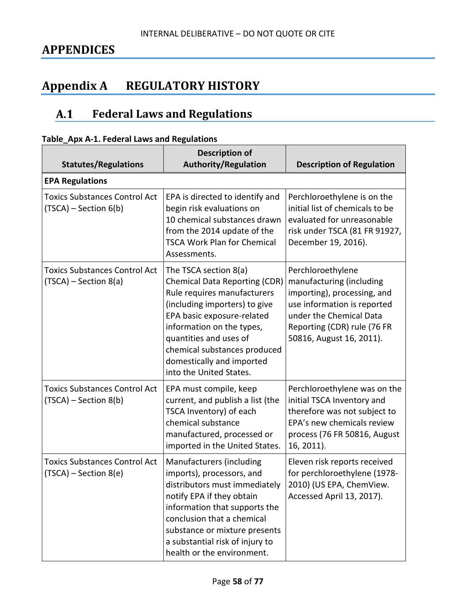# **APPENDICES**

# **Appendix A REGULATORY HISTORY**

#### $A.1$ **Federal Laws and Regulations**

|  |  |  | Table_Apx A-1. Federal Laws and Regulations |
|--|--|--|---------------------------------------------|
|--|--|--|---------------------------------------------|

| <b>Statutes/Regulations</b>                                     | <b>Description of</b><br><b>Authority/Regulation</b>                                                                                                                                                                                                                                                       | <b>Description of Regulation</b>                                                                                                                                                                  |
|-----------------------------------------------------------------|------------------------------------------------------------------------------------------------------------------------------------------------------------------------------------------------------------------------------------------------------------------------------------------------------------|---------------------------------------------------------------------------------------------------------------------------------------------------------------------------------------------------|
| <b>EPA Regulations</b>                                          |                                                                                                                                                                                                                                                                                                            |                                                                                                                                                                                                   |
| <b>Toxics Substances Control Act</b><br>$(TSCA)$ – Section 6(b) | EPA is directed to identify and<br>begin risk evaluations on<br>10 chemical substances drawn<br>from the 2014 update of the<br><b>TSCA Work Plan for Chemical</b><br>Assessments.                                                                                                                          | Perchloroethylene is on the<br>initial list of chemicals to be<br>evaluated for unreasonable<br>risk under TSCA (81 FR 91927,<br>December 19, 2016).                                              |
| <b>Toxics Substances Control Act</b><br>$(TSCA)$ – Section 8(a) | The TSCA section 8(a)<br><b>Chemical Data Reporting (CDR)</b><br>Rule requires manufacturers<br>(including importers) to give<br>EPA basic exposure-related<br>information on the types,<br>quantities and uses of<br>chemical substances produced<br>domestically and imported<br>into the United States. | Perchloroethylene<br>manufacturing (including<br>importing), processing, and<br>use information is reported<br>under the Chemical Data<br>Reporting (CDR) rule (76 FR<br>50816, August 16, 2011). |
| <b>Toxics Substances Control Act</b><br>$(TSCA)$ – Section 8(b) | EPA must compile, keep<br>current, and publish a list (the<br>TSCA Inventory) of each<br>chemical substance<br>manufactured, processed or<br>imported in the United States.                                                                                                                                | Perchloroethylene was on the<br>initial TSCA Inventory and<br>therefore was not subject to<br>EPA's new chemicals review<br>process (76 FR 50816, August<br>16, 2011).                            |
| <b>Toxics Substances Control Act</b><br>$(TSCA)$ – Section 8(e) | Manufacturers (including<br>imports), processors, and<br>distributors must immediately<br>notify EPA if they obtain<br>information that supports the<br>conclusion that a chemical<br>substance or mixture presents<br>a substantial risk of injury to<br>health or the environment.                       | Eleven risk reports received<br>for perchloroethylene (1978-<br>2010) (US EPA, ChemView.<br>Accessed April 13, 2017).                                                                             |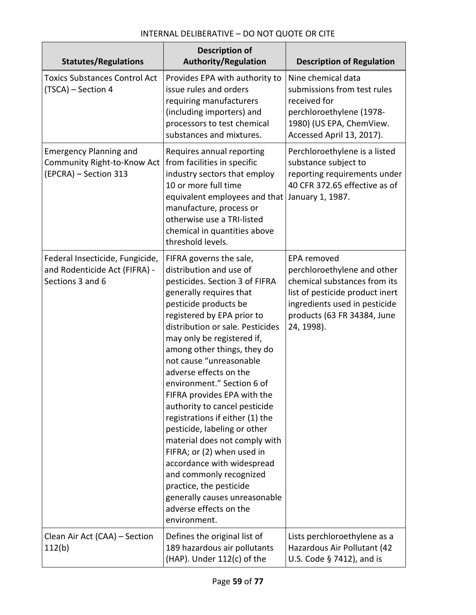| <b>Statutes/Regulations</b>                                                           | <b>Description of</b><br><b>Authority/Regulation</b>                                                                                                                                                                                                                                                                                                                                                                                                                                                                                                                                                                                                                                                                        | <b>Description of Regulation</b>                                                                                                                                                            |
|---------------------------------------------------------------------------------------|-----------------------------------------------------------------------------------------------------------------------------------------------------------------------------------------------------------------------------------------------------------------------------------------------------------------------------------------------------------------------------------------------------------------------------------------------------------------------------------------------------------------------------------------------------------------------------------------------------------------------------------------------------------------------------------------------------------------------------|---------------------------------------------------------------------------------------------------------------------------------------------------------------------------------------------|
| <b>Toxics Substances Control Act</b><br>(TSCA) - Section 4                            | Provides EPA with authority to<br>issue rules and orders<br>requiring manufacturers<br>(including importers) and<br>processors to test chemical<br>substances and mixtures.                                                                                                                                                                                                                                                                                                                                                                                                                                                                                                                                                 | Nine chemical data<br>submissions from test rules<br>received for<br>perchloroethylene (1978-<br>1980) (US EPA, ChemView.<br>Accessed April 13, 2017).                                      |
| <b>Emergency Planning and</b><br>Community Right-to-Know Act<br>(EPCRA) - Section 313 | Requires annual reporting<br>from facilities in specific<br>industry sectors that employ<br>10 or more full time<br>equivalent employees and that January 1, 1987.<br>manufacture, process or<br>otherwise use a TRI-listed<br>chemical in quantities above<br>threshold levels.                                                                                                                                                                                                                                                                                                                                                                                                                                            | Perchloroethylene is a listed<br>substance subject to<br>reporting requirements under<br>40 CFR 372.65 effective as of                                                                      |
| Federal Insecticide, Fungicide,<br>and Rodenticide Act (FIFRA) -<br>Sections 3 and 6  | FIFRA governs the sale,<br>distribution and use of<br>pesticides. Section 3 of FIFRA<br>generally requires that<br>pesticide products be<br>registered by EPA prior to<br>distribution or sale. Pesticides<br>may only be registered if,<br>among other things, they do<br>not cause "unreasonable<br>adverse effects on the<br>environment." Section 6 of<br>FIFRA provides EPA with the<br>authority to cancel pesticide<br>registrations if either (1) the<br>pesticide, labeling or other<br>material does not comply with<br>FIFRA; or (2) when used in<br>accordance with widespread<br>and commonly recognized<br>practice, the pesticide<br>generally causes unreasonable<br>adverse effects on the<br>environment. | EPA removed<br>perchloroethylene and other<br>chemical substances from its<br>list of pesticide product inert<br>ingredients used in pesticide<br>products (63 FR 34384, June<br>24, 1998). |
| Clean Air Act (CAA) - Section<br>112(b)                                               | Defines the original list of<br>189 hazardous air pollutants<br>(HAP). Under 112(c) of the                                                                                                                                                                                                                                                                                                                                                                                                                                                                                                                                                                                                                                  | Lists perchloroethylene as a<br>Hazardous Air Pollutant (42<br>U.S. Code § 7412), and is                                                                                                    |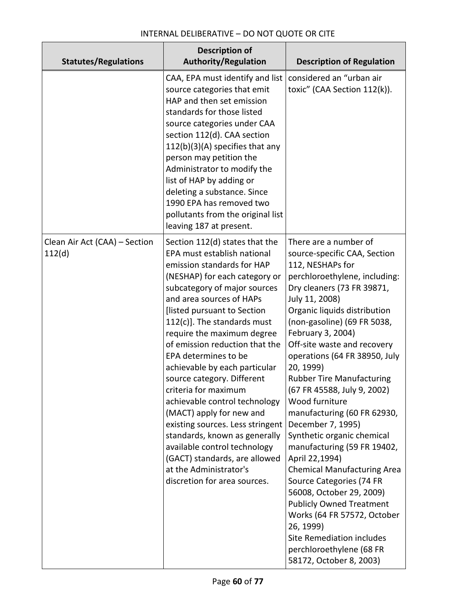| <b>Statutes/Regulations</b>             | <b>Description of</b><br><b>Authority/Regulation</b>                                                                                                                                                                                                                                                                                                                                                                                                                                                                                                                                                                                                                                               | <b>Description of Regulation</b>                                                                                                                                                                                                                                                                                                                                                                                                                                                                                                                                                                                                                                                                                                                                                                                     |
|-----------------------------------------|----------------------------------------------------------------------------------------------------------------------------------------------------------------------------------------------------------------------------------------------------------------------------------------------------------------------------------------------------------------------------------------------------------------------------------------------------------------------------------------------------------------------------------------------------------------------------------------------------------------------------------------------------------------------------------------------------|----------------------------------------------------------------------------------------------------------------------------------------------------------------------------------------------------------------------------------------------------------------------------------------------------------------------------------------------------------------------------------------------------------------------------------------------------------------------------------------------------------------------------------------------------------------------------------------------------------------------------------------------------------------------------------------------------------------------------------------------------------------------------------------------------------------------|
|                                         | CAA, EPA must identify and list<br>source categories that emit<br>HAP and then set emission<br>standards for those listed<br>source categories under CAA<br>section 112(d). CAA section<br>112(b)(3)(A) specifies that any<br>person may petition the<br>Administrator to modify the<br>list of HAP by adding or<br>deleting a substance. Since<br>1990 EPA has removed two<br>pollutants from the original list<br>leaving 187 at present.                                                                                                                                                                                                                                                        | considered an "urban air<br>toxic" (CAA Section 112(k)).                                                                                                                                                                                                                                                                                                                                                                                                                                                                                                                                                                                                                                                                                                                                                             |
| Clean Air Act (CAA) - Section<br>112(d) | Section 112(d) states that the<br>EPA must establish national<br>emission standards for HAP<br>(NESHAP) for each category or<br>subcategory of major sources<br>and area sources of HAPs<br>[listed pursuant to Section<br>112(c)]. The standards must<br>require the maximum degree<br>of emission reduction that the<br>EPA determines to be<br>achievable by each particular<br>source category. Different<br>criteria for maximum<br>achievable control technology<br>(MACT) apply for new and<br>existing sources. Less stringent<br>standards, known as generally<br>available control technology<br>(GACT) standards, are allowed<br>at the Administrator's<br>discretion for area sources. | There are a number of<br>source-specific CAA, Section<br>112, NESHAPs for<br>perchloroethylene, including:<br>Dry cleaners (73 FR 39871,<br>July 11, 2008)<br>Organic liquids distribution<br>(non-gasoline) (69 FR 5038,<br>February 3, 2004)<br>Off-site waste and recovery<br>operations (64 FR 38950, July<br>20, 1999)<br><b>Rubber Tire Manufacturing</b><br>(67 FR 45588, July 9, 2002)<br>Wood furniture<br>manufacturing (60 FR 62930,<br>December 7, 1995)<br>Synthetic organic chemical<br>manufacturing (59 FR 19402,<br>April 22,1994)<br><b>Chemical Manufacturing Area</b><br>Source Categories (74 FR<br>56008, October 29, 2009)<br><b>Publicly Owned Treatment</b><br>Works (64 FR 57572, October<br>26, 1999)<br>Site Remediation includes<br>perchloroethylene (68 FR<br>58172, October 8, 2003) |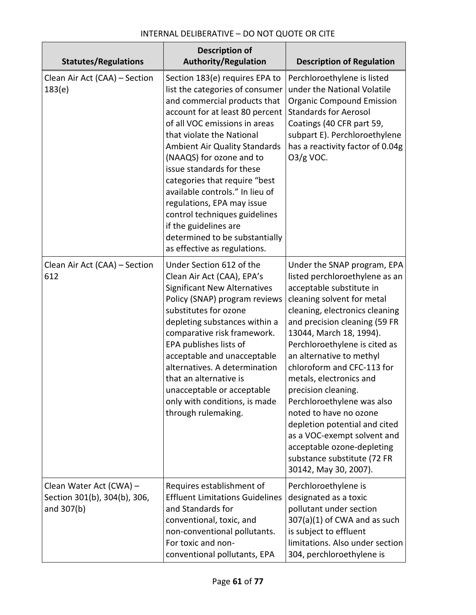| <b>Statutes/Regulations</b>                                           | <b>Description of</b><br><b>Authority/Regulation</b>                                                                                                                                                                                                                                                                                                                                                                                                                                                                       | <b>Description of Regulation</b>                                                                                                                                                                                                                                                                                                                                                                                                                                                                                                                                                 |
|-----------------------------------------------------------------------|----------------------------------------------------------------------------------------------------------------------------------------------------------------------------------------------------------------------------------------------------------------------------------------------------------------------------------------------------------------------------------------------------------------------------------------------------------------------------------------------------------------------------|----------------------------------------------------------------------------------------------------------------------------------------------------------------------------------------------------------------------------------------------------------------------------------------------------------------------------------------------------------------------------------------------------------------------------------------------------------------------------------------------------------------------------------------------------------------------------------|
| Clean Air Act (CAA) - Section<br>183(e)                               | Section 183(e) requires EPA to<br>list the categories of consumer<br>and commercial products that<br>account for at least 80 percent<br>of all VOC emissions in areas<br>that violate the National<br>Ambient Air Quality Standards<br>(NAAQS) for ozone and to<br>issue standards for these<br>categories that require "best<br>available controls." In lieu of<br>regulations, EPA may issue<br>control techniques guidelines<br>if the guidelines are<br>determined to be substantially<br>as effective as regulations. | Perchloroethylene is listed<br>under the National Volatile<br><b>Organic Compound Emission</b><br><b>Standards for Aerosol</b><br>Coatings (40 CFR part 59,<br>subpart E). Perchloroethylene<br>has a reactivity factor of 0.04g<br>$O3/g$ VOC.                                                                                                                                                                                                                                                                                                                                  |
| Clean Air Act (CAA) - Section<br>612                                  | Under Section 612 of the<br>Clean Air Act (CAA), EPA's<br><b>Significant New Alternatives</b><br>Policy (SNAP) program reviews<br>substitutes for ozone<br>depleting substances within a<br>comparative risk framework.<br>EPA publishes lists of<br>acceptable and unacceptable<br>alternatives. A determination<br>that an alternative is<br>unacceptable or acceptable<br>only with conditions, is made<br>through rulemaking.                                                                                          | Under the SNAP program, EPA<br>listed perchloroethylene as an<br>acceptable substitute in<br>cleaning solvent for metal<br>cleaning, electronics cleaning<br>and precision cleaning (59 FR<br>13044, March 18, 1994).<br>Perchloroethylene is cited as<br>an alternative to methyl<br>chloroform and CFC-113 for<br>metals, electronics and<br>precision cleaning.<br>Perchloroethylene was also<br>noted to have no ozone<br>depletion potential and cited<br>as a VOC-exempt solvent and<br>acceptable ozone-depleting<br>substance substitute (72 FR<br>30142, May 30, 2007). |
| Clean Water Act (CWA) -<br>Section 301(b), 304(b), 306,<br>and 307(b) | Requires establishment of<br><b>Effluent Limitations Guidelines</b><br>and Standards for<br>conventional, toxic, and<br>non-conventional pollutants.<br>For toxic and non-<br>conventional pollutants, EPA                                                                                                                                                                                                                                                                                                                 | Perchloroethylene is<br>designated as a toxic<br>pollutant under section<br>$307(a)(1)$ of CWA and as such<br>is subject to effluent<br>limitations. Also under section<br>304, perchloroethylene is                                                                                                                                                                                                                                                                                                                                                                             |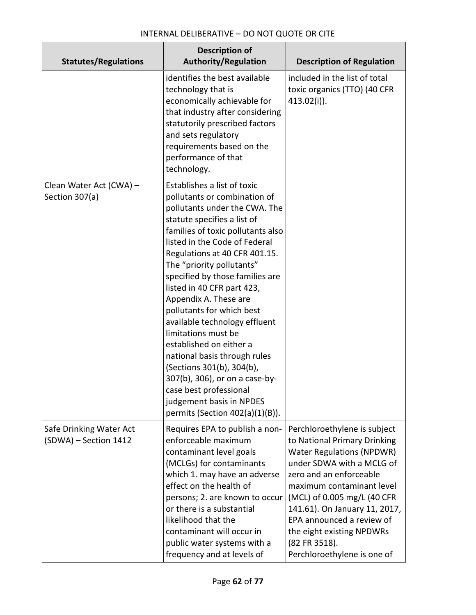| <b>Statutes/Regulations</b>                      | <b>Description of</b><br><b>Authority/Regulation</b>                                                                                                                                                                                                                                                                                                                                                                                                                                                                                                                                                                                                                 | <b>Description of Regulation</b>                                                                                                                                                                                                                                                                                                                                |
|--------------------------------------------------|----------------------------------------------------------------------------------------------------------------------------------------------------------------------------------------------------------------------------------------------------------------------------------------------------------------------------------------------------------------------------------------------------------------------------------------------------------------------------------------------------------------------------------------------------------------------------------------------------------------------------------------------------------------------|-----------------------------------------------------------------------------------------------------------------------------------------------------------------------------------------------------------------------------------------------------------------------------------------------------------------------------------------------------------------|
|                                                  | identifies the best available<br>technology that is<br>economically achievable for<br>that industry after considering<br>statutorily prescribed factors<br>and sets regulatory<br>requirements based on the<br>performance of that<br>technology.                                                                                                                                                                                                                                                                                                                                                                                                                    | included in the list of total<br>toxic organics (TTO) (40 CFR<br>$413.02(i)$ ).                                                                                                                                                                                                                                                                                 |
| Clean Water Act (CWA) -<br>Section 307(a)        | Establishes a list of toxic<br>pollutants or combination of<br>pollutants under the CWA. The<br>statute specifies a list of<br>families of toxic pollutants also<br>listed in the Code of Federal<br>Regulations at 40 CFR 401.15.<br>The "priority pollutants"<br>specified by those families are<br>listed in 40 CFR part 423,<br>Appendix A. These are<br>pollutants for which best<br>available technology effluent<br>limitations must be<br>established on either a<br>national basis through rules<br>(Sections 301(b), 304(b),<br>307(b), 306), or on a case-by-<br>case best professional<br>judgement basis in NPDES<br>permits (Section $402(a)(1)(B)$ ). |                                                                                                                                                                                                                                                                                                                                                                 |
| Safe Drinking Water Act<br>(SDWA) - Section 1412 | Requires EPA to publish a non-<br>enforceable maximum<br>contaminant level goals<br>(MCLGs) for contaminants<br>which 1. may have an adverse<br>effect on the health of<br>persons; 2. are known to occur<br>or there is a substantial<br>likelihood that the<br>contaminant will occur in<br>public water systems with a<br>frequency and at levels of                                                                                                                                                                                                                                                                                                              | Perchloroethylene is subject<br>to National Primary Drinking<br><b>Water Regulations (NPDWR)</b><br>under SDWA with a MCLG of<br>zero and an enforceable<br>maximum contaminant level<br>(MCL) of 0.005 mg/L (40 CFR<br>141.61). On January 11, 2017,<br>EPA announced a review of<br>the eight existing NPDWRs<br>(82 FR 3518).<br>Perchloroethylene is one of |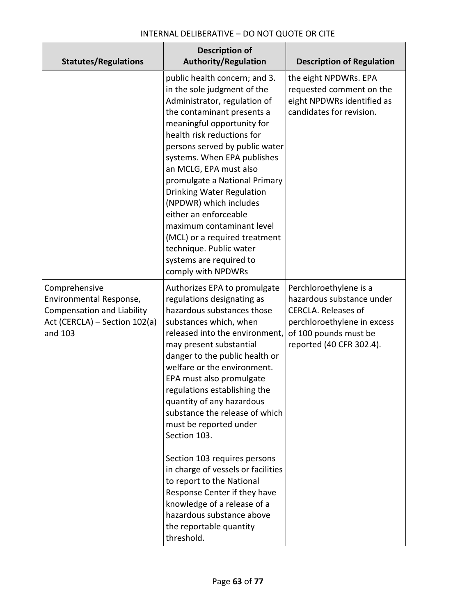| <b>Statutes/Regulations</b>                                                                                               | <b>Description of</b><br><b>Authority/Regulation</b>                                                                                                                                                                                                                                                                                                                                                                                                                                                                                                                                                                                                          | <b>Description of Regulation</b>                                                                                                                                      |
|---------------------------------------------------------------------------------------------------------------------------|---------------------------------------------------------------------------------------------------------------------------------------------------------------------------------------------------------------------------------------------------------------------------------------------------------------------------------------------------------------------------------------------------------------------------------------------------------------------------------------------------------------------------------------------------------------------------------------------------------------------------------------------------------------|-----------------------------------------------------------------------------------------------------------------------------------------------------------------------|
|                                                                                                                           | public health concern; and 3.<br>in the sole judgment of the<br>Administrator, regulation of<br>the contaminant presents a<br>meaningful opportunity for<br>health risk reductions for<br>persons served by public water<br>systems. When EPA publishes<br>an MCLG, EPA must also<br>promulgate a National Primary<br><b>Drinking Water Regulation</b><br>(NPDWR) which includes<br>either an enforceable<br>maximum contaminant level<br>(MCL) or a required treatment<br>technique. Public water<br>systems are required to<br>comply with NPDWRs                                                                                                           | the eight NPDWRs. EPA<br>requested comment on the<br>eight NPDWRs identified as<br>candidates for revision.                                                           |
| Comprehensive<br>Environmental Response,<br><b>Compensation and Liability</b><br>Act (CERCLA) - Section 102(a)<br>and 103 | Authorizes EPA to promulgate<br>regulations designating as<br>hazardous substances those<br>substances which, when<br>released into the environment,<br>may present substantial<br>danger to the public health or<br>welfare or the environment.<br>EPA must also promulgate<br>regulations establishing the<br>quantity of any hazardous<br>substance the release of which<br>must be reported under<br>Section 103.<br>Section 103 requires persons<br>in charge of vessels or facilities<br>to report to the National<br>Response Center if they have<br>knowledge of a release of a<br>hazardous substance above<br>the reportable quantity<br>threshold. | Perchloroethylene is a<br>hazardous substance under<br><b>CERCLA. Releases of</b><br>perchloroethylene in excess<br>of 100 pounds must be<br>reported (40 CFR 302.4). |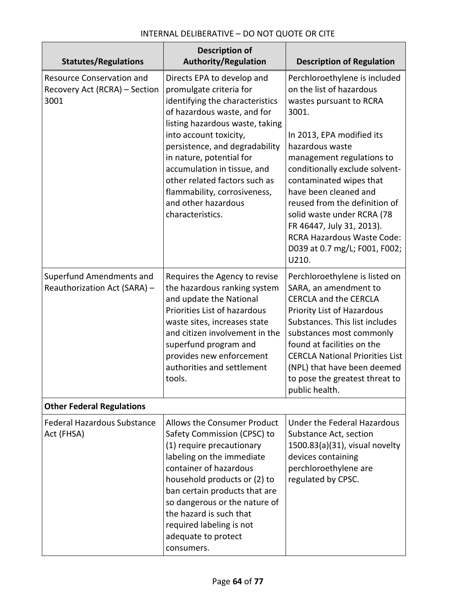| <b>Statutes/Regulations</b>                                               | <b>Description of</b><br><b>Authority/Regulation</b>                                                                                                                                                                                                                                                                                                                                          | <b>Description of Regulation</b>                                                                                                                                                                                                                                                                                                                                                                                                            |
|---------------------------------------------------------------------------|-----------------------------------------------------------------------------------------------------------------------------------------------------------------------------------------------------------------------------------------------------------------------------------------------------------------------------------------------------------------------------------------------|---------------------------------------------------------------------------------------------------------------------------------------------------------------------------------------------------------------------------------------------------------------------------------------------------------------------------------------------------------------------------------------------------------------------------------------------|
| <b>Resource Conservation and</b><br>Recovery Act (RCRA) - Section<br>3001 | Directs EPA to develop and<br>promulgate criteria for<br>identifying the characteristics<br>of hazardous waste, and for<br>listing hazardous waste, taking<br>into account toxicity,<br>persistence, and degradability<br>in nature, potential for<br>accumulation in tissue, and<br>other related factors such as<br>flammability, corrosiveness,<br>and other hazardous<br>characteristics. | Perchloroethylene is included<br>on the list of hazardous<br>wastes pursuant to RCRA<br>3001.<br>In 2013, EPA modified its<br>hazardous waste<br>management regulations to<br>conditionally exclude solvent-<br>contaminated wipes that<br>have been cleaned and<br>reused from the definition of<br>solid waste under RCRA (78<br>FR 46447, July 31, 2013).<br><b>RCRA Hazardous Waste Code:</b><br>D039 at 0.7 mg/L; F001, F002;<br>U210. |
| Superfund Amendments and<br>Reauthorization Act (SARA) -                  | Requires the Agency to revise<br>the hazardous ranking system<br>and update the National<br>Priorities List of hazardous<br>waste sites, increases state<br>and citizen involvement in the<br>superfund program and<br>provides new enforcement<br>authorities and settlement<br>tools.                                                                                                       | Perchloroethylene is listed on<br>SARA, an amendment to<br><b>CERCLA and the CERCLA</b><br>Priority List of Hazardous<br>Substances. This list includes<br>substances most commonly<br>found at facilities on the<br><b>CERCLA National Priorities List</b><br>(NPL) that have been deemed<br>to pose the greatest threat to<br>public health.                                                                                              |
| <b>Other Federal Regulations</b>                                          |                                                                                                                                                                                                                                                                                                                                                                                               |                                                                                                                                                                                                                                                                                                                                                                                                                                             |
| <b>Federal Hazardous Substance</b><br>Act (FHSA)                          | <b>Allows the Consumer Product</b><br>Safety Commission (CPSC) to<br>(1) require precautionary<br>labeling on the immediate<br>container of hazardous<br>household products or (2) to<br>ban certain products that are<br>so dangerous or the nature of<br>the hazard is such that<br>required labeling is not<br>adequate to protect<br>consumers.                                           | Under the Federal Hazardous<br>Substance Act, section<br>1500.83(a)(31), visual novelty<br>devices containing<br>perchloroethylene are<br>regulated by CPSC.                                                                                                                                                                                                                                                                                |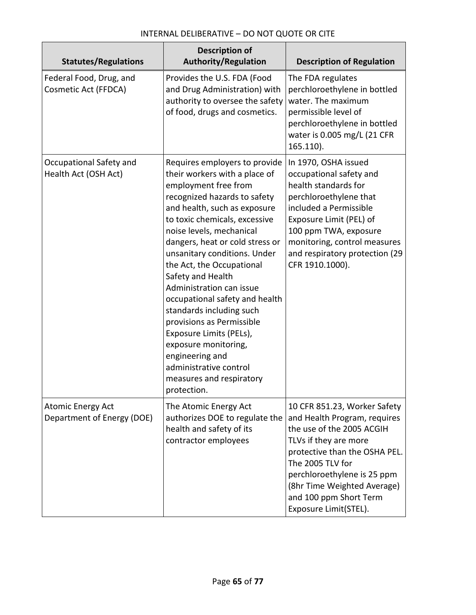| <b>Statutes/Regulations</b>                            | <b>Description of</b><br><b>Authority/Regulation</b>                                                                                                                                                                                                                                                                                                                                                                                                                                                                                                                                                       | <b>Description of Regulation</b>                                                                                                                                                                                                                                                         |
|--------------------------------------------------------|------------------------------------------------------------------------------------------------------------------------------------------------------------------------------------------------------------------------------------------------------------------------------------------------------------------------------------------------------------------------------------------------------------------------------------------------------------------------------------------------------------------------------------------------------------------------------------------------------------|------------------------------------------------------------------------------------------------------------------------------------------------------------------------------------------------------------------------------------------------------------------------------------------|
| Federal Food, Drug, and<br>Cosmetic Act (FFDCA)        | Provides the U.S. FDA (Food<br>and Drug Administration) with<br>authority to oversee the safety<br>of food, drugs and cosmetics.                                                                                                                                                                                                                                                                                                                                                                                                                                                                           | The FDA regulates<br>perchloroethylene in bottled<br>water. The maximum<br>permissible level of<br>perchloroethylene in bottled<br>water is 0.005 mg/L (21 CFR<br>165.110).                                                                                                              |
| Occupational Safety and<br>Health Act (OSH Act)        | Requires employers to provide<br>their workers with a place of<br>employment free from<br>recognized hazards to safety<br>and health, such as exposure<br>to toxic chemicals, excessive<br>noise levels, mechanical<br>dangers, heat or cold stress or<br>unsanitary conditions. Under<br>the Act, the Occupational<br>Safety and Health<br>Administration can issue<br>occupational safety and health<br>standards including such<br>provisions as Permissible<br>Exposure Limits (PELs),<br>exposure monitoring,<br>engineering and<br>administrative control<br>measures and respiratory<br>protection. | In 1970, OSHA issued<br>occupational safety and<br>health standards for<br>perchloroethylene that<br>included a Permissible<br>Exposure Limit (PEL) of<br>100 ppm TWA, exposure<br>monitoring, control measures<br>and respiratory protection (29<br>CFR 1910.1000).                     |
| <b>Atomic Energy Act</b><br>Department of Energy (DOE) | The Atomic Energy Act<br>authorizes DOE to regulate the<br>health and safety of its<br>contractor employees                                                                                                                                                                                                                                                                                                                                                                                                                                                                                                | 10 CFR 851.23, Worker Safety<br>and Health Program, requires<br>the use of the 2005 ACGIH<br>TLVs if they are more<br>protective than the OSHA PEL.<br>The 2005 TLV for<br>perchloroethylene is 25 ppm<br>(8hr Time Weighted Average)<br>and 100 ppm Short Term<br>Exposure Limit(STEL). |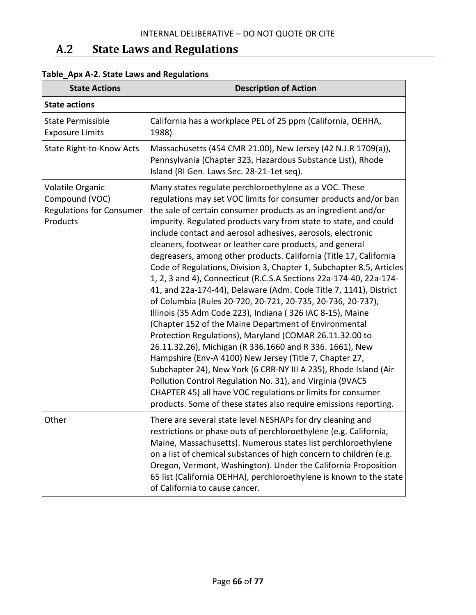#### $A.2$ **State Laws and Regulations**

| <b>State Actions</b>                                                              | <b>Description of Action</b>                                                                                                                                                                                                                                                                                                                                                                                                                                                                                                                                                                                                                                                                                                                                                                                                                                                                                                                                                                                                                                                                                                                                                                                                                                                                                                  |
|-----------------------------------------------------------------------------------|-------------------------------------------------------------------------------------------------------------------------------------------------------------------------------------------------------------------------------------------------------------------------------------------------------------------------------------------------------------------------------------------------------------------------------------------------------------------------------------------------------------------------------------------------------------------------------------------------------------------------------------------------------------------------------------------------------------------------------------------------------------------------------------------------------------------------------------------------------------------------------------------------------------------------------------------------------------------------------------------------------------------------------------------------------------------------------------------------------------------------------------------------------------------------------------------------------------------------------------------------------------------------------------------------------------------------------|
| <b>State actions</b>                                                              |                                                                                                                                                                                                                                                                                                                                                                                                                                                                                                                                                                                                                                                                                                                                                                                                                                                                                                                                                                                                                                                                                                                                                                                                                                                                                                                               |
| <b>State Permissible</b><br><b>Exposure Limits</b>                                | California has a workplace PEL of 25 ppm (California, OEHHA,<br>1988)                                                                                                                                                                                                                                                                                                                                                                                                                                                                                                                                                                                                                                                                                                                                                                                                                                                                                                                                                                                                                                                                                                                                                                                                                                                         |
| State Right-to-Know Acts                                                          | Massachusetts (454 CMR 21.00), New Jersey (42 N.J.R 1709(a)),<br>Pennsylvania (Chapter 323, Hazardous Substance List), Rhode<br>Island (RI Gen. Laws Sec. 28-21-1et seq).                                                                                                                                                                                                                                                                                                                                                                                                                                                                                                                                                                                                                                                                                                                                                                                                                                                                                                                                                                                                                                                                                                                                                     |
| Volatile Organic<br>Compound (VOC)<br><b>Regulations for Consumer</b><br>Products | Many states regulate perchloroethylene as a VOC. These<br>regulations may set VOC limits for consumer products and/or ban<br>the sale of certain consumer products as an ingredient and/or<br>impurity. Regulated products vary from state to state, and could<br>include contact and aerosol adhesives, aerosols, electronic<br>cleaners, footwear or leather care products, and general<br>degreasers, among other products. California (Title 17, California<br>Code of Regulations, Division 3, Chapter 1, Subchapter 8.5, Articles<br>1, 2, 3 and 4), Connecticut (R.C.S.A Sections 22a-174-40, 22a-174-<br>41, and 22a-174-44), Delaware (Adm. Code Title 7, 1141), District<br>of Columbia (Rules 20-720, 20-721, 20-735, 20-736, 20-737),<br>Illinois (35 Adm Code 223), Indiana (326 IAC 8-15), Maine<br>(Chapter 152 of the Maine Department of Environmental<br>Protection Regulations), Maryland (COMAR 26.11.32.00 to<br>26.11.32.26), Michigan (R 336.1660 and R 336. 1661), New<br>Hampshire (Env-A 4100) New Jersey (Title 7, Chapter 27,<br>Subchapter 24), New York (6 CRR-NY III A 235), Rhode Island (Air<br>Pollution Control Regulation No. 31), and Virginia (9VAC5<br>CHAPTER 45) all have VOC regulations or limits for consumer<br>products. Some of these states also require emissions reporting. |
| Other                                                                             | There are several state level NESHAPs for dry cleaning and<br>restrictions or phase outs of perchloroethylene (e.g. California,<br>Maine, Massachusetts). Numerous states list perchloroethylene<br>on a list of chemical substances of high concern to children (e.g.<br>Oregon, Vermont, Washington). Under the California Proposition<br>65 list (California OEHHA), perchloroethylene is known to the state<br>of California to cause cancer.                                                                                                                                                                                                                                                                                                                                                                                                                                                                                                                                                                                                                                                                                                                                                                                                                                                                             |

# **Table\_Apx A-2. State Laws and Regulations**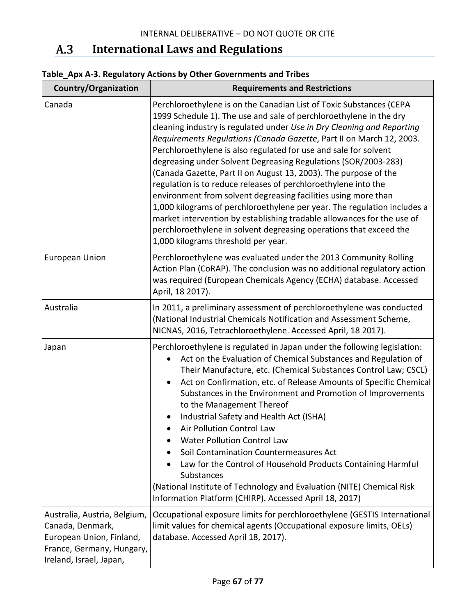#### $A.3$ **International Laws and Regulations**

| Country/Organization                                                                                                                 | <b>Requirements and Restrictions</b>                                                                                                                                                                                                                                                                                                                                                                                                                                                                                                                                                                                                                                                                                                                                                                                                                                                                         |
|--------------------------------------------------------------------------------------------------------------------------------------|--------------------------------------------------------------------------------------------------------------------------------------------------------------------------------------------------------------------------------------------------------------------------------------------------------------------------------------------------------------------------------------------------------------------------------------------------------------------------------------------------------------------------------------------------------------------------------------------------------------------------------------------------------------------------------------------------------------------------------------------------------------------------------------------------------------------------------------------------------------------------------------------------------------|
| Canada                                                                                                                               | Perchloroethylene is on the Canadian List of Toxic Substances (CEPA<br>1999 Schedule 1). The use and sale of perchloroethylene in the dry<br>cleaning industry is regulated under Use in Dry Cleaning and Reporting<br>Requirements Regulations (Canada Gazette, Part II on March 12, 2003.<br>Perchloroethylene is also regulated for use and sale for solvent<br>degreasing under Solvent Degreasing Regulations (SOR/2003-283)<br>(Canada Gazette, Part II on August 13, 2003). The purpose of the<br>regulation is to reduce releases of perchloroethylene into the<br>environment from solvent degreasing facilities using more than<br>1,000 kilograms of perchloroethylene per year. The regulation includes a<br>market intervention by establishing tradable allowances for the use of<br>perchloroethylene in solvent degreasing operations that exceed the<br>1,000 kilograms threshold per year. |
| <b>European Union</b>                                                                                                                | Perchloroethylene was evaluated under the 2013 Community Rolling<br>Action Plan (CoRAP). The conclusion was no additional regulatory action<br>was required (European Chemicals Agency (ECHA) database. Accessed<br>April, 18 2017).                                                                                                                                                                                                                                                                                                                                                                                                                                                                                                                                                                                                                                                                         |
| Australia                                                                                                                            | In 2011, a preliminary assessment of perchloroethylene was conducted<br>(National Industrial Chemicals Notification and Assessment Scheme,<br>NICNAS, 2016, Tetrachloroethylene. Accessed April, 18 2017).                                                                                                                                                                                                                                                                                                                                                                                                                                                                                                                                                                                                                                                                                                   |
| Japan                                                                                                                                | Perchloroethylene is regulated in Japan under the following legislation:<br>Act on the Evaluation of Chemical Substances and Regulation of<br>$\bullet$<br>Their Manufacture, etc. (Chemical Substances Control Law; CSCL)<br>Act on Confirmation, etc. of Release Amounts of Specific Chemical<br>Substances in the Environment and Promotion of Improvements<br>to the Management Thereof<br>Industrial Safety and Health Act (ISHA)<br>Air Pollution Control Law<br><b>Water Pollution Control Law</b><br>Soil Contamination Countermeasures Act<br>Law for the Control of Household Products Containing Harmful<br><b>Substances</b><br>(National Institute of Technology and Evaluation (NITE) Chemical Risk<br>Information Platform (CHIRP). Accessed April 18, 2017)                                                                                                                                  |
| Australia, Austria, Belgium,<br>Canada, Denmark,<br>European Union, Finland,<br>France, Germany, Hungary,<br>Ireland, Israel, Japan, | Occupational exposure limits for perchloroethylene (GESTIS International<br>limit values for chemical agents (Occupational exposure limits, OELs)<br>database. Accessed April 18, 2017).                                                                                                                                                                                                                                                                                                                                                                                                                                                                                                                                                                                                                                                                                                                     |

# **Table\_Apx A-3. Regulatory Actions by Other Governments and Tribes**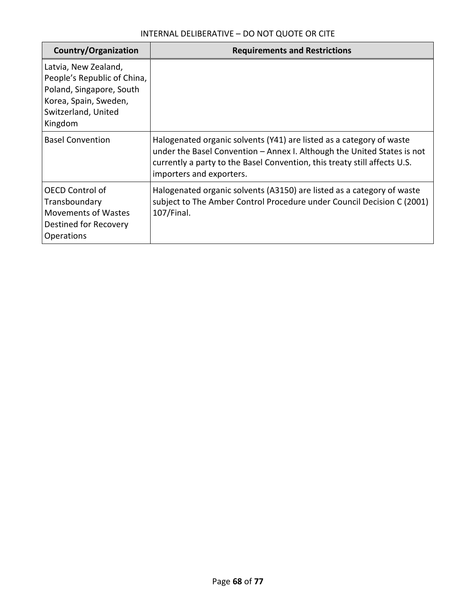| Country/Organization                                                                                                                       | <b>Requirements and Restrictions</b>                                                                                                                                                                                                                     |
|--------------------------------------------------------------------------------------------------------------------------------------------|----------------------------------------------------------------------------------------------------------------------------------------------------------------------------------------------------------------------------------------------------------|
| Latvia, New Zealand,<br>People's Republic of China,<br>Poland, Singapore, South<br>Korea, Spain, Sweden,<br>Switzerland, United<br>Kingdom |                                                                                                                                                                                                                                                          |
| <b>Basel Convention</b>                                                                                                                    | Halogenated organic solvents (Y41) are listed as a category of waste<br>under the Basel Convention - Annex I. Although the United States is not<br>currently a party to the Basel Convention, this treaty still affects U.S.<br>importers and exporters. |
| <b>OECD Control of</b><br>Transboundary<br><b>Movements of Wastes</b><br>Destined for Recovery<br><b>Operations</b>                        | Halogenated organic solvents (A3150) are listed as a category of waste<br>subject to The Amber Control Procedure under Council Decision C (2001)<br>$107$ /Final.                                                                                        |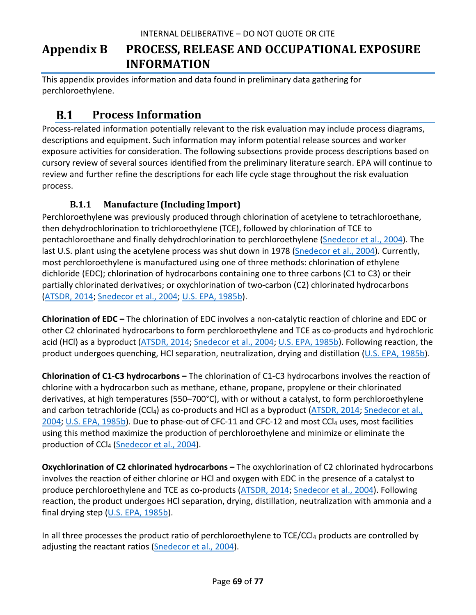# **Appendix B PROCESS, RELEASE AND OCCUPATIONAL EXPOSURE INFORMATION**

This appendix provides information and data found in preliminary data gathering for perchloroethylene.

#### $B.1$ **Process Information**

Process-related information potentially relevant to the risk evaluation may include process diagrams, descriptions and equipment. Such information may inform potential release sources and worker exposure activities for consideration. The following subsections provide process descriptions based on cursory review of several sources identified from the preliminary literature search. EPA will continue to review and further refine the descriptions for each life cycle stage throughout the risk evaluation process.

# **B.1.1 Manufacture (Including Import)**

Perchloroethylene was previously produced through chlorination of acetylene to tetrachloroethane, then dehydrochlorination to trichloroethylene (TCE), followed by chlorination of TCE to pentachloroethane and finally dehydrochlorination to perchloroethylene [\(Snedecor et al., 2004\)](http://hero.epa.gov/index.cfm?action=search.view&reference_id=3827414). The last U.S. plant using the acetylene process was shut down in 1978 [\(Snedecor et al., 2004\)](http://hero.epa.gov/index.cfm?action=search.view&reference_id=3827414). Currently, most perchloroethylene is manufactured using one of three methods: chlorination of ethylene dichloride (EDC); chlorination of hydrocarbons containing one to three carbons (C1 to C3) or their partially chlorinated derivatives; or oxychlorination of two-carbon (C2) chlorinated hydrocarbons [\(ATSDR, 2014;](http://hero.epa.gov/index.cfm?action=search.view&reference_id=2990770) [Snedecor et al., 2004;](http://hero.epa.gov/index.cfm?action=search.view&reference_id=3827414) [U.S. EPA, 1985b\)](http://hero.epa.gov/index.cfm?action=search.view&reference_id=3827355).

**Chlorination of EDC –** The chlorination of EDC involves a non-catalytic reaction of chlorine and EDC or other C2 chlorinated hydrocarbons to form perchloroethylene and TCE as co-products and hydrochloric acid (HCl) as a byproduct [\(ATSDR, 2014;](http://hero.epa.gov/index.cfm?action=search.view&reference_id=2990770) [Snedecor et al., 2004;](http://hero.epa.gov/index.cfm?action=search.view&reference_id=3827414) [U.S. EPA, 1985b\)](http://hero.epa.gov/index.cfm?action=search.view&reference_id=3827355). Following reaction, the product undergoes quenching, HCl separation, neutralization, drying and distillation [\(U.S. EPA, 1985b\)](http://hero.epa.gov/index.cfm?action=search.view&reference_id=3827355).

**Chlorination of C1-C3 hydrocarbons –** The chlorination of C1-C3 hydrocarbons involves the reaction of chlorine with a hydrocarbon such as methane, ethane, propane, propylene or their chlorinated derivatives, at high temperatures (550–700°C), with or without a catalyst, to form perchloroethylene and carbon tetrachloride (CCl<sub>4</sub>) as co-products and HCl as a byproduct [\(ATSDR, 2014;](http://hero.epa.gov/index.cfm?action=search.view&reference_id=2990770) Snedecor et al., [2004;](http://hero.epa.gov/index.cfm?action=search.view&reference_id=3827414) [U.S. EPA, 1985b\)](http://hero.epa.gov/index.cfm?action=search.view&reference_id=3827355). Due to phase-out of CFC-11 and CFC-12 and most CCl<sub>4</sub> uses, most facilities using this method maximize the production of perchloroethylene and minimize or eliminate the production of CCl<sub>4</sub> [\(Snedecor et al., 2004\)](http://hero.epa.gov/index.cfm?action=search.view&reference_id=3827414).

**Oxychlorination of C2 chlorinated hydrocarbons –** The oxychlorination of C2 chlorinated hydrocarbons involves the reaction of either chlorine or HCl and oxygen with EDC in the presence of a catalyst to produce perchloroethylene and TCE as co-products [\(ATSDR, 2014;](http://hero.epa.gov/index.cfm?action=search.view&reference_id=2990770) [Snedecor et al., 2004\)](http://hero.epa.gov/index.cfm?action=search.view&reference_id=3827414). Following reaction, the product undergoes HCl separation, drying, distillation, neutralization with ammonia and a final drying step [\(U.S. EPA, 1985b\)](http://hero.epa.gov/index.cfm?action=search.view&reference_id=3827355).

In all three processes the product ratio of perchloroethylene to  $TCE/CCI<sub>4</sub>$  products are controlled by adjusting the reactant ratios [\(Snedecor et al., 2004\)](http://hero.epa.gov/index.cfm?action=search.view&reference_id=3827414).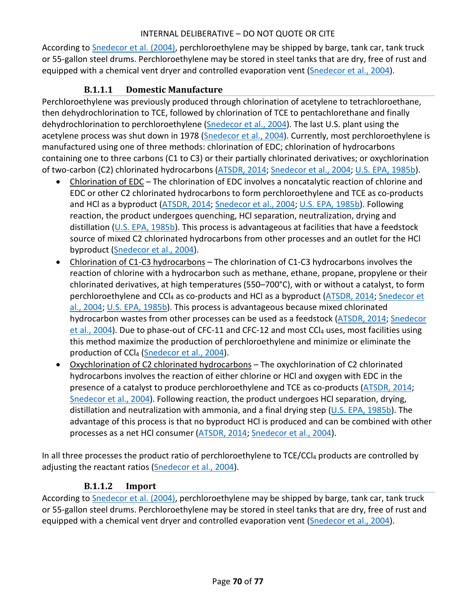According to [Snedecor et al. \(2004\),](http://hero.epa.gov/index.cfm?action=search.view&reference_id=3827414) perchloroethylene may be shipped by barge, tank car, tank truck or 55-gallon steel drums. Perchloroethylene may be stored in steel tanks that are dry, free of rust and equipped with a chemical vent dryer and controlled evaporation vent (Snedecor [et al., 2004\)](http://hero.epa.gov/index.cfm?action=search.view&reference_id=3827414).

# **B.1.1.1 Domestic Manufacture**

Perchloroethylene was previously produced through chlorination of acetylene to tetrachloroethane, then dehydrochlorination to TCE, followed by chlorination of TCE to pentachlorethane and finally dehydrochlorination to perchloroethylene [\(Snedecor et al., 2004\)](http://hero.epa.gov/index.cfm?action=search.view&reference_id=3827414). The last U.S. plant using the acetylene process was shut down in 1978 [\(Snedecor et al., 2004\)](http://hero.epa.gov/index.cfm?action=search.view&reference_id=3827414). Currently, most perchloroethylene is manufactured using one of three methods: chlorination of EDC; chlorination of hydrocarbons containing one to three carbons (C1 to C3) or their partially chlorinated derivatives; or oxychlorination of two-carbon (C2) chlorinated hydrocarbons [\(ATSDR, 2014;](http://hero.epa.gov/index.cfm?action=search.view&reference_id=2990770) [Snedecor et al., 2004;](http://hero.epa.gov/index.cfm?action=search.view&reference_id=3827414) [U.S. EPA, 1985b\)](http://hero.epa.gov/index.cfm?action=search.view&reference_id=3827355).

- Chlorination of EDC The chlorination of EDC involves a noncatalytic reaction of chlorine and EDC or other C2 chlorinated hydrocarbons to form perchloroethylene and TCE as co-products and HCl as a byproduct [\(ATSDR, 2014;](http://hero.epa.gov/index.cfm?action=search.view&reference_id=2990770) [Snedecor et al., 2004;](http://hero.epa.gov/index.cfm?action=search.view&reference_id=3827414) [U.S. EPA, 1985b\)](http://hero.epa.gov/index.cfm?action=search.view&reference_id=3827355). Following reaction, the product undergoes quenching, HCl separation, neutralization, drying and distillation [\(U.S. EPA, 1985b\)](http://hero.epa.gov/index.cfm?action=search.view&reference_id=3827355). This process is advantageous at facilities that have a feedstock source of mixed C2 chlorinated hydrocarbons from other processes and an outlet for the HCl byproduct [\(Snedecor et al., 2004\)](http://hero.epa.gov/index.cfm?action=search.view&reference_id=3827414).
- Chlorination of C1-C3 hydrocarbons The chlorination of C1-C3 hydrocarbons involves the reaction of chlorine with a hydrocarbon such as methane, ethane, propane, propylene or their chlorinated derivatives, at high temperatures (550–700°C), with or without a catalyst, to form perchloroethylene and CCl4 as co-products and HCl as a byproduct [\(ATSDR, 2014;](http://hero.epa.gov/index.cfm?action=search.view&reference_id=2990770) [Snedecor et](http://hero.epa.gov/index.cfm?action=search.view&reference_id=3827414)  [al., 2004;](http://hero.epa.gov/index.cfm?action=search.view&reference_id=3827414) [U.S. EPA, 1985b\)](http://hero.epa.gov/index.cfm?action=search.view&reference_id=3827355). This process is advantageous because mixed chlorinated hydrocarbon wastes from other processes can be used as a feedstock [\(ATSDR, 2014;](http://hero.epa.gov/index.cfm?action=search.view&reference_id=2990770) [Snedecor](http://hero.epa.gov/index.cfm?action=search.view&reference_id=3827414)  [et al., 2004\)](http://hero.epa.gov/index.cfm?action=search.view&reference_id=3827414). Due to phase-out of CFC-11 and CFC-12 and most CCl<sub>4</sub> uses, most facilities using this method maximize the production of perchloroethylene and minimize or eliminate the production of CCl4 [\(Snedecor et al., 2004\)](http://hero.epa.gov/index.cfm?action=search.view&reference_id=3827414).
- Oxychlorination of C2 chlorinated hydrocarbons The oxychlorination of C2 chlorinated hydrocarbons involves the reaction of either chlorine or HCl and oxygen with EDC in the presence of a catalyst to produce perchloroethylene and TCE as co-products [\(ATSDR, 2014;](http://hero.epa.gov/index.cfm?action=search.view&reference_id=2990770) [Snedecor et al., 2004\)](http://hero.epa.gov/index.cfm?action=search.view&reference_id=3827414). Following reaction, the product undergoes HCl separation, drying, distillation and neutralization with ammonia, and a final drying step [\(U.S. EPA, 1985b\)](http://hero.epa.gov/index.cfm?action=search.view&reference_id=3827355). The advantage of this process is that no byproduct HCl is produced and can be combined with other processes as a net HCl consumer [\(ATSDR, 2014;](http://hero.epa.gov/index.cfm?action=search.view&reference_id=2990770) [Snedecor et al., 2004\)](http://hero.epa.gov/index.cfm?action=search.view&reference_id=3827414).

In all three processes the product ratio of perchloroethylene to TCE/CCl4 products are controlled by adjusting the reactant ratios [\(Snedecor et al., 2004\)](http://hero.epa.gov/index.cfm?action=search.view&reference_id=3827414).

# **B.1.1.2 Import**

According to [Snedecor et al. \(2004\),](http://hero.epa.gov/index.cfm?action=search.view&reference_id=3827414) perchloroethylene may be shipped by barge, tank car, tank truck or 55-gallon steel drums. Perchloroethylene may be stored in steel tanks that are dry, free of rust and equipped with a chemical vent dryer and controlled evaporation vent [\(Snedecor et al., 2004\)](http://hero.epa.gov/index.cfm?action=search.view&reference_id=3827414).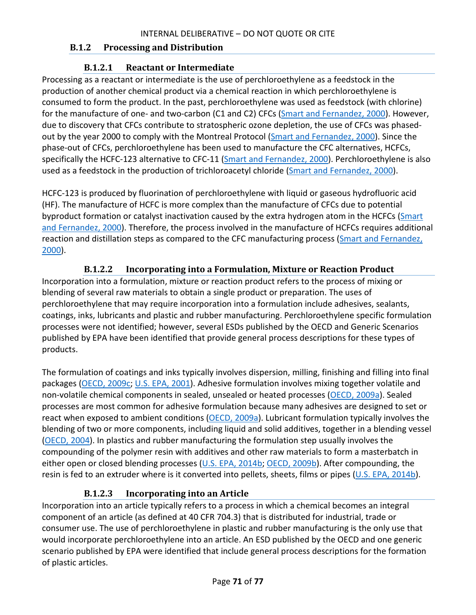#### **B.1.2 Processing and Distribution**

### **B.1.2.1 Reactant or Intermediate**

Processing as a reactant or intermediate is the use of perchloroethylene as a feedstock in the production of another chemical product via a chemical reaction in which perchloroethylene is consumed to form the product. In the past, perchloroethylene was used as feedstock (with chlorine) for the manufacture of one- and two-carbon (C1 and C2) CFCs [\(Smart and Fernandez, 2000\)](http://hero.epa.gov/index.cfm?action=search.view&reference_id=3052028). However, due to discovery that CFCs contribute to stratospheric ozone depletion, the use of CFCs was phasedout by the year 2000 to comply with the Montreal Protocol [\(Smart and Fernandez, 2000\)](http://hero.epa.gov/index.cfm?action=search.view&reference_id=3052028). Since the phase-out of CFCs, perchloroethylene has been used to manufacture the CFC alternatives, HCFCs, specifically the HCFC-123 alternative to CFC-11 [\(Smart and Fernandez, 2000\)](http://hero.epa.gov/index.cfm?action=search.view&reference_id=3052028). Perchloroethylene is also used as a feedstock in the production of trichloroacetyl chloride [\(Smart and Fernandez, 2000\)](http://hero.epa.gov/index.cfm?action=search.view&reference_id=3052028).

HCFC-123 is produced by fluorination of perchloroethylene with liquid or gaseous hydrofluoric acid (HF). The manufacture of HCFC is more complex than the manufacture of CFCs due to potential byproduct formation or catalyst inactivation caused by the extra hydrogen atom in the HCFCs (Smart [and Fernandez, 2000\)](http://hero.epa.gov/index.cfm?action=search.view&reference_id=3052028). Therefore, the process involved in the manufacture of HCFCs requires additional reaction and distillation steps as compared to the CFC manufacturing process [\(Smart and Fernandez,](http://hero.epa.gov/index.cfm?action=search.view&reference_id=3052028)  [2000\)](http://hero.epa.gov/index.cfm?action=search.view&reference_id=3052028).

### **B.1.2.2 Incorporating into a Formulation, Mixture or Reaction Product**

Incorporation into a formulation, mixture or reaction product refers to the process of mixing or blending of several raw materials to obtain a single product or preparation. The uses of perchloroethylene that may require incorporation into a formulation include adhesives, sealants, coatings, inks, lubricants and plastic and rubber manufacturing. Perchloroethylene specific formulation processes were not identified; however, several ESDs published by the OECD and Generic Scenarios published by EPA have been identified that provide general process descriptions for these types of products.

The formulation of coatings and inks typically involves dispersion, milling, finishing and filling into final packages [\(OECD, 2009c;](http://hero.epa.gov/index.cfm?action=search.view&reference_id=3827298) [U.S. EPA, 2001\)](http://hero.epa.gov/index.cfm?action=search.view&reference_id=35002). Adhesive formulation involves mixing together volatile and non-volatile chemical components in sealed, unsealed or heated processes [\(OECD, 2009a\)](http://hero.epa.gov/index.cfm?action=search.view&reference_id=3827299). Sealed processes are most common for adhesive formulation because many adhesives are designed to set or react when exposed to ambient conditions [\(OECD, 2009a\)](http://hero.epa.gov/index.cfm?action=search.view&reference_id=3827299). Lubricant formulation typically involves the blending of two or more components, including liquid and solid additives, together in a blending vessel [\(OECD, 2004\)](http://hero.epa.gov/index.cfm?action=search.view&reference_id=3827416). In plastics and rubber manufacturing the formulation step usually involves the compounding of the polymer resin with additives and other raw materials to form a masterbatch in either open or closed blending processes [\(U.S. EPA, 2014b;](http://hero.epa.gov/index.cfm?action=search.view&reference_id=3839191) [OECD, 2009b\)](http://hero.epa.gov/index.cfm?action=search.view&reference_id=3827413). After compounding, the resin is fed to an extruder where is it converted into pellets, sheets, films or pipes [\(U.S. EPA, 2014b\)](http://hero.epa.gov/index.cfm?action=search.view&reference_id=3839191).

# **B.1.2.3 Incorporating into an Article**

Incorporation into an article typically refers to a process in which a chemical becomes an integral component of an article (as defined at 40 CFR 704.3) that is distributed for industrial, trade or consumer use. The use of perchloroethylene in plastic and rubber manufacturing is the only use that would incorporate perchloroethylene into an article. An ESD published by the OECD and one generic scenario published by EPA were identified that include general process descriptions for the formation of plastic articles.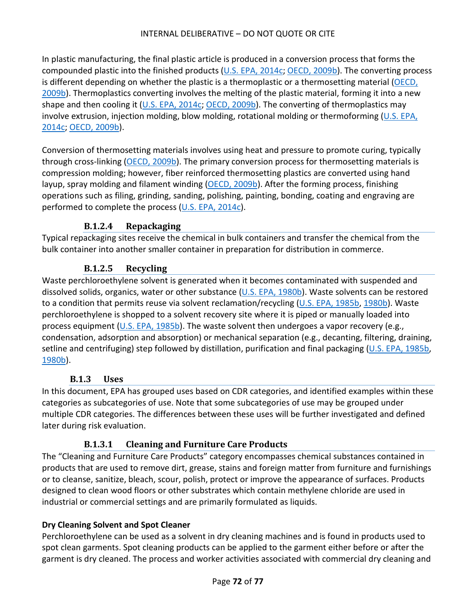In plastic manufacturing, the final plastic article is produced in a conversion process that forms the compounded plastic into the finished products [\(U.S. EPA, 2014c;](http://hero.epa.gov/index.cfm?action=search.view&reference_id=3839192) [OECD, 2009b\)](http://hero.epa.gov/index.cfm?action=search.view&reference_id=3827413). The converting process is different depending on whether the plastic is a thermoplastic or a thermosetting material [\(OECD,](http://hero.epa.gov/index.cfm?action=search.view&reference_id=3827413)  [2009b\)](http://hero.epa.gov/index.cfm?action=search.view&reference_id=3827413). Thermoplastics converting involves the melting of the plastic material, forming it into a new shape and then cooling it [\(U.S. EPA, 2014c;](http://hero.epa.gov/index.cfm?action=search.view&reference_id=3839192) [OECD, 2009b\)](http://hero.epa.gov/index.cfm?action=search.view&reference_id=3827413). The converting of thermoplastics may involve extrusion, injection molding, blow molding, rotational molding or thermoforming [\(U.S. EPA,](http://hero.epa.gov/index.cfm?action=search.view&reference_id=3839192)  [2014c;](http://hero.epa.gov/index.cfm?action=search.view&reference_id=3839192) [OECD, 2009b\)](http://hero.epa.gov/index.cfm?action=search.view&reference_id=3827413).

Conversion of thermosetting materials involves using heat and pressure to promote curing, typically through cross-linking [\(OECD, 2009b\)](http://hero.epa.gov/index.cfm?action=search.view&reference_id=3827413). The primary conversion process for thermosetting materials is compression molding; however, fiber reinforced thermosetting plastics are converted using hand layup, spray molding and filament winding [\(OECD, 2009b\)](http://hero.epa.gov/index.cfm?action=search.view&reference_id=3827413). After the forming process, finishing operations such as filing, grinding, sanding, polishing, painting, bonding, coating and engraving are performed to complete the process [\(U.S. EPA, 2014c\)](http://hero.epa.gov/index.cfm?action=search.view&reference_id=3839192).

# **B.1.2.4 Repackaging**

Typical repackaging sites receive the chemical in bulk containers and transfer the chemical from the bulk container into another smaller container in preparation for distribution in commerce.

### **B.1.2.5 Recycling**

Waste perchloroethylene solvent is generated when it becomes contaminated with suspended and dissolved solids, organics, water or other substance [\(U.S. EPA, 1980b\)](http://hero.epa.gov/index.cfm?action=search.view&reference_id=3827297). Waste solvents can be restored to a condition that permits reuse via solvent reclamation/recycling [\(U.S. EPA, 1985b,](http://hero.epa.gov/index.cfm?action=search.view&reference_id=3827355) [1980b\)](http://hero.epa.gov/index.cfm?action=search.view&reference_id=3827297). Waste perchloroethylene is shopped to a solvent recovery site where it is piped or manually loaded into process equipment [\(U.S. EPA, 1985b\)](http://hero.epa.gov/index.cfm?action=search.view&reference_id=3827355). The waste solvent then undergoes a vapor recovery (e.g., condensation, adsorption and absorption) or mechanical separation (e.g., decanting, filtering, draining, setline and centrifuging) step followed by distillation, purification and final packaging [\(U.S. EPA, 1985b,](http://hero.epa.gov/index.cfm?action=search.view&reference_id=3827355) [1980b\)](http://hero.epa.gov/index.cfm?action=search.view&reference_id=3827297).

#### **B.1.3 Uses**

In this document, EPA has grouped uses based on CDR categories, and identified examples within these categories as subcategories of use. Note that some subcategories of use may be grouped under multiple CDR categories. The differences between these uses will be further investigated and defined later during risk evaluation.

#### **B.1.3.1 Cleaning and Furniture Care Products**

The "Cleaning and Furniture Care Products" category encompasses chemical substances contained in products that are used to remove dirt, grease, stains and foreign matter from furniture and furnishings or to cleanse, sanitize, bleach, scour, polish, protect or improve the appearance of surfaces. Products designed to clean wood floors or other substrates which contain methylene chloride are used in industrial or commercial settings and are primarily formulated as liquids.

#### **Dry Cleaning Solvent and Spot Cleaner**

Perchloroethylene can be used as a solvent in dry cleaning machines and is found in products used to spot clean garments. Spot cleaning products can be applied to the garment either before or after the garment is dry cleaned. The process and worker activities associated with commercial dry cleaning and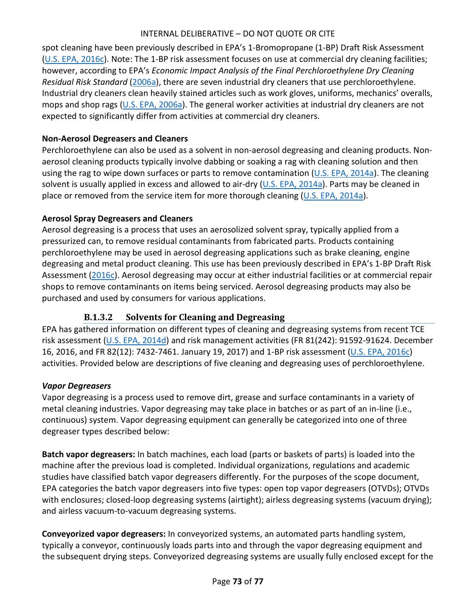spot cleaning have been previously described in EPA's 1-Bromopropane (1-BP) Draft Risk Assessment [\(U.S. EPA, 2016c\)](http://hero.epa.gov/index.cfm?action=search.view&reference_id=3355305). Note: The 1-BP risk assessment focuses on use at commercial dry cleaning facilities; however, according to EPA's *Economic Impact Analysis of the Final Perchloroethylene Dry Cleaning Residual Risk Standard* [\(2006a\)](http://hero.epa.gov/index.cfm?action=search.view&reference_id=3827375), there are seven industrial dry cleaners that use perchloroethylene. Industrial dry cleaners clean heavily stained articles such as work gloves, uniforms, mechanics' overalls, mops and shop rags [\(U.S. EPA, 2006a\)](http://hero.epa.gov/index.cfm?action=search.view&reference_id=3827375). The general worker activities at industrial dry cleaners are not expected to significantly differ from activities at commercial dry cleaners.

#### **Non-Aerosol Degreasers and Cleaners**

Perchloroethylene can also be used as a solvent in non-aerosol degreasing and cleaning products. Nonaerosol cleaning products typically involve dabbing or soaking a rag with cleaning solution and then using the rag to wipe down surfaces or parts to remove contamination ( $U.S. EPA$ , 2014a). The cleaning solvent is usually applied in excess and allowed to air-dry [\(U.S. EPA, 2014a\)](http://hero.epa.gov/index.cfm?action=search.view&reference_id=3045553). Parts may be cleaned in place or removed from the service item for more thorough cleaning  $(U.S. EPA, 2014a)$ .

#### **Aerosol Spray Degreasers and Cleaners**

Aerosol degreasing is a process that uses an aerosolized solvent spray, typically applied from a pressurized can, to remove residual contaminants from fabricated parts. Products containing perchloroethylene may be used in aerosol degreasing applications such as brake cleaning, engine degreasing and metal product cleaning. This use has been previously described in EPA's 1-BP Draft Risk Assessment [\(2016c\)](http://hero.epa.gov/index.cfm?action=search.view&reference_id=3355305). Aerosol degreasing may occur at either industrial facilities or at commercial repair shops to remove contaminants on items being serviced. Aerosol degreasing products may also be purchased and used by consumers for various applications.

## **B.1.3.2 Solvents for Cleaning and Degreasing**

EPA has gathered information on different types of cleaning and degreasing systems from recent TCE risk assessment [\(U.S. EPA, 2014d\)](http://hero.epa.gov/index.cfm?action=search.view&reference_id=3036194) and risk management activities (FR 81(242): 91592-91624. December 16, 2016, and FR 82(12): 7432-7461. January 19, 2017) and 1-BP risk assessment [\(U.S. EPA, 2016c\)](http://hero.epa.gov/index.cfm?action=search.view&reference_id=3355305) activities. Provided below are descriptions of five cleaning and degreasing uses of perchloroethylene.

#### *Vapor Degreasers*

Vapor degreasing is a process used to remove dirt, grease and surface contaminants in a variety of metal cleaning industries. Vapor degreasing may take place in batches or as part of an in-line (i.e., continuous) system. Vapor degreasing equipment can generally be categorized into one of three degreaser types described below:

**Batch vapor degreasers:** In batch machines, each load (parts or baskets of parts) is loaded into the machine after the previous load is completed. Individual organizations, regulations and academic studies have classified batch vapor degreasers differently. For the purposes of the scope document, EPA categories the batch vapor degreasers into five types: open top vapor degreasers (OTVDs); OTVDs with enclosures; closed-loop degreasing systems (airtight); airless degreasing systems (vacuum drying); and airless vacuum-to-vacuum degreasing systems.

**Conveyorized vapor degreasers:** In conveyorized systems, an automated parts handling system, typically a conveyor, continuously loads parts into and through the vapor degreasing equipment and the subsequent drying steps. Conveyorized degreasing systems are usually fully enclosed except for the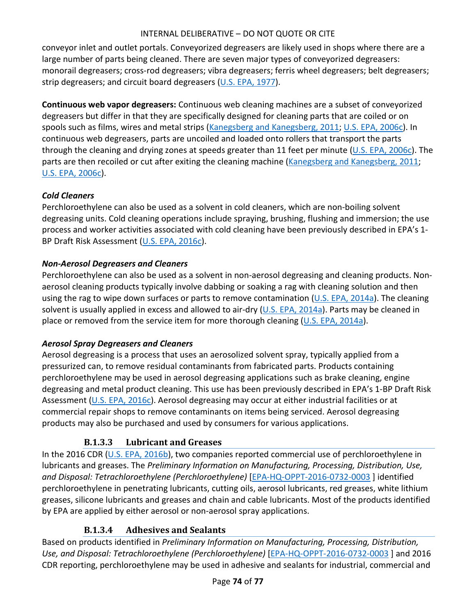conveyor inlet and outlet portals. Conveyorized degreasers are likely used in shops where there are a large number of parts being cleaned. There are seven major types of conveyorized degreasers: monorail degreasers; cross-rod degreasers; vibra degreasers; ferris wheel degreasers; belt degreasers; strip degreasers; and circuit board degreasers [\(U.S. EPA, 1977\)](http://hero.epa.gov/index.cfm?action=search.view&reference_id=3827321).

**Continuous web vapor degreasers:** Continuous web cleaning machines are a subset of conveyorized degreasers but differ in that they are specifically designed for cleaning parts that are coiled or on spools such as films, wires and metal strips [\(Kanegsberg and Kanegsberg, 2011;](http://hero.epa.gov/index.cfm?action=search.view&reference_id=3045069) [U.S. EPA, 2006c\)](http://hero.epa.gov/index.cfm?action=search.view&reference_id=3044969). In continuous web degreasers, parts are uncoiled and loaded onto rollers that transport the parts through the cleaning and drying zones at speeds greater than 11 feet per minute [\(U.S. EPA, 2006c\)](http://hero.epa.gov/index.cfm?action=search.view&reference_id=3044969). The parts are then recoiled or cut after exiting the cleaning machine [\(Kanegsberg and Kanegsberg, 2011;](http://hero.epa.gov/index.cfm?action=search.view&reference_id=3045069) [U.S. EPA, 2006c\)](http://hero.epa.gov/index.cfm?action=search.view&reference_id=3044969).

#### *Cold Cleaners*

Perchloroethylene can also be used as a solvent in cold cleaners, which are non-boiling solvent degreasing units. Cold cleaning operations include spraying, brushing, flushing and immersion; the use process and worker activities associated with cold cleaning have been previously described in EPA's 1- BP Draft Risk Assessment [\(U.S. EPA, 2016c\)](http://hero.epa.gov/index.cfm?action=search.view&reference_id=3355305).

#### *Non-Aerosol Degreasers and Cleaners*

Perchloroethylene can also be used as a solvent in non-aerosol degreasing and cleaning products. Nonaerosol cleaning products typically involve dabbing or soaking a rag with cleaning solution and then using the rag to wipe down surfaces or parts to remove contamination ( $U.S. EPA$ , 2014a). The cleaning solvent is usually applied in excess and allowed to air-dry (U.S. [EPA, 2014a\)](http://hero.epa.gov/index.cfm?action=search.view&reference_id=3045553). Parts may be cleaned in place or removed from the service item for more thorough cleaning [\(U.S. EPA, 2014a\)](http://hero.epa.gov/index.cfm?action=search.view&reference_id=3045553).

## *Aerosol Spray Degreasers and Cleaners*

Aerosol degreasing is a process that uses an aerosolized solvent spray, typically applied from a pressurized can, to remove residual contaminants from fabricated parts. Products containing perchloroethylene may be used in aerosol degreasing applications such as brake cleaning, engine degreasing and metal product cleaning. This use has been previously described in EPA's 1-BP Draft Risk Assessment [\(U.S. EPA, 2016c\)](http://hero.epa.gov/index.cfm?action=search.view&reference_id=3355305). Aerosol degreasing may occur at either industrial facilities or at commercial repair shops to remove contaminants on items being serviced. Aerosol degreasing products may also be purchased and used by consumers for various applications.

## **B.1.3.3 Lubricant and Greases**

In the 2016 CDR [\(U.S. EPA, 2016b\)](http://hero.epa.gov/index.cfm?action=search.view&reference_id=3827204), two companies reported commercial use of perchloroethylene in lubricants and greases. The *Preliminary Information on Manufacturing, Processing, Distribution, Use, and Disposal: Tetrachloroethylene (Perchloroethylene)* [\[EPA-HQ-OPPT-2016-0732-0003](https://www.regulations.gov/document?D=EPA-HQ-OPPT-2016-0732-0003) ] identified perchloroethylene in penetrating lubricants, cutting oils, aerosol lubricants, red greases, white lithium greases, silicone lubricants and greases and chain and cable lubricants. Most of the products identified by EPA are applied by either aerosol or non-aerosol spray applications.

## **B.1.3.4 Adhesives and Sealants**

Based on products identified in *Preliminary Information on Manufacturing, Processing, Distribution, Use, and Disposal: Tetrachloroethylene (Perchloroethylene)* [\[EPA-HQ-OPPT-2016-0732-0003](https://www.regulations.gov/document?D=EPA-HQ-OPPT-2016-0732-0003) ] and 2016 CDR reporting, perchloroethylene may be used in adhesive and sealants for industrial, commercial and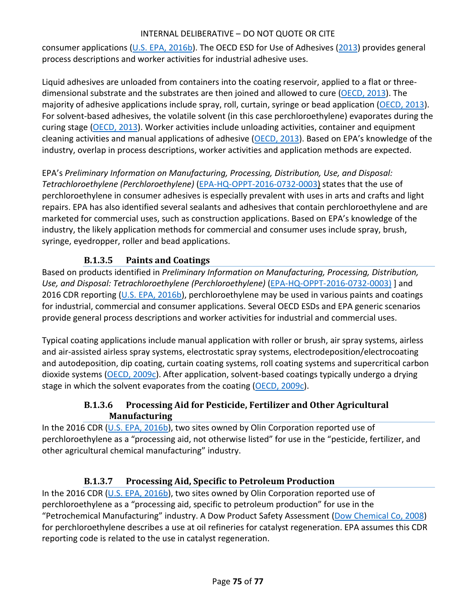consumer applications [\(U.S. EPA, 2016b\)](http://hero.epa.gov/index.cfm?action=search.view&reference_id=3827204). The OECD ESD for Use of Adhesives [\(2013\)](http://hero.epa.gov/index.cfm?action=search.view&reference_id=3827300) provides general process descriptions and worker activities for industrial adhesive uses.

Liquid adhesives are unloaded from containers into the coating reservoir, applied to a flat or threedimensional substrate and the substrates are then joined and allowed to cure [\(OECD, 2013\)](http://hero.epa.gov/index.cfm?action=search.view&reference_id=3827300). The majority of adhesive applications include spray, roll, curtain, syringe or bead application [\(OECD, 2013\)](http://hero.epa.gov/index.cfm?action=search.view&reference_id=3827300). For solvent-based adhesives, the volatile solvent (in this case perchloroethylene) evaporates during the curing stage [\(OECD, 2013\)](http://hero.epa.gov/index.cfm?action=search.view&reference_id=3827300). Worker activities include unloading activities, container and equipment cleaning activities and manual applications of adhesive [\(OECD, 2013\)](http://hero.epa.gov/index.cfm?action=search.view&reference_id=3827300). Based on EPA's knowledge of the industry, overlap in process descriptions, worker activities and application methods are expected.

EPA's *Preliminary Information on Manufacturing, Processing, Distribution, Use, and Disposal: Tetrachloroethylene (Perchloroethylene)* [\(EPA-HQ-OPPT-2016-0732-0003\)](https://www.regulations.gov/document?D=EPA-HQ-OPPT-2016-0732-0003) states that the use of perchloroethylene in consumer adhesives is especially prevalent with uses in arts and crafts and light repairs. EPA has also identified several sealants and adhesives that contain perchloroethylene and are marketed for commercial uses, such as construction applications. Based on EPA's knowledge of the industry, the likely application methods for commercial and consumer uses include spray, brush, syringe, eyedropper, roller and bead applications.

# **B.1.3.5 Paints and Coatings**

Based on products identified in *Preliminary Information on Manufacturing, Processing, Distribution, Use, and Disposal: Tetrachloroethylene (Perchloroethylene)* [\(EPA-HQ-OPPT-2016-0732-0003\)](https://www.regulations.gov/document?D=EPA-HQ-OPPT-2016-0732-0003) ] and 2016 CDR reporting [\(U.S. EPA, 2016b\)](http://hero.epa.gov/index.cfm?action=search.view&reference_id=3827204), perchloroethylene may be used in various paints and coatings for industrial, commercial and consumer applications. Several OECD ESDs and EPA generic scenarios provide general process descriptions and worker activities for industrial and commercial uses.

Typical coating applications include manual application with roller or brush, air spray systems, airless and air-assisted airless spray systems, electrostatic spray systems, electrodeposition/electrocoating and autodeposition, dip coating, curtain coating systems, roll coating systems and supercritical carbon dioxide systems [\(OECD, 2009c\)](http://hero.epa.gov/index.cfm?action=search.view&reference_id=3827298). After application, solvent-based coatings typically undergo a drying stage in which the solvent evaporates from the coating [\(OECD, 2009c\)](http://hero.epa.gov/index.cfm?action=search.view&reference_id=3827298).

## **B.1.3.6 Processing Aid for Pesticide, Fertilizer and Other Agricultural Manufacturing**

In the 2016 CDR [\(U.S. EPA, 2016b\)](http://hero.epa.gov/index.cfm?action=search.view&reference_id=3827204), two sites owned by Olin Corporation reported use of perchloroethylene as a "processing aid, not otherwise listed" for use in the "pesticide, fertilizer, and other agricultural chemical manufacturing" industry.

## **B.1.3.7 Processing Aid, Specific to Petroleum Production**

In the 2016 CDR [\(U.S. EPA, 2016b\)](http://hero.epa.gov/index.cfm?action=search.view&reference_id=3827204), two sites owned by Olin Corporation reported use of perchloroethylene as a "processing aid, specific to petroleum production" for use in the "Petrochemical Manufacturing" industry. A Dow Product Safety Assessment [\(Dow Chemical Co, 2008\)](http://hero.epa.gov/index.cfm?action=search.view&reference_id=3797950) for perchloroethylene describes a use at oil refineries for catalyst regeneration. EPA assumes this CDR reporting code is related to the use in catalyst regeneration.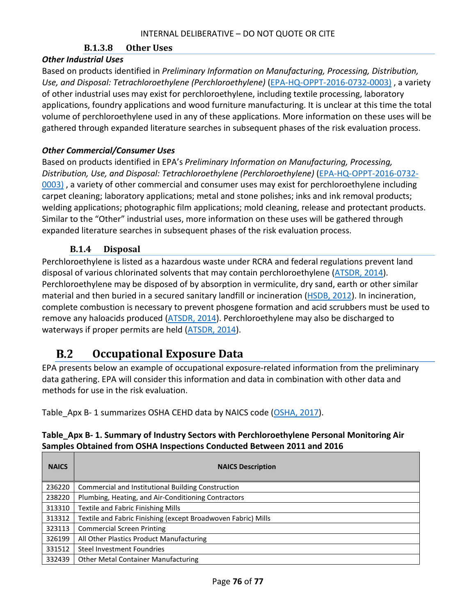#### **B.1.3.8 Other Uses**

#### *Other Industrial Uses*

Based on products identified in *Preliminary Information on Manufacturing, Processing, Distribution, Use, and Disposal: Tetrachloroethylene (Perchloroethylene)* [\(EPA-HQ-OPPT-2016-0732-0003\)](https://www.regulations.gov/document?D=EPA-HQ-OPPT-2016-0732-0003) , a variety of other industrial uses may exist for perchloroethylene, including textile processing, laboratory applications, foundry applications and wood furniture manufacturing. It is unclear at this time the total volume of perchloroethylene used in any of these applications. More information on these uses will be gathered through expanded literature searches in subsequent phases of the risk evaluation process.

#### *Other Commercial/Consumer Uses*

Based on products identified in EPA's *Preliminary Information on Manufacturing, Processing, Distribution, Use, and Disposal: Tetrachloroethylene (Perchloroethylene)* [\(EPA-HQ-OPPT-2016-0732-](https://www.regulations.gov/document?D=EPA-HQ-OPPT-2016-0732-0003) [0003\)](https://www.regulations.gov/document?D=EPA-HQ-OPPT-2016-0732-0003) , a variety of other commercial and consumer uses may exist for perchloroethylene including carpet cleaning; laboratory applications; metal and stone polishes; inks and ink removal products; welding applications; photographic film applications; mold cleaning, release and protectant products. Similar to the "Other" industrial uses, more information on these uses will be gathered through expanded literature searches in subsequent phases of the risk evaluation process.

#### **B.1.4 Disposal**

Perchloroethylene is listed as a hazardous waste under RCRA and federal regulations prevent land disposal of various chlorinated solvents that may contain perchloroethylene [\(ATSDR, 2014\)](http://hero.epa.gov/index.cfm?action=search.view&reference_id=2990770). Perchloroethylene may be disposed of by absorption in vermiculite, dry sand, earth or other similar material and then buried in a secured sanitary landfill or incineration [\(HSDB, 2012\)](http://hero.epa.gov/index.cfm?action=search.view&reference_id=3839190). In incineration, complete combustion is necessary to prevent phosgene formation and acid scrubbers must be used to remove any haloacids produced [\(ATSDR, 2014\)](http://hero.epa.gov/index.cfm?action=search.view&reference_id=2990770). Perchloroethylene may also be discharged to waterways if proper permits are held [\(ATSDR, 2014\)](http://hero.epa.gov/index.cfm?action=search.view&reference_id=2990770).

#### **Occupational Exposure Data**  $B.2$

EPA presents below an example of occupational exposure-related information from the preliminary data gathering. EPA will consider this information and data in combination with other data and methods for use in the risk evaluation.

Table Apx B- 1 summarizes OSHA CEHD data by NAICS code [\(OSHA, 2017\)](http://hero.epa.gov/index.cfm?action=search.view&reference_id=3827305).

<span id="page-75-0"></span>

| Table_Apx B- 1. Summary of Industry Sectors with Perchloroethylene Personal Monitoring Air |
|--------------------------------------------------------------------------------------------|
| Samples Obtained from OSHA Inspections Conducted Between 2011 and 2016                     |

| <b>NAICS</b> | <b>NAICS Description</b>                                      |
|--------------|---------------------------------------------------------------|
| 236220       | Commercial and Institutional Building Construction            |
| 238220       | Plumbing, Heating, and Air-Conditioning Contractors           |
| 313310       | Textile and Fabric Finishing Mills                            |
| 313312       | Textile and Fabric Finishing (except Broadwoven Fabric) Mills |
| 323113       | <b>Commercial Screen Printing</b>                             |
| 326199       | All Other Plastics Product Manufacturing                      |
| 331512       | <b>Steel Investment Foundries</b>                             |
| 332439       | <b>Other Metal Container Manufacturing</b>                    |